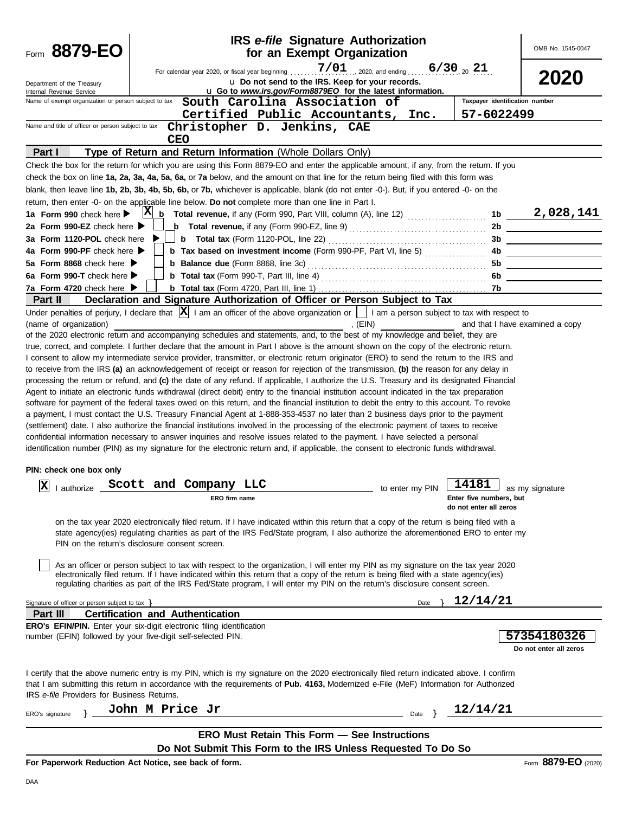| $7/01$ 2020, and ending 6/30 20 21<br>For calendar year 2020, or fiscal year beginning<br>2020<br>u Do not send to the IRS. Keep for your records.<br>Department of the Treasury<br>u Go to www.irs.gov/Form8879EO for the latest information.<br>Internal Revenue Service<br>Taxpayer identification number<br>Name of exempt organization or person subject to tax<br>South Carolina Association of<br>Certified Public Accountants,<br>57-6022499<br>Inc.<br>Name and title of officer or person subject to tax<br>Christopher D. Jenkins, CAE<br><b>CEO</b><br>Type of Return and Return Information (Whole Dollars Only)<br>Part I<br>Check the box for the return for which you are using this Form 8879-EO and enter the applicable amount, if any, from the return. If you<br>check the box on line 1a, 2a, 3a, 4a, 5a, 6a, or 7a below, and the amount on that line for the return being filed with this form was<br>blank, then leave line 1b, 2b, 3b, 4b, 5b, 6b, or 7b, whichever is applicable, blank (do not enter -0-). But, if you entered -0- on the<br>return, then enter -0- on the applicable line below. Do not complete more than one line in Part I.<br>$\mu$ Total revenue, if any (Form 990, Part VIII, column (A), line 12) <b>All and Convert to the Convert of A</b> $\mu$ <b>141</b><br>$ {\bf X} $<br>1a Form 990 check here $\blacktriangleright$<br>2a Form 990-EZ check here ▶<br>2b<br>3a Form 1120-POL check here<br>3b.<br><b>b</b> Tax based on investment income (Form 990-PF, Part VI, line 5)<br>4a Form 990-PF check here<br>4b<br><b>b</b> Balance due (Form 8868, line 3c)<br>5a Form 8868 check here $\blacktriangleright$<br>5b<br>6a Form 990-T check here $\blacktriangleright$<br>6b<br>7a Form 4720 check here $\blacktriangleright$<br>Declaration and Signature Authorization of Officer or Person Subject to Tax<br>Part II<br>Under penalties of perjury, I declare that $ \mathbf{X} $ I am an officer of the above organization or     I am a person subject to tax with respect to<br>(name of organization)<br>, $(EIN)$<br>and that I have examined a copy<br>of the 2020 electronic return and accompanying schedules and statements, and, to the best of my knowledge and belief, they are<br>true, correct, and complete. I further declare that the amount in Part I above is the amount shown on the copy of the electronic return.<br>I consent to allow my intermediate service provider, transmitter, or electronic return originator (ERO) to send the return to the IRS and<br>to receive from the IRS (a) an acknowledgement of receipt or reason for rejection of the transmission, (b) the reason for any delay in<br>processing the return or refund, and (c) the date of any refund. If applicable, I authorize the U.S. Treasury and its designated Financial<br>Agent to initiate an electronic funds withdrawal (direct debit) entry to the financial institution account indicated in the tax preparation<br>software for payment of the federal taxes owed on this return, and the financial institution to debit the entry to this account. To revoke<br>a payment, I must contact the U.S. Treasury Financial Agent at 1-888-353-4537 no later than 2 business days prior to the payment<br>(settlement) date. I also authorize the financial institutions involved in the processing of the electronic payment of taxes to receive<br>confidential information necessary to answer inquiries and resolve issues related to the payment. I have selected a personal<br>identification number (PIN) as my signature for the electronic return and, if applicable, the consent to electronic funds withdrawal.<br>PIN: check one box only<br>14181<br>Iх<br>Scott and Company LLC<br>I authorize<br>to enter my PIN<br>as my signature<br>Enter five numbers, but<br>ERO firm name<br>do not enter all zeros<br>on the tax year 2020 electronically filed return. If I have indicated within this return that a copy of the return is being filed with a<br>state agency(ies) regulating charities as part of the IRS Fed/State program, I also authorize the aforementioned ERO to enter my<br>PIN on the return's disclosure consent screen.<br>As an officer or person subject to tax with respect to the organization, I will enter my PIN as my signature on the tax year 2020<br>electronically filed return. If I have indicated within this return that a copy of the return is being filed with a state agency(ies)<br>regulating charities as part of the IRS Fed/State program, I will enter my PIN on the return's disclosure consent screen.<br>12/14/21<br>Signature of officer or person subject to tax $\}$<br>Date<br>Part III<br><b>Certification and Authentication</b><br><b>ERO's EFIN/PIN.</b> Enter your six-digit electronic filing identification<br>number (EFIN) followed by your five-digit self-selected PIN.<br>57354180326<br>Do not enter all zeros<br>I certify that the above numeric entry is my PIN, which is my signature on the 2020 electronically filed return indicated above. I confirm<br>that I am submitting this return in accordance with the requirements of Pub. 4163, Modernized e-File (MeF) Information for Authorized<br>IRS e-file Providers for Business Returns.<br>John M Price Jr<br>12/14/21<br>Date<br>ERO's signature<br><b>ERO Must Retain This Form - See Instructions</b><br>Do Not Submit This Form to the IRS Unless Requested To Do So | 8879-EO<br>Form | <b>IRS</b> e-file Signature Authorization<br>for an Exempt Organization | OMB No. 1545-0047 |
|-----------------------------------------------------------------------------------------------------------------------------------------------------------------------------------------------------------------------------------------------------------------------------------------------------------------------------------------------------------------------------------------------------------------------------------------------------------------------------------------------------------------------------------------------------------------------------------------------------------------------------------------------------------------------------------------------------------------------------------------------------------------------------------------------------------------------------------------------------------------------------------------------------------------------------------------------------------------------------------------------------------------------------------------------------------------------------------------------------------------------------------------------------------------------------------------------------------------------------------------------------------------------------------------------------------------------------------------------------------------------------------------------------------------------------------------------------------------------------------------------------------------------------------------------------------------------------------------------------------------------------------------------------------------------------------------------------------------------------------------------------------------------------------------------------------------------------------------------------------------------------------------------------------------------------------------------------------------------------------------------------------------------------------------------------------------------------------------------------------------------------------------------------------------------------------------------------------------------------------------------------------------------------------------------------------------------------------------------------------------------------------------------------------------------------------------------------------------------------------------------------------------------------------------------------------------------------------------------------------------------------------------------------------------------------------------------------------------------------------------------------------------------------------------------------------------------------------------------------------------------------------------------------------------------------------------------------------------------------------------------------------------------------------------------------------------------------------------------------------------------------------------------------------------------------------------------------------------------------------------------------------------------------------------------------------------------------------------------------------------------------------------------------------------------------------------------------------------------------------------------------------------------------------------------------------------------------------------------------------------------------------------------------------------------------------------------------------------------------------------------------------------------------------------------------------------------------------------------------------------------------------------------------------------------------------------------------------------------------------------------------------------------------------------------------------------------------------------------------------------------------------------------------------------------------------------------------------------------------------------------------------------------------------------------------------------------------------------------------------------------------------------------------------------------------------------------------------------------------------------------------------------------------------------------------------------------------------------------------------------------------------------------------------------------------------------------------------------------------------------------------------------------------------------------------------------------------------------------------------------------------------------------------------------------------------------------------------------------------------------------------------------------------------------------------------------------------------------------------------------------------------------------------------------------------------------------------------------------------------------------------------------------------------------------------------------------------------------------------------------------------------------------------------------------------------------------------------------------------------------|-----------------|-------------------------------------------------------------------------|-------------------|
|                                                                                                                                                                                                                                                                                                                                                                                                                                                                                                                                                                                                                                                                                                                                                                                                                                                                                                                                                                                                                                                                                                                                                                                                                                                                                                                                                                                                                                                                                                                                                                                                                                                                                                                                                                                                                                                                                                                                                                                                                                                                                                                                                                                                                                                                                                                                                                                                                                                                                                                                                                                                                                                                                                                                                                                                                                                                                                                                                                                                                                                                                                                                                                                                                                                                                                                                                                                                                                                                                                                                                                                                                                                                                                                                                                                                                                                                                                                                                                                                                                                                                                                                                                                                                                                                                                                                                                                                                                                                                                                                                                                                                                                                                                                                                                                                                                                                                                                                                                                                                                                                                                                                                                                                                                                                                                                                                                                                                                                                                         |                 |                                                                         |                   |
|                                                                                                                                                                                                                                                                                                                                                                                                                                                                                                                                                                                                                                                                                                                                                                                                                                                                                                                                                                                                                                                                                                                                                                                                                                                                                                                                                                                                                                                                                                                                                                                                                                                                                                                                                                                                                                                                                                                                                                                                                                                                                                                                                                                                                                                                                                                                                                                                                                                                                                                                                                                                                                                                                                                                                                                                                                                                                                                                                                                                                                                                                                                                                                                                                                                                                                                                                                                                                                                                                                                                                                                                                                                                                                                                                                                                                                                                                                                                                                                                                                                                                                                                                                                                                                                                                                                                                                                                                                                                                                                                                                                                                                                                                                                                                                                                                                                                                                                                                                                                                                                                                                                                                                                                                                                                                                                                                                                                                                                                                         |                 |                                                                         |                   |
|                                                                                                                                                                                                                                                                                                                                                                                                                                                                                                                                                                                                                                                                                                                                                                                                                                                                                                                                                                                                                                                                                                                                                                                                                                                                                                                                                                                                                                                                                                                                                                                                                                                                                                                                                                                                                                                                                                                                                                                                                                                                                                                                                                                                                                                                                                                                                                                                                                                                                                                                                                                                                                                                                                                                                                                                                                                                                                                                                                                                                                                                                                                                                                                                                                                                                                                                                                                                                                                                                                                                                                                                                                                                                                                                                                                                                                                                                                                                                                                                                                                                                                                                                                                                                                                                                                                                                                                                                                                                                                                                                                                                                                                                                                                                                                                                                                                                                                                                                                                                                                                                                                                                                                                                                                                                                                                                                                                                                                                                                         |                 |                                                                         |                   |
|                                                                                                                                                                                                                                                                                                                                                                                                                                                                                                                                                                                                                                                                                                                                                                                                                                                                                                                                                                                                                                                                                                                                                                                                                                                                                                                                                                                                                                                                                                                                                                                                                                                                                                                                                                                                                                                                                                                                                                                                                                                                                                                                                                                                                                                                                                                                                                                                                                                                                                                                                                                                                                                                                                                                                                                                                                                                                                                                                                                                                                                                                                                                                                                                                                                                                                                                                                                                                                                                                                                                                                                                                                                                                                                                                                                                                                                                                                                                                                                                                                                                                                                                                                                                                                                                                                                                                                                                                                                                                                                                                                                                                                                                                                                                                                                                                                                                                                                                                                                                                                                                                                                                                                                                                                                                                                                                                                                                                                                                                         |                 |                                                                         |                   |
|                                                                                                                                                                                                                                                                                                                                                                                                                                                                                                                                                                                                                                                                                                                                                                                                                                                                                                                                                                                                                                                                                                                                                                                                                                                                                                                                                                                                                                                                                                                                                                                                                                                                                                                                                                                                                                                                                                                                                                                                                                                                                                                                                                                                                                                                                                                                                                                                                                                                                                                                                                                                                                                                                                                                                                                                                                                                                                                                                                                                                                                                                                                                                                                                                                                                                                                                                                                                                                                                                                                                                                                                                                                                                                                                                                                                                                                                                                                                                                                                                                                                                                                                                                                                                                                                                                                                                                                                                                                                                                                                                                                                                                                                                                                                                                                                                                                                                                                                                                                                                                                                                                                                                                                                                                                                                                                                                                                                                                                                                         |                 |                                                                         |                   |
|                                                                                                                                                                                                                                                                                                                                                                                                                                                                                                                                                                                                                                                                                                                                                                                                                                                                                                                                                                                                                                                                                                                                                                                                                                                                                                                                                                                                                                                                                                                                                                                                                                                                                                                                                                                                                                                                                                                                                                                                                                                                                                                                                                                                                                                                                                                                                                                                                                                                                                                                                                                                                                                                                                                                                                                                                                                                                                                                                                                                                                                                                                                                                                                                                                                                                                                                                                                                                                                                                                                                                                                                                                                                                                                                                                                                                                                                                                                                                                                                                                                                                                                                                                                                                                                                                                                                                                                                                                                                                                                                                                                                                                                                                                                                                                                                                                                                                                                                                                                                                                                                                                                                                                                                                                                                                                                                                                                                                                                                                         |                 |                                                                         |                   |
|                                                                                                                                                                                                                                                                                                                                                                                                                                                                                                                                                                                                                                                                                                                                                                                                                                                                                                                                                                                                                                                                                                                                                                                                                                                                                                                                                                                                                                                                                                                                                                                                                                                                                                                                                                                                                                                                                                                                                                                                                                                                                                                                                                                                                                                                                                                                                                                                                                                                                                                                                                                                                                                                                                                                                                                                                                                                                                                                                                                                                                                                                                                                                                                                                                                                                                                                                                                                                                                                                                                                                                                                                                                                                                                                                                                                                                                                                                                                                                                                                                                                                                                                                                                                                                                                                                                                                                                                                                                                                                                                                                                                                                                                                                                                                                                                                                                                                                                                                                                                                                                                                                                                                                                                                                                                                                                                                                                                                                                                                         |                 |                                                                         |                   |
|                                                                                                                                                                                                                                                                                                                                                                                                                                                                                                                                                                                                                                                                                                                                                                                                                                                                                                                                                                                                                                                                                                                                                                                                                                                                                                                                                                                                                                                                                                                                                                                                                                                                                                                                                                                                                                                                                                                                                                                                                                                                                                                                                                                                                                                                                                                                                                                                                                                                                                                                                                                                                                                                                                                                                                                                                                                                                                                                                                                                                                                                                                                                                                                                                                                                                                                                                                                                                                                                                                                                                                                                                                                                                                                                                                                                                                                                                                                                                                                                                                                                                                                                                                                                                                                                                                                                                                                                                                                                                                                                                                                                                                                                                                                                                                                                                                                                                                                                                                                                                                                                                                                                                                                                                                                                                                                                                                                                                                                                                         |                 |                                                                         |                   |
|                                                                                                                                                                                                                                                                                                                                                                                                                                                                                                                                                                                                                                                                                                                                                                                                                                                                                                                                                                                                                                                                                                                                                                                                                                                                                                                                                                                                                                                                                                                                                                                                                                                                                                                                                                                                                                                                                                                                                                                                                                                                                                                                                                                                                                                                                                                                                                                                                                                                                                                                                                                                                                                                                                                                                                                                                                                                                                                                                                                                                                                                                                                                                                                                                                                                                                                                                                                                                                                                                                                                                                                                                                                                                                                                                                                                                                                                                                                                                                                                                                                                                                                                                                                                                                                                                                                                                                                                                                                                                                                                                                                                                                                                                                                                                                                                                                                                                                                                                                                                                                                                                                                                                                                                                                                                                                                                                                                                                                                                                         |                 |                                                                         |                   |
|                                                                                                                                                                                                                                                                                                                                                                                                                                                                                                                                                                                                                                                                                                                                                                                                                                                                                                                                                                                                                                                                                                                                                                                                                                                                                                                                                                                                                                                                                                                                                                                                                                                                                                                                                                                                                                                                                                                                                                                                                                                                                                                                                                                                                                                                                                                                                                                                                                                                                                                                                                                                                                                                                                                                                                                                                                                                                                                                                                                                                                                                                                                                                                                                                                                                                                                                                                                                                                                                                                                                                                                                                                                                                                                                                                                                                                                                                                                                                                                                                                                                                                                                                                                                                                                                                                                                                                                                                                                                                                                                                                                                                                                                                                                                                                                                                                                                                                                                                                                                                                                                                                                                                                                                                                                                                                                                                                                                                                                                                         |                 |                                                                         |                   |
|                                                                                                                                                                                                                                                                                                                                                                                                                                                                                                                                                                                                                                                                                                                                                                                                                                                                                                                                                                                                                                                                                                                                                                                                                                                                                                                                                                                                                                                                                                                                                                                                                                                                                                                                                                                                                                                                                                                                                                                                                                                                                                                                                                                                                                                                                                                                                                                                                                                                                                                                                                                                                                                                                                                                                                                                                                                                                                                                                                                                                                                                                                                                                                                                                                                                                                                                                                                                                                                                                                                                                                                                                                                                                                                                                                                                                                                                                                                                                                                                                                                                                                                                                                                                                                                                                                                                                                                                                                                                                                                                                                                                                                                                                                                                                                                                                                                                                                                                                                                                                                                                                                                                                                                                                                                                                                                                                                                                                                                                                         |                 |                                                                         |                   |
|                                                                                                                                                                                                                                                                                                                                                                                                                                                                                                                                                                                                                                                                                                                                                                                                                                                                                                                                                                                                                                                                                                                                                                                                                                                                                                                                                                                                                                                                                                                                                                                                                                                                                                                                                                                                                                                                                                                                                                                                                                                                                                                                                                                                                                                                                                                                                                                                                                                                                                                                                                                                                                                                                                                                                                                                                                                                                                                                                                                                                                                                                                                                                                                                                                                                                                                                                                                                                                                                                                                                                                                                                                                                                                                                                                                                                                                                                                                                                                                                                                                                                                                                                                                                                                                                                                                                                                                                                                                                                                                                                                                                                                                                                                                                                                                                                                                                                                                                                                                                                                                                                                                                                                                                                                                                                                                                                                                                                                                                                         |                 |                                                                         |                   |
|                                                                                                                                                                                                                                                                                                                                                                                                                                                                                                                                                                                                                                                                                                                                                                                                                                                                                                                                                                                                                                                                                                                                                                                                                                                                                                                                                                                                                                                                                                                                                                                                                                                                                                                                                                                                                                                                                                                                                                                                                                                                                                                                                                                                                                                                                                                                                                                                                                                                                                                                                                                                                                                                                                                                                                                                                                                                                                                                                                                                                                                                                                                                                                                                                                                                                                                                                                                                                                                                                                                                                                                                                                                                                                                                                                                                                                                                                                                                                                                                                                                                                                                                                                                                                                                                                                                                                                                                                                                                                                                                                                                                                                                                                                                                                                                                                                                                                                                                                                                                                                                                                                                                                                                                                                                                                                                                                                                                                                                                                         |                 |                                                                         |                   |
|                                                                                                                                                                                                                                                                                                                                                                                                                                                                                                                                                                                                                                                                                                                                                                                                                                                                                                                                                                                                                                                                                                                                                                                                                                                                                                                                                                                                                                                                                                                                                                                                                                                                                                                                                                                                                                                                                                                                                                                                                                                                                                                                                                                                                                                                                                                                                                                                                                                                                                                                                                                                                                                                                                                                                                                                                                                                                                                                                                                                                                                                                                                                                                                                                                                                                                                                                                                                                                                                                                                                                                                                                                                                                                                                                                                                                                                                                                                                                                                                                                                                                                                                                                                                                                                                                                                                                                                                                                                                                                                                                                                                                                                                                                                                                                                                                                                                                                                                                                                                                                                                                                                                                                                                                                                                                                                                                                                                                                                                                         |                 |                                                                         |                   |
|                                                                                                                                                                                                                                                                                                                                                                                                                                                                                                                                                                                                                                                                                                                                                                                                                                                                                                                                                                                                                                                                                                                                                                                                                                                                                                                                                                                                                                                                                                                                                                                                                                                                                                                                                                                                                                                                                                                                                                                                                                                                                                                                                                                                                                                                                                                                                                                                                                                                                                                                                                                                                                                                                                                                                                                                                                                                                                                                                                                                                                                                                                                                                                                                                                                                                                                                                                                                                                                                                                                                                                                                                                                                                                                                                                                                                                                                                                                                                                                                                                                                                                                                                                                                                                                                                                                                                                                                                                                                                                                                                                                                                                                                                                                                                                                                                                                                                                                                                                                                                                                                                                                                                                                                                                                                                                                                                                                                                                                                                         |                 |                                                                         |                   |
|                                                                                                                                                                                                                                                                                                                                                                                                                                                                                                                                                                                                                                                                                                                                                                                                                                                                                                                                                                                                                                                                                                                                                                                                                                                                                                                                                                                                                                                                                                                                                                                                                                                                                                                                                                                                                                                                                                                                                                                                                                                                                                                                                                                                                                                                                                                                                                                                                                                                                                                                                                                                                                                                                                                                                                                                                                                                                                                                                                                                                                                                                                                                                                                                                                                                                                                                                                                                                                                                                                                                                                                                                                                                                                                                                                                                                                                                                                                                                                                                                                                                                                                                                                                                                                                                                                                                                                                                                                                                                                                                                                                                                                                                                                                                                                                                                                                                                                                                                                                                                                                                                                                                                                                                                                                                                                                                                                                                                                                                                         |                 |                                                                         |                   |
|                                                                                                                                                                                                                                                                                                                                                                                                                                                                                                                                                                                                                                                                                                                                                                                                                                                                                                                                                                                                                                                                                                                                                                                                                                                                                                                                                                                                                                                                                                                                                                                                                                                                                                                                                                                                                                                                                                                                                                                                                                                                                                                                                                                                                                                                                                                                                                                                                                                                                                                                                                                                                                                                                                                                                                                                                                                                                                                                                                                                                                                                                                                                                                                                                                                                                                                                                                                                                                                                                                                                                                                                                                                                                                                                                                                                                                                                                                                                                                                                                                                                                                                                                                                                                                                                                                                                                                                                                                                                                                                                                                                                                                                                                                                                                                                                                                                                                                                                                                                                                                                                                                                                                                                                                                                                                                                                                                                                                                                                                         |                 |                                                                         |                   |
|                                                                                                                                                                                                                                                                                                                                                                                                                                                                                                                                                                                                                                                                                                                                                                                                                                                                                                                                                                                                                                                                                                                                                                                                                                                                                                                                                                                                                                                                                                                                                                                                                                                                                                                                                                                                                                                                                                                                                                                                                                                                                                                                                                                                                                                                                                                                                                                                                                                                                                                                                                                                                                                                                                                                                                                                                                                                                                                                                                                                                                                                                                                                                                                                                                                                                                                                                                                                                                                                                                                                                                                                                                                                                                                                                                                                                                                                                                                                                                                                                                                                                                                                                                                                                                                                                                                                                                                                                                                                                                                                                                                                                                                                                                                                                                                                                                                                                                                                                                                                                                                                                                                                                                                                                                                                                                                                                                                                                                                                                         |                 |                                                                         |                   |
|                                                                                                                                                                                                                                                                                                                                                                                                                                                                                                                                                                                                                                                                                                                                                                                                                                                                                                                                                                                                                                                                                                                                                                                                                                                                                                                                                                                                                                                                                                                                                                                                                                                                                                                                                                                                                                                                                                                                                                                                                                                                                                                                                                                                                                                                                                                                                                                                                                                                                                                                                                                                                                                                                                                                                                                                                                                                                                                                                                                                                                                                                                                                                                                                                                                                                                                                                                                                                                                                                                                                                                                                                                                                                                                                                                                                                                                                                                                                                                                                                                                                                                                                                                                                                                                                                                                                                                                                                                                                                                                                                                                                                                                                                                                                                                                                                                                                                                                                                                                                                                                                                                                                                                                                                                                                                                                                                                                                                                                                                         |                 |                                                                         |                   |
|                                                                                                                                                                                                                                                                                                                                                                                                                                                                                                                                                                                                                                                                                                                                                                                                                                                                                                                                                                                                                                                                                                                                                                                                                                                                                                                                                                                                                                                                                                                                                                                                                                                                                                                                                                                                                                                                                                                                                                                                                                                                                                                                                                                                                                                                                                                                                                                                                                                                                                                                                                                                                                                                                                                                                                                                                                                                                                                                                                                                                                                                                                                                                                                                                                                                                                                                                                                                                                                                                                                                                                                                                                                                                                                                                                                                                                                                                                                                                                                                                                                                                                                                                                                                                                                                                                                                                                                                                                                                                                                                                                                                                                                                                                                                                                                                                                                                                                                                                                                                                                                                                                                                                                                                                                                                                                                                                                                                                                                                                         |                 |                                                                         |                   |
|                                                                                                                                                                                                                                                                                                                                                                                                                                                                                                                                                                                                                                                                                                                                                                                                                                                                                                                                                                                                                                                                                                                                                                                                                                                                                                                                                                                                                                                                                                                                                                                                                                                                                                                                                                                                                                                                                                                                                                                                                                                                                                                                                                                                                                                                                                                                                                                                                                                                                                                                                                                                                                                                                                                                                                                                                                                                                                                                                                                                                                                                                                                                                                                                                                                                                                                                                                                                                                                                                                                                                                                                                                                                                                                                                                                                                                                                                                                                                                                                                                                                                                                                                                                                                                                                                                                                                                                                                                                                                                                                                                                                                                                                                                                                                                                                                                                                                                                                                                                                                                                                                                                                                                                                                                                                                                                                                                                                                                                                                         |                 |                                                                         |                   |
|                                                                                                                                                                                                                                                                                                                                                                                                                                                                                                                                                                                                                                                                                                                                                                                                                                                                                                                                                                                                                                                                                                                                                                                                                                                                                                                                                                                                                                                                                                                                                                                                                                                                                                                                                                                                                                                                                                                                                                                                                                                                                                                                                                                                                                                                                                                                                                                                                                                                                                                                                                                                                                                                                                                                                                                                                                                                                                                                                                                                                                                                                                                                                                                                                                                                                                                                                                                                                                                                                                                                                                                                                                                                                                                                                                                                                                                                                                                                                                                                                                                                                                                                                                                                                                                                                                                                                                                                                                                                                                                                                                                                                                                                                                                                                                                                                                                                                                                                                                                                                                                                                                                                                                                                                                                                                                                                                                                                                                                                                         |                 |                                                                         |                   |
|                                                                                                                                                                                                                                                                                                                                                                                                                                                                                                                                                                                                                                                                                                                                                                                                                                                                                                                                                                                                                                                                                                                                                                                                                                                                                                                                                                                                                                                                                                                                                                                                                                                                                                                                                                                                                                                                                                                                                                                                                                                                                                                                                                                                                                                                                                                                                                                                                                                                                                                                                                                                                                                                                                                                                                                                                                                                                                                                                                                                                                                                                                                                                                                                                                                                                                                                                                                                                                                                                                                                                                                                                                                                                                                                                                                                                                                                                                                                                                                                                                                                                                                                                                                                                                                                                                                                                                                                                                                                                                                                                                                                                                                                                                                                                                                                                                                                                                                                                                                                                                                                                                                                                                                                                                                                                                                                                                                                                                                                                         |                 |                                                                         |                   |
|                                                                                                                                                                                                                                                                                                                                                                                                                                                                                                                                                                                                                                                                                                                                                                                                                                                                                                                                                                                                                                                                                                                                                                                                                                                                                                                                                                                                                                                                                                                                                                                                                                                                                                                                                                                                                                                                                                                                                                                                                                                                                                                                                                                                                                                                                                                                                                                                                                                                                                                                                                                                                                                                                                                                                                                                                                                                                                                                                                                                                                                                                                                                                                                                                                                                                                                                                                                                                                                                                                                                                                                                                                                                                                                                                                                                                                                                                                                                                                                                                                                                                                                                                                                                                                                                                                                                                                                                                                                                                                                                                                                                                                                                                                                                                                                                                                                                                                                                                                                                                                                                                                                                                                                                                                                                                                                                                                                                                                                                                         |                 |                                                                         |                   |
|                                                                                                                                                                                                                                                                                                                                                                                                                                                                                                                                                                                                                                                                                                                                                                                                                                                                                                                                                                                                                                                                                                                                                                                                                                                                                                                                                                                                                                                                                                                                                                                                                                                                                                                                                                                                                                                                                                                                                                                                                                                                                                                                                                                                                                                                                                                                                                                                                                                                                                                                                                                                                                                                                                                                                                                                                                                                                                                                                                                                                                                                                                                                                                                                                                                                                                                                                                                                                                                                                                                                                                                                                                                                                                                                                                                                                                                                                                                                                                                                                                                                                                                                                                                                                                                                                                                                                                                                                                                                                                                                                                                                                                                                                                                                                                                                                                                                                                                                                                                                                                                                                                                                                                                                                                                                                                                                                                                                                                                                                         |                 |                                                                         |                   |
|                                                                                                                                                                                                                                                                                                                                                                                                                                                                                                                                                                                                                                                                                                                                                                                                                                                                                                                                                                                                                                                                                                                                                                                                                                                                                                                                                                                                                                                                                                                                                                                                                                                                                                                                                                                                                                                                                                                                                                                                                                                                                                                                                                                                                                                                                                                                                                                                                                                                                                                                                                                                                                                                                                                                                                                                                                                                                                                                                                                                                                                                                                                                                                                                                                                                                                                                                                                                                                                                                                                                                                                                                                                                                                                                                                                                                                                                                                                                                                                                                                                                                                                                                                                                                                                                                                                                                                                                                                                                                                                                                                                                                                                                                                                                                                                                                                                                                                                                                                                                                                                                                                                                                                                                                                                                                                                                                                                                                                                                                         |                 |                                                                         |                   |
|                                                                                                                                                                                                                                                                                                                                                                                                                                                                                                                                                                                                                                                                                                                                                                                                                                                                                                                                                                                                                                                                                                                                                                                                                                                                                                                                                                                                                                                                                                                                                                                                                                                                                                                                                                                                                                                                                                                                                                                                                                                                                                                                                                                                                                                                                                                                                                                                                                                                                                                                                                                                                                                                                                                                                                                                                                                                                                                                                                                                                                                                                                                                                                                                                                                                                                                                                                                                                                                                                                                                                                                                                                                                                                                                                                                                                                                                                                                                                                                                                                                                                                                                                                                                                                                                                                                                                                                                                                                                                                                                                                                                                                                                                                                                                                                                                                                                                                                                                                                                                                                                                                                                                                                                                                                                                                                                                                                                                                                                                         |                 |                                                                         |                   |
|                                                                                                                                                                                                                                                                                                                                                                                                                                                                                                                                                                                                                                                                                                                                                                                                                                                                                                                                                                                                                                                                                                                                                                                                                                                                                                                                                                                                                                                                                                                                                                                                                                                                                                                                                                                                                                                                                                                                                                                                                                                                                                                                                                                                                                                                                                                                                                                                                                                                                                                                                                                                                                                                                                                                                                                                                                                                                                                                                                                                                                                                                                                                                                                                                                                                                                                                                                                                                                                                                                                                                                                                                                                                                                                                                                                                                                                                                                                                                                                                                                                                                                                                                                                                                                                                                                                                                                                                                                                                                                                                                                                                                                                                                                                                                                                                                                                                                                                                                                                                                                                                                                                                                                                                                                                                                                                                                                                                                                                                                         |                 |                                                                         |                   |
|                                                                                                                                                                                                                                                                                                                                                                                                                                                                                                                                                                                                                                                                                                                                                                                                                                                                                                                                                                                                                                                                                                                                                                                                                                                                                                                                                                                                                                                                                                                                                                                                                                                                                                                                                                                                                                                                                                                                                                                                                                                                                                                                                                                                                                                                                                                                                                                                                                                                                                                                                                                                                                                                                                                                                                                                                                                                                                                                                                                                                                                                                                                                                                                                                                                                                                                                                                                                                                                                                                                                                                                                                                                                                                                                                                                                                                                                                                                                                                                                                                                                                                                                                                                                                                                                                                                                                                                                                                                                                                                                                                                                                                                                                                                                                                                                                                                                                                                                                                                                                                                                                                                                                                                                                                                                                                                                                                                                                                                                                         |                 |                                                                         |                   |
|                                                                                                                                                                                                                                                                                                                                                                                                                                                                                                                                                                                                                                                                                                                                                                                                                                                                                                                                                                                                                                                                                                                                                                                                                                                                                                                                                                                                                                                                                                                                                                                                                                                                                                                                                                                                                                                                                                                                                                                                                                                                                                                                                                                                                                                                                                                                                                                                                                                                                                                                                                                                                                                                                                                                                                                                                                                                                                                                                                                                                                                                                                                                                                                                                                                                                                                                                                                                                                                                                                                                                                                                                                                                                                                                                                                                                                                                                                                                                                                                                                                                                                                                                                                                                                                                                                                                                                                                                                                                                                                                                                                                                                                                                                                                                                                                                                                                                                                                                                                                                                                                                                                                                                                                                                                                                                                                                                                                                                                                                         |                 |                                                                         |                   |
|                                                                                                                                                                                                                                                                                                                                                                                                                                                                                                                                                                                                                                                                                                                                                                                                                                                                                                                                                                                                                                                                                                                                                                                                                                                                                                                                                                                                                                                                                                                                                                                                                                                                                                                                                                                                                                                                                                                                                                                                                                                                                                                                                                                                                                                                                                                                                                                                                                                                                                                                                                                                                                                                                                                                                                                                                                                                                                                                                                                                                                                                                                                                                                                                                                                                                                                                                                                                                                                                                                                                                                                                                                                                                                                                                                                                                                                                                                                                                                                                                                                                                                                                                                                                                                                                                                                                                                                                                                                                                                                                                                                                                                                                                                                                                                                                                                                                                                                                                                                                                                                                                                                                                                                                                                                                                                                                                                                                                                                                                         |                 |                                                                         |                   |
|                                                                                                                                                                                                                                                                                                                                                                                                                                                                                                                                                                                                                                                                                                                                                                                                                                                                                                                                                                                                                                                                                                                                                                                                                                                                                                                                                                                                                                                                                                                                                                                                                                                                                                                                                                                                                                                                                                                                                                                                                                                                                                                                                                                                                                                                                                                                                                                                                                                                                                                                                                                                                                                                                                                                                                                                                                                                                                                                                                                                                                                                                                                                                                                                                                                                                                                                                                                                                                                                                                                                                                                                                                                                                                                                                                                                                                                                                                                                                                                                                                                                                                                                                                                                                                                                                                                                                                                                                                                                                                                                                                                                                                                                                                                                                                                                                                                                                                                                                                                                                                                                                                                                                                                                                                                                                                                                                                                                                                                                                         |                 |                                                                         |                   |
|                                                                                                                                                                                                                                                                                                                                                                                                                                                                                                                                                                                                                                                                                                                                                                                                                                                                                                                                                                                                                                                                                                                                                                                                                                                                                                                                                                                                                                                                                                                                                                                                                                                                                                                                                                                                                                                                                                                                                                                                                                                                                                                                                                                                                                                                                                                                                                                                                                                                                                                                                                                                                                                                                                                                                                                                                                                                                                                                                                                                                                                                                                                                                                                                                                                                                                                                                                                                                                                                                                                                                                                                                                                                                                                                                                                                                                                                                                                                                                                                                                                                                                                                                                                                                                                                                                                                                                                                                                                                                                                                                                                                                                                                                                                                                                                                                                                                                                                                                                                                                                                                                                                                                                                                                                                                                                                                                                                                                                                                                         |                 |                                                                         |                   |
|                                                                                                                                                                                                                                                                                                                                                                                                                                                                                                                                                                                                                                                                                                                                                                                                                                                                                                                                                                                                                                                                                                                                                                                                                                                                                                                                                                                                                                                                                                                                                                                                                                                                                                                                                                                                                                                                                                                                                                                                                                                                                                                                                                                                                                                                                                                                                                                                                                                                                                                                                                                                                                                                                                                                                                                                                                                                                                                                                                                                                                                                                                                                                                                                                                                                                                                                                                                                                                                                                                                                                                                                                                                                                                                                                                                                                                                                                                                                                                                                                                                                                                                                                                                                                                                                                                                                                                                                                                                                                                                                                                                                                                                                                                                                                                                                                                                                                                                                                                                                                                                                                                                                                                                                                                                                                                                                                                                                                                                                                         |                 |                                                                         |                   |
|                                                                                                                                                                                                                                                                                                                                                                                                                                                                                                                                                                                                                                                                                                                                                                                                                                                                                                                                                                                                                                                                                                                                                                                                                                                                                                                                                                                                                                                                                                                                                                                                                                                                                                                                                                                                                                                                                                                                                                                                                                                                                                                                                                                                                                                                                                                                                                                                                                                                                                                                                                                                                                                                                                                                                                                                                                                                                                                                                                                                                                                                                                                                                                                                                                                                                                                                                                                                                                                                                                                                                                                                                                                                                                                                                                                                                                                                                                                                                                                                                                                                                                                                                                                                                                                                                                                                                                                                                                                                                                                                                                                                                                                                                                                                                                                                                                                                                                                                                                                                                                                                                                                                                                                                                                                                                                                                                                                                                                                                                         |                 |                                                                         |                   |
|                                                                                                                                                                                                                                                                                                                                                                                                                                                                                                                                                                                                                                                                                                                                                                                                                                                                                                                                                                                                                                                                                                                                                                                                                                                                                                                                                                                                                                                                                                                                                                                                                                                                                                                                                                                                                                                                                                                                                                                                                                                                                                                                                                                                                                                                                                                                                                                                                                                                                                                                                                                                                                                                                                                                                                                                                                                                                                                                                                                                                                                                                                                                                                                                                                                                                                                                                                                                                                                                                                                                                                                                                                                                                                                                                                                                                                                                                                                                                                                                                                                                                                                                                                                                                                                                                                                                                                                                                                                                                                                                                                                                                                                                                                                                                                                                                                                                                                                                                                                                                                                                                                                                                                                                                                                                                                                                                                                                                                                                                         |                 |                                                                         |                   |
|                                                                                                                                                                                                                                                                                                                                                                                                                                                                                                                                                                                                                                                                                                                                                                                                                                                                                                                                                                                                                                                                                                                                                                                                                                                                                                                                                                                                                                                                                                                                                                                                                                                                                                                                                                                                                                                                                                                                                                                                                                                                                                                                                                                                                                                                                                                                                                                                                                                                                                                                                                                                                                                                                                                                                                                                                                                                                                                                                                                                                                                                                                                                                                                                                                                                                                                                                                                                                                                                                                                                                                                                                                                                                                                                                                                                                                                                                                                                                                                                                                                                                                                                                                                                                                                                                                                                                                                                                                                                                                                                                                                                                                                                                                                                                                                                                                                                                                                                                                                                                                                                                                                                                                                                                                                                                                                                                                                                                                                                                         |                 |                                                                         |                   |
|                                                                                                                                                                                                                                                                                                                                                                                                                                                                                                                                                                                                                                                                                                                                                                                                                                                                                                                                                                                                                                                                                                                                                                                                                                                                                                                                                                                                                                                                                                                                                                                                                                                                                                                                                                                                                                                                                                                                                                                                                                                                                                                                                                                                                                                                                                                                                                                                                                                                                                                                                                                                                                                                                                                                                                                                                                                                                                                                                                                                                                                                                                                                                                                                                                                                                                                                                                                                                                                                                                                                                                                                                                                                                                                                                                                                                                                                                                                                                                                                                                                                                                                                                                                                                                                                                                                                                                                                                                                                                                                                                                                                                                                                                                                                                                                                                                                                                                                                                                                                                                                                                                                                                                                                                                                                                                                                                                                                                                                                                         |                 |                                                                         |                   |
|                                                                                                                                                                                                                                                                                                                                                                                                                                                                                                                                                                                                                                                                                                                                                                                                                                                                                                                                                                                                                                                                                                                                                                                                                                                                                                                                                                                                                                                                                                                                                                                                                                                                                                                                                                                                                                                                                                                                                                                                                                                                                                                                                                                                                                                                                                                                                                                                                                                                                                                                                                                                                                                                                                                                                                                                                                                                                                                                                                                                                                                                                                                                                                                                                                                                                                                                                                                                                                                                                                                                                                                                                                                                                                                                                                                                                                                                                                                                                                                                                                                                                                                                                                                                                                                                                                                                                                                                                                                                                                                                                                                                                                                                                                                                                                                                                                                                                                                                                                                                                                                                                                                                                                                                                                                                                                                                                                                                                                                                                         |                 |                                                                         |                   |
|                                                                                                                                                                                                                                                                                                                                                                                                                                                                                                                                                                                                                                                                                                                                                                                                                                                                                                                                                                                                                                                                                                                                                                                                                                                                                                                                                                                                                                                                                                                                                                                                                                                                                                                                                                                                                                                                                                                                                                                                                                                                                                                                                                                                                                                                                                                                                                                                                                                                                                                                                                                                                                                                                                                                                                                                                                                                                                                                                                                                                                                                                                                                                                                                                                                                                                                                                                                                                                                                                                                                                                                                                                                                                                                                                                                                                                                                                                                                                                                                                                                                                                                                                                                                                                                                                                                                                                                                                                                                                                                                                                                                                                                                                                                                                                                                                                                                                                                                                                                                                                                                                                                                                                                                                                                                                                                                                                                                                                                                                         |                 |                                                                         |                   |
|                                                                                                                                                                                                                                                                                                                                                                                                                                                                                                                                                                                                                                                                                                                                                                                                                                                                                                                                                                                                                                                                                                                                                                                                                                                                                                                                                                                                                                                                                                                                                                                                                                                                                                                                                                                                                                                                                                                                                                                                                                                                                                                                                                                                                                                                                                                                                                                                                                                                                                                                                                                                                                                                                                                                                                                                                                                                                                                                                                                                                                                                                                                                                                                                                                                                                                                                                                                                                                                                                                                                                                                                                                                                                                                                                                                                                                                                                                                                                                                                                                                                                                                                                                                                                                                                                                                                                                                                                                                                                                                                                                                                                                                                                                                                                                                                                                                                                                                                                                                                                                                                                                                                                                                                                                                                                                                                                                                                                                                                                         |                 |                                                                         |                   |
|                                                                                                                                                                                                                                                                                                                                                                                                                                                                                                                                                                                                                                                                                                                                                                                                                                                                                                                                                                                                                                                                                                                                                                                                                                                                                                                                                                                                                                                                                                                                                                                                                                                                                                                                                                                                                                                                                                                                                                                                                                                                                                                                                                                                                                                                                                                                                                                                                                                                                                                                                                                                                                                                                                                                                                                                                                                                                                                                                                                                                                                                                                                                                                                                                                                                                                                                                                                                                                                                                                                                                                                                                                                                                                                                                                                                                                                                                                                                                                                                                                                                                                                                                                                                                                                                                                                                                                                                                                                                                                                                                                                                                                                                                                                                                                                                                                                                                                                                                                                                                                                                                                                                                                                                                                                                                                                                                                                                                                                                                         |                 |                                                                         |                   |
|                                                                                                                                                                                                                                                                                                                                                                                                                                                                                                                                                                                                                                                                                                                                                                                                                                                                                                                                                                                                                                                                                                                                                                                                                                                                                                                                                                                                                                                                                                                                                                                                                                                                                                                                                                                                                                                                                                                                                                                                                                                                                                                                                                                                                                                                                                                                                                                                                                                                                                                                                                                                                                                                                                                                                                                                                                                                                                                                                                                                                                                                                                                                                                                                                                                                                                                                                                                                                                                                                                                                                                                                                                                                                                                                                                                                                                                                                                                                                                                                                                                                                                                                                                                                                                                                                                                                                                                                                                                                                                                                                                                                                                                                                                                                                                                                                                                                                                                                                                                                                                                                                                                                                                                                                                                                                                                                                                                                                                                                                         |                 |                                                                         |                   |
|                                                                                                                                                                                                                                                                                                                                                                                                                                                                                                                                                                                                                                                                                                                                                                                                                                                                                                                                                                                                                                                                                                                                                                                                                                                                                                                                                                                                                                                                                                                                                                                                                                                                                                                                                                                                                                                                                                                                                                                                                                                                                                                                                                                                                                                                                                                                                                                                                                                                                                                                                                                                                                                                                                                                                                                                                                                                                                                                                                                                                                                                                                                                                                                                                                                                                                                                                                                                                                                                                                                                                                                                                                                                                                                                                                                                                                                                                                                                                                                                                                                                                                                                                                                                                                                                                                                                                                                                                                                                                                                                                                                                                                                                                                                                                                                                                                                                                                                                                                                                                                                                                                                                                                                                                                                                                                                                                                                                                                                                                         |                 |                                                                         |                   |
|                                                                                                                                                                                                                                                                                                                                                                                                                                                                                                                                                                                                                                                                                                                                                                                                                                                                                                                                                                                                                                                                                                                                                                                                                                                                                                                                                                                                                                                                                                                                                                                                                                                                                                                                                                                                                                                                                                                                                                                                                                                                                                                                                                                                                                                                                                                                                                                                                                                                                                                                                                                                                                                                                                                                                                                                                                                                                                                                                                                                                                                                                                                                                                                                                                                                                                                                                                                                                                                                                                                                                                                                                                                                                                                                                                                                                                                                                                                                                                                                                                                                                                                                                                                                                                                                                                                                                                                                                                                                                                                                                                                                                                                                                                                                                                                                                                                                                                                                                                                                                                                                                                                                                                                                                                                                                                                                                                                                                                                                                         |                 |                                                                         |                   |
|                                                                                                                                                                                                                                                                                                                                                                                                                                                                                                                                                                                                                                                                                                                                                                                                                                                                                                                                                                                                                                                                                                                                                                                                                                                                                                                                                                                                                                                                                                                                                                                                                                                                                                                                                                                                                                                                                                                                                                                                                                                                                                                                                                                                                                                                                                                                                                                                                                                                                                                                                                                                                                                                                                                                                                                                                                                                                                                                                                                                                                                                                                                                                                                                                                                                                                                                                                                                                                                                                                                                                                                                                                                                                                                                                                                                                                                                                                                                                                                                                                                                                                                                                                                                                                                                                                                                                                                                                                                                                                                                                                                                                                                                                                                                                                                                                                                                                                                                                                                                                                                                                                                                                                                                                                                                                                                                                                                                                                                                                         |                 |                                                                         |                   |
|                                                                                                                                                                                                                                                                                                                                                                                                                                                                                                                                                                                                                                                                                                                                                                                                                                                                                                                                                                                                                                                                                                                                                                                                                                                                                                                                                                                                                                                                                                                                                                                                                                                                                                                                                                                                                                                                                                                                                                                                                                                                                                                                                                                                                                                                                                                                                                                                                                                                                                                                                                                                                                                                                                                                                                                                                                                                                                                                                                                                                                                                                                                                                                                                                                                                                                                                                                                                                                                                                                                                                                                                                                                                                                                                                                                                                                                                                                                                                                                                                                                                                                                                                                                                                                                                                                                                                                                                                                                                                                                                                                                                                                                                                                                                                                                                                                                                                                                                                                                                                                                                                                                                                                                                                                                                                                                                                                                                                                                                                         |                 |                                                                         |                   |
|                                                                                                                                                                                                                                                                                                                                                                                                                                                                                                                                                                                                                                                                                                                                                                                                                                                                                                                                                                                                                                                                                                                                                                                                                                                                                                                                                                                                                                                                                                                                                                                                                                                                                                                                                                                                                                                                                                                                                                                                                                                                                                                                                                                                                                                                                                                                                                                                                                                                                                                                                                                                                                                                                                                                                                                                                                                                                                                                                                                                                                                                                                                                                                                                                                                                                                                                                                                                                                                                                                                                                                                                                                                                                                                                                                                                                                                                                                                                                                                                                                                                                                                                                                                                                                                                                                                                                                                                                                                                                                                                                                                                                                                                                                                                                                                                                                                                                                                                                                                                                                                                                                                                                                                                                                                                                                                                                                                                                                                                                         |                 |                                                                         |                   |
|                                                                                                                                                                                                                                                                                                                                                                                                                                                                                                                                                                                                                                                                                                                                                                                                                                                                                                                                                                                                                                                                                                                                                                                                                                                                                                                                                                                                                                                                                                                                                                                                                                                                                                                                                                                                                                                                                                                                                                                                                                                                                                                                                                                                                                                                                                                                                                                                                                                                                                                                                                                                                                                                                                                                                                                                                                                                                                                                                                                                                                                                                                                                                                                                                                                                                                                                                                                                                                                                                                                                                                                                                                                                                                                                                                                                                                                                                                                                                                                                                                                                                                                                                                                                                                                                                                                                                                                                                                                                                                                                                                                                                                                                                                                                                                                                                                                                                                                                                                                                                                                                                                                                                                                                                                                                                                                                                                                                                                                                                         |                 |                                                                         |                   |
|                                                                                                                                                                                                                                                                                                                                                                                                                                                                                                                                                                                                                                                                                                                                                                                                                                                                                                                                                                                                                                                                                                                                                                                                                                                                                                                                                                                                                                                                                                                                                                                                                                                                                                                                                                                                                                                                                                                                                                                                                                                                                                                                                                                                                                                                                                                                                                                                                                                                                                                                                                                                                                                                                                                                                                                                                                                                                                                                                                                                                                                                                                                                                                                                                                                                                                                                                                                                                                                                                                                                                                                                                                                                                                                                                                                                                                                                                                                                                                                                                                                                                                                                                                                                                                                                                                                                                                                                                                                                                                                                                                                                                                                                                                                                                                                                                                                                                                                                                                                                                                                                                                                                                                                                                                                                                                                                                                                                                                                                                         |                 |                                                                         |                   |
|                                                                                                                                                                                                                                                                                                                                                                                                                                                                                                                                                                                                                                                                                                                                                                                                                                                                                                                                                                                                                                                                                                                                                                                                                                                                                                                                                                                                                                                                                                                                                                                                                                                                                                                                                                                                                                                                                                                                                                                                                                                                                                                                                                                                                                                                                                                                                                                                                                                                                                                                                                                                                                                                                                                                                                                                                                                                                                                                                                                                                                                                                                                                                                                                                                                                                                                                                                                                                                                                                                                                                                                                                                                                                                                                                                                                                                                                                                                                                                                                                                                                                                                                                                                                                                                                                                                                                                                                                                                                                                                                                                                                                                                                                                                                                                                                                                                                                                                                                                                                                                                                                                                                                                                                                                                                                                                                                                                                                                                                                         |                 |                                                                         |                   |

**For Paperwork Reduction Act Notice, see back of form.**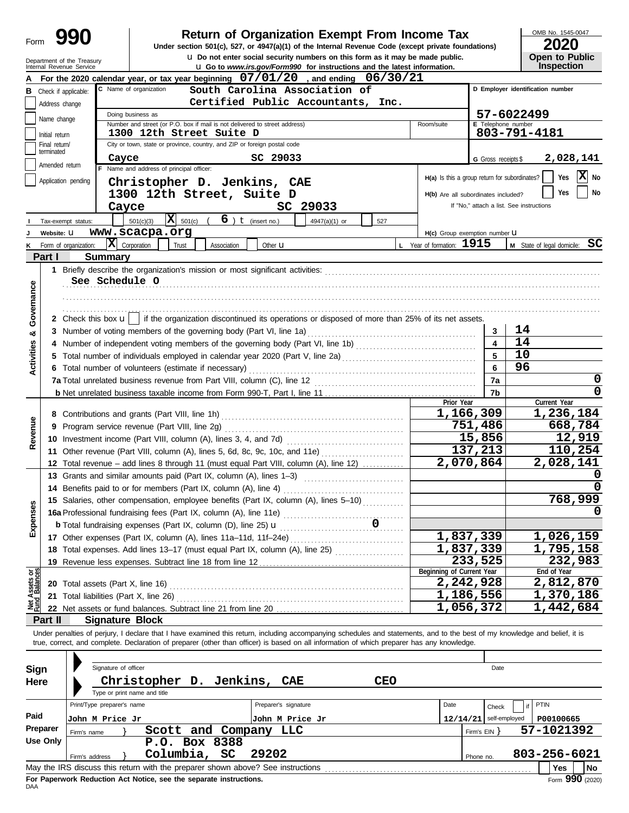|                                |                |                                                     |                                                                                                                                                                            |                        |                                                                                      |            |                                               |                          | OMB No. 1545-0047                        |
|--------------------------------|----------------|-----------------------------------------------------|----------------------------------------------------------------------------------------------------------------------------------------------------------------------------|------------------------|--------------------------------------------------------------------------------------|------------|-----------------------------------------------|--------------------------|------------------------------------------|
| Form                           |                | 990                                                 | Return of Organization Exempt From Income Tax<br>Under section 501(c), 527, or 4947(a)(1) of the Internal Revenue Code (except private foundations)                        |                        |                                                                                      |            |                                               |                          | <b>2020</b>                              |
|                                |                | Department of the Treasury                          |                                                                                                                                                                            |                        | <b>u</b> Do not enter social security numbers on this form as it may be made public. |            |                                               |                          | Open to Public                           |
|                                |                | Internal Revenue Service                            |                                                                                                                                                                            |                        | <b>u</b> Go to www.irs.gov/Form990 for instructions and the latest information.      |            |                                               |                          | Inspection                               |
|                                |                |                                                     | For the 2020 calendar year, or tax year beginning $07/01/20$ , and ending $06/30/21$                                                                                       |                        |                                                                                      |            |                                               |                          |                                          |
|                                |                | <b>B</b> Check if applicable:                       | C Name of organization                                                                                                                                                     |                        | South Carolina Association of                                                        |            |                                               |                          | D Employer identification number         |
|                                | Address change |                                                     |                                                                                                                                                                            |                        | Certified Public Accountants, Inc.                                                   |            |                                               |                          |                                          |
|                                | Name change    |                                                     | Doing business as<br>Number and street (or P.O. box if mail is not delivered to street address)                                                                            |                        |                                                                                      |            | Room/suite                                    | E Telephone number       | 57-6022499                               |
|                                | Initial return |                                                     | 1300 12th Street Suite D                                                                                                                                                   |                        |                                                                                      |            |                                               |                          | 803-791-4181                             |
|                                | Final return/  |                                                     | City or town, state or province, country, and ZIP or foreign postal code                                                                                                   |                        |                                                                                      |            |                                               |                          |                                          |
|                                | terminated     | Cayce                                               |                                                                                                                                                                            | SC 29033               |                                                                                      |            |                                               | G Gross receipts \$      | 2,028,141                                |
|                                | Amended return |                                                     | F Name and address of principal officer:                                                                                                                                   |                        |                                                                                      |            | H(a) Is this a group return for subordinates? |                          | X<br>Yes<br>No                           |
|                                |                | Application pending                                 | Christopher D. Jenkins, CAE                                                                                                                                                |                        |                                                                                      |            |                                               |                          |                                          |
|                                |                |                                                     | 1300 12th Street, Suite D                                                                                                                                                  |                        |                                                                                      |            | H(b) Are all subordinates included?           |                          | Yes<br>No                                |
|                                |                | Cayce                                               |                                                                                                                                                                            |                        | SC 29033                                                                             |            |                                               |                          | If "No," attach a list. See instructions |
|                                |                | Tax-exempt status:                                  | $\overline{\mathbf{X}}$ 501(c) (<br>501(c)(3)                                                                                                                              | $6$ ) $t$ (insert no.) | 4947(a)(1) or                                                                        | 527        |                                               |                          |                                          |
|                                | Website: U     |                                                     | www.scacpa.org                                                                                                                                                             |                        |                                                                                      |            | H(c) Group exemption number LI                |                          |                                          |
| κ                              |                | $ \mathbf{X} $ Corporation<br>Form of organization: | Trust<br>Association                                                                                                                                                       | Other $\mathbf u$      |                                                                                      |            | L Year of formation: $1915$                   |                          | M State of legal domicile: SC            |
|                                | Part I         | Summary                                             |                                                                                                                                                                            |                        |                                                                                      |            |                                               |                          |                                          |
|                                |                |                                                     |                                                                                                                                                                            |                        |                                                                                      |            |                                               |                          |                                          |
| Governance                     |                | See Schedule O                                      |                                                                                                                                                                            |                        |                                                                                      |            |                                               |                          |                                          |
|                                |                |                                                     |                                                                                                                                                                            |                        |                                                                                      |            |                                               |                          |                                          |
|                                |                |                                                     | 2 Check this box $\mathbf{u}$   if the organization discontinued its operations or disposed of more than 25% of its net assets.                                            |                        |                                                                                      |            |                                               |                          |                                          |
|                                |                |                                                     | 3 Number of voting members of the governing body (Part VI, line 1a)                                                                                                        |                        |                                                                                      |            |                                               | 3                        | 14                                       |
| ×                              |                |                                                     |                                                                                                                                                                            |                        |                                                                                      |            |                                               | $\overline{\mathbf{4}}$  | 14                                       |
|                                |                |                                                     |                                                                                                                                                                            |                        |                                                                                      |            |                                               | 5                        | 10                                       |
| <b>Activities</b>              |                |                                                     | 6 Total number of volunteers (estimate if necessary)                                                                                                                       |                        |                                                                                      |            |                                               | 6                        | 96                                       |
|                                |                |                                                     |                                                                                                                                                                            |                        |                                                                                      |            |                                               | 7a                       | 0                                        |
|                                |                |                                                     |                                                                                                                                                                            |                        |                                                                                      |            |                                               | 7b                       | 0                                        |
|                                |                |                                                     |                                                                                                                                                                            |                        |                                                                                      |            | Prior Year                                    |                          | Current Year                             |
|                                |                |                                                     |                                                                                                                                                                            |                        | 1,166,309                                                                            | 1,236,184  |                                               |                          |                                          |
| Revenue                        |                |                                                     | 9 Program service revenue (Part VIII, line 2g)                                                                                                                             |                        |                                                                                      |            |                                               | 751,486                  | 668,784                                  |
|                                |                |                                                     | 10 Investment income (Part VIII, column (A), lines 3, 4, and 7d)                                                                                                           |                        |                                                                                      |            |                                               | 15,856                   | 12,919                                   |
|                                |                |                                                     | 11 Other revenue (Part VIII, column (A), lines 5, 6d, 8c, 9c, 10c, and 11e)                                                                                                |                        |                                                                                      |            |                                               | 137,213                  | 110,254                                  |
|                                |                |                                                     | 12 Total revenue - add lines 8 through 11 (must equal Part VIII, column (A), line 12)                                                                                      |                        |                                                                                      |            |                                               | 2,070,864                | 2,028,141                                |
|                                |                |                                                     | 13 Grants and similar amounts paid (Part IX, column (A), lines 1-3)                                                                                                        |                        |                                                                                      |            |                                               |                          | $\mathbf 0$                              |
|                                |                |                                                     | 14 Benefits paid to or for members (Part IX, column (A), line 4)                                                                                                           |                        |                                                                                      |            |                                               |                          | $\Omega$                                 |
|                                |                |                                                     | 15 Salaries, other compensation, employee benefits (Part IX, column (A), lines 5-10)                                                                                       |                        |                                                                                      |            |                                               |                          | 768,999                                  |
| Expenses                       |                |                                                     |                                                                                                                                                                            |                        |                                                                                      |            |                                               |                          |                                          |
|                                |                |                                                     | <b>b</b> Total fundraising expenses (Part IX, column (D), line 25) <b>u</b>                                                                                                |                        |                                                                                      |            |                                               |                          |                                          |
|                                |                |                                                     | 17 Other expenses (Part IX, column (A), lines 11a-11d, 11f-24e)                                                                                                            |                        |                                                                                      |            |                                               | 1,837,339                | 1,026,159                                |
|                                |                |                                                     | 18 Total expenses. Add lines 13-17 (must equal Part IX, column (A), line 25)                                                                                               |                        |                                                                                      |            |                                               | 1,837,339<br>233,525     | 1,795,158                                |
|                                |                |                                                     | 19 Revenue less expenses. Subtract line 18 from line 12                                                                                                                    |                        |                                                                                      |            | Beginning of Current Year                     |                          | 232,983<br>End of Year                   |
| Net Assets or<br>Fund Balances |                |                                                     |                                                                                                                                                                            |                        |                                                                                      |            |                                               | 2,242,928                | 2,812,870                                |
|                                |                |                                                     | 21 Total liabilities (Part X, line 26) [11] The matter contract to the US of Total liabilities (Part X, line 26)                                                           |                        |                                                                                      |            |                                               | 1,186,556                | 1,370,186                                |
|                                |                |                                                     |                                                                                                                                                                            |                        |                                                                                      |            |                                               | 1,056,372                | 1,442,684                                |
|                                | Part II        | <b>Signature Block</b>                              |                                                                                                                                                                            |                        |                                                                                      |            |                                               |                          |                                          |
|                                |                |                                                     | Under penalties of perjury, I declare that I have examined this return, including accompanying schedules and statements, and to the best of my knowledge and belief, it is |                        |                                                                                      |            |                                               |                          |                                          |
|                                |                |                                                     | true, correct, and complete. Declaration of preparer (other than officer) is based on all information of which preparer has any knowledge.                                 |                        |                                                                                      |            |                                               |                          |                                          |
|                                |                |                                                     |                                                                                                                                                                            |                        |                                                                                      |            |                                               |                          |                                          |
| Sign                           |                | Signature of officer                                |                                                                                                                                                                            |                        |                                                                                      |            |                                               | Date                     |                                          |
| Here                           |                |                                                     | Christopher D. Jenkins, CAE                                                                                                                                                |                        |                                                                                      | <b>CEO</b> |                                               |                          |                                          |
|                                |                |                                                     | Type or print name and title                                                                                                                                               |                        |                                                                                      |            |                                               |                          |                                          |
|                                |                | Print/Type preparer's name                          |                                                                                                                                                                            | Preparer's signature   |                                                                                      |            | Date                                          | Check                    | <b>PTIN</b>                              |
| Paid                           |                | John M Price Jr                                     |                                                                                                                                                                            | John M Price Jr        |                                                                                      |            |                                               | $12/14/21$ self-employed | P00100665                                |
|                                | Preparer       | Firm's name                                         | Scott and Company LLC                                                                                                                                                      |                        |                                                                                      |            |                                               | Firm's $EIN$ }           | 57-1021392                               |
|                                | Use Only       |                                                     | P.O. Box 8388                                                                                                                                                              |                        |                                                                                      |            |                                               |                          |                                          |
|                                |                | Firm's address                                      | Columbia, SC                                                                                                                                                               | 29202                  |                                                                                      |            |                                               | Phone no.                | 803-256-6021                             |
|                                |                |                                                     | May the IRS discuss this return with the preparer shown above? See instructions                                                                                            |                        |                                                                                      |            |                                               |                          | Yes<br>No                                |

| Sign     |                 | Signature of officer       |                              |               |                             |       |                                                                                 |     |      |                | Date                     |              |            |     |      |
|----------|-----------------|----------------------------|------------------------------|---------------|-----------------------------|-------|---------------------------------------------------------------------------------|-----|------|----------------|--------------------------|--------------|------------|-----|------|
| Here     |                 |                            | Type or print name and title |               | Christopher D. Jenkins, CAE |       |                                                                                 | CEO |      |                |                          |              |            |     |      |
|          |                 | Print/Type preparer's name |                              |               |                             |       | Preparer's signature                                                            |     | Date |                | Check                    |              | PTIN       |     |      |
| Paid     | John M Price Jr |                            |                              |               |                             |       | John M Price Jr                                                                 |     |      |                | $12/14/21$ self-employed |              | P00100665  |     |      |
| Preparer | Firm's name     |                            |                              |               | Scott and Company           |       | LLC                                                                             |     |      | Firm's $EIN$ } |                          |              | 57-1021392 |     |      |
| Use Only |                 |                            |                              | P.O. Box 8388 |                             |       |                                                                                 |     |      |                |                          |              |            |     |      |
|          | Firm's address  |                            |                              | Columbia, SC  |                             | 29202 |                                                                                 |     |      | Phone no.      |                          | 803-256-6021 |            |     |      |
|          |                 |                            |                              |               |                             |       | May the IRS discuss this return with the preparer shown above? See instructions |     |      |                |                          |              |            | Yes | l No |
|          |                 |                            |                              |               |                             |       |                                                                                 |     |      |                |                          |              |            | --- |      |

**For Paperwork Reduction Act Notice, see the separate instructions.**<br>DAA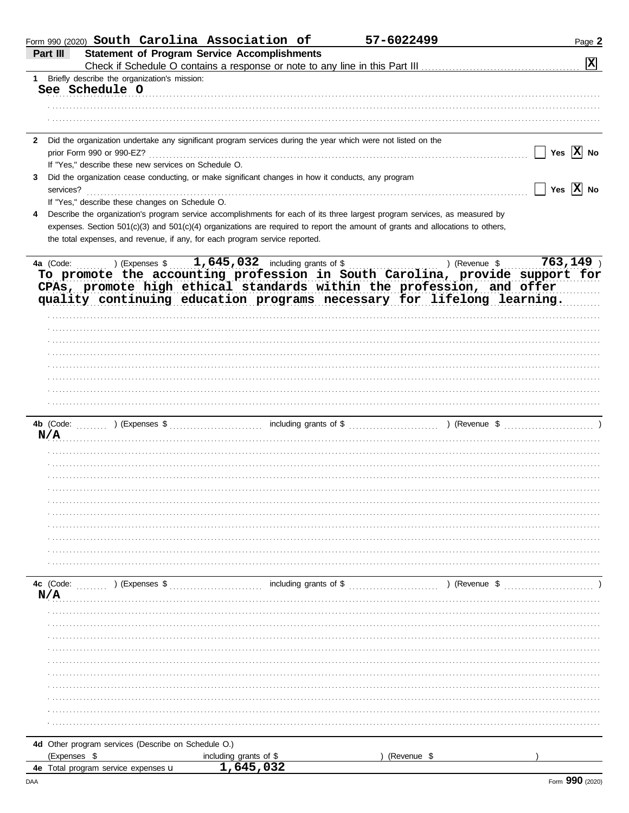| Form 990 (2020) South Carolina Association of                                                                                  |                                      | 57-6022499                | Page 2                       |
|--------------------------------------------------------------------------------------------------------------------------------|--------------------------------------|---------------------------|------------------------------|
| <b>Statement of Program Service Accomplishments</b><br>Part III                                                                |                                      |                           |                              |
|                                                                                                                                |                                      |                           | X                            |
| 1 Briefly describe the organization's mission:<br>See Schedule O                                                               |                                      |                           |                              |
|                                                                                                                                |                                      |                           |                              |
|                                                                                                                                |                                      |                           |                              |
|                                                                                                                                |                                      |                           |                              |
| Did the organization undertake any significant program services during the year which were not listed on the<br>$\mathbf{2}$   |                                      |                           |                              |
| prior Form 990 or 990-EZ?                                                                                                      |                                      |                           | Yes $\overline{X}$ No        |
| If "Yes," describe these new services on Schedule O.                                                                           |                                      |                           |                              |
| Did the organization cease conducting, or make significant changes in how it conducts, any program<br>3                        |                                      |                           |                              |
| services?                                                                                                                      |                                      |                           | $\Box$ Yes $\overline{X}$ No |
| If "Yes," describe these changes on Schedule O.                                                                                |                                      |                           |                              |
| Describe the organization's program service accomplishments for each of its three largest program services, as measured by     |                                      |                           |                              |
| expenses. Section 501(c)(3) and 501(c)(4) organizations are required to report the amount of grants and allocations to others, |                                      |                           |                              |
| the total expenses, and revenue, if any, for each program service reported.                                                    |                                      |                           |                              |
|                                                                                                                                |                                      |                           |                              |
| $\ldots$ ) (Expenses \$ $1,645,032$ including grants of \$ $\ldots$<br>4a (Code:                                               |                                      | ) (Revenue $\sqrt[6]{\ }$ | $763, 149$ )                 |
| To promote the accounting profession in South Carolina, provide support for                                                    |                                      |                           |                              |
| CPAs, promote high ethical standards within the profession, and offer                                                          |                                      |                           |                              |
| quality continuing education programs necessary for lifelong learning.                                                         |                                      |                           |                              |
|                                                                                                                                |                                      |                           |                              |
|                                                                                                                                |                                      |                           |                              |
|                                                                                                                                |                                      |                           |                              |
|                                                                                                                                |                                      |                           |                              |
|                                                                                                                                |                                      |                           |                              |
|                                                                                                                                |                                      |                           |                              |
|                                                                                                                                |                                      |                           |                              |
|                                                                                                                                |                                      |                           |                              |
| 4b (Code:                                                                                                                      |                                      |                           |                              |
| N/A                                                                                                                            |                                      |                           |                              |
|                                                                                                                                |                                      |                           |                              |
|                                                                                                                                |                                      |                           |                              |
|                                                                                                                                |                                      |                           |                              |
|                                                                                                                                |                                      |                           |                              |
|                                                                                                                                |                                      |                           |                              |
|                                                                                                                                |                                      |                           |                              |
|                                                                                                                                |                                      |                           |                              |
|                                                                                                                                |                                      |                           |                              |
|                                                                                                                                |                                      |                           |                              |
|                                                                                                                                |                                      |                           |                              |
|                                                                                                                                |                                      |                           |                              |
| 4c (Code:<br>) (Expenses \$                                                                                                    | including grants of \$               | ) (Revenue \$             |                              |
| N/A                                                                                                                            |                                      |                           |                              |
|                                                                                                                                |                                      |                           |                              |
|                                                                                                                                |                                      |                           |                              |
|                                                                                                                                |                                      |                           |                              |
|                                                                                                                                |                                      |                           |                              |
|                                                                                                                                |                                      |                           |                              |
|                                                                                                                                |                                      |                           |                              |
|                                                                                                                                |                                      |                           |                              |
|                                                                                                                                |                                      |                           |                              |
|                                                                                                                                |                                      |                           |                              |
|                                                                                                                                |                                      |                           |                              |
| 4d Other program services (Describe on Schedule O.)                                                                            |                                      |                           |                              |
| (Expenses \$                                                                                                                   |                                      | (Revenue \$               |                              |
| 4e Total program service expenses u                                                                                            | including grants of $$$<br>1,645,032 |                           |                              |
|                                                                                                                                |                                      |                           |                              |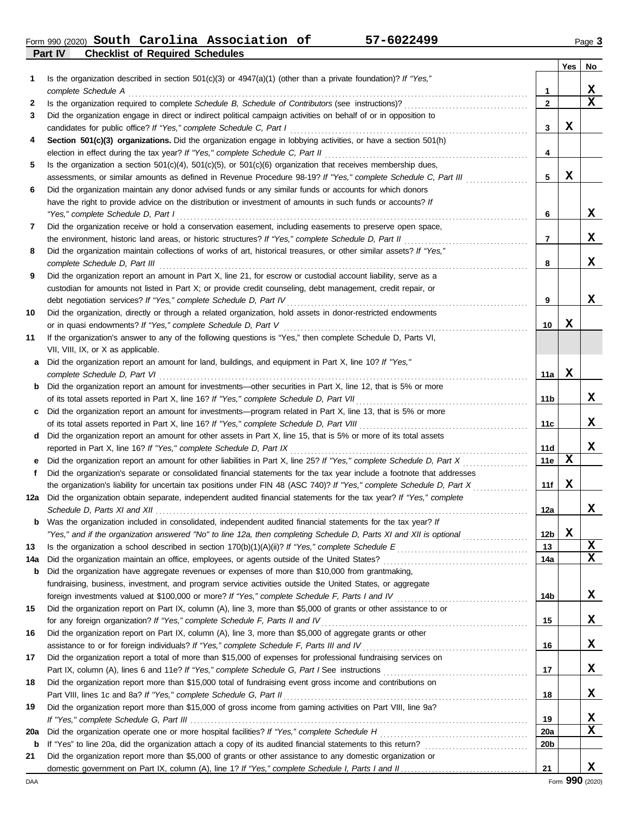**Part IV Checklist of Required Schedules** Form 990 (2020) Page **3 South Carolina Association of 57-6022499**

| Is the organization described in section $501(c)(3)$ or $4947(a)(1)$ (other than a private foundation)? If "Yes,"<br>1<br>X<br>complete Schedule A<br>1<br>$\mathbf{2}$<br>2<br>Did the organization engage in direct or indirect political campaign activities on behalf of or in opposition to<br>3<br>X<br>3<br>Section 501(c)(3) organizations. Did the organization engage in lobbying activities, or have a section 501(h)<br>4<br>4<br>Is the organization a section $501(c)(4)$ , $501(c)(5)$ , or $501(c)(6)$ organization that receives membership dues,<br>5<br>X<br>5<br>assessments, or similar amounts as defined in Revenue Procedure 98-19? If "Yes," complete Schedule C, Part III<br>Did the organization maintain any donor advised funds or any similar funds or accounts for which donors<br>6<br>have the right to provide advice on the distribution or investment of amounts in such funds or accounts? If<br>X<br>"Yes," complete Schedule D, Part I<br>6<br>Did the organization receive or hold a conservation easement, including easements to preserve open space,<br>7<br>x<br>the environment, historic land areas, or historic structures? If "Yes," complete Schedule D, Part II<br>7<br>Did the organization maintain collections of works of art, historical treasures, or other similar assets? If "Yes,"<br>8<br>x<br>complete Schedule D, Part III<br>8<br>Did the organization report an amount in Part X, line 21, for escrow or custodial account liability, serve as a<br>9<br>custodian for amounts not listed in Part X; or provide credit counseling, debt management, credit repair, or<br>x<br>9<br>Did the organization, directly or through a related organization, hold assets in donor-restricted endowments<br>10<br>X<br>or in quasi endowments? If "Yes," complete Schedule D, Part V<br>10<br>If the organization's answer to any of the following questions is "Yes," then complete Schedule D, Parts VI,<br>11<br>VII, VIII, IX, or X as applicable.<br>Did the organization report an amount for land, buildings, and equipment in Part X, line 10? If "Yes,"<br>a<br>X<br>complete Schedule D, Part VI<br>11a<br>Did the organization report an amount for investments—other securities in Part X, line 12, that is 5% or more<br>b<br>11 b<br>Did the organization report an amount for investments—program related in Part X, line 13, that is 5% or more<br>c<br>11c<br>Did the organization report an amount for other assets in Part X, line 15, that is 5% or more of its total assets<br>d<br>reported in Part X, line 16? If "Yes," complete Schedule D, Part IX<br>11d<br>X<br>Did the organization report an amount for other liabilities in Part X, line 25? If "Yes," complete Schedule D, Part X<br>11e<br>Did the organization's separate or consolidated financial statements for the tax year include a footnote that addresses<br>f<br>X<br>11f<br>the organization's liability for uncertain tax positions under FIN 48 (ASC 740)? If "Yes," complete Schedule D, Part X<br>Did the organization obtain separate, independent audited financial statements for the tax year? If "Yes," complete<br>12a<br>12a<br>Was the organization included in consolidated, independent audited financial statements for the tax year? If<br>b<br>X<br>"Yes," and if the organization answered "No" to line 12a, then completing Schedule D, Parts XI and XII is optional<br>12 <sub>b</sub><br>X<br>13<br>13<br>$\mathbf x$<br>14a<br>14a<br>Did the organization have aggregate revenues or expenses of more than \$10,000 from grantmaking,<br>b<br>fundraising, business, investment, and program service activities outside the United States, or aggregate<br>X<br>foreign investments valued at \$100,000 or more? If "Yes," complete Schedule F, Parts I and IV [[[[[[[[[[[[[[[<br>14b<br>15<br>Did the organization report on Part IX, column (A), line 3, more than \$5,000 of grants or other assistance to or<br>X<br>for any foreign organization? If "Yes," complete Schedule F, Parts II and IV<br>15<br>Did the organization report on Part IX, column (A), line 3, more than \$5,000 of aggregate grants or other<br>16<br>X<br>assistance to or for foreign individuals? If "Yes," complete Schedule F, Parts III and IV [[[[[[[[[[[[[[[[[[[<br>16<br>Did the organization report a total of more than \$15,000 of expenses for professional fundraising services on<br>17<br>X<br>17<br>Did the organization report more than \$15,000 total of fundraising event gross income and contributions on<br>18<br>X<br>Part VIII, lines 1c and 8a? If "Yes," complete Schedule G, Part II<br>18<br>19<br>Did the organization report more than \$15,000 of gross income from gaming activities on Part VIII, line 9a?<br>X<br>19<br>X<br>20a<br><b>20a</b><br>20b<br>b<br>Did the organization report more than \$5,000 of grants or other assistance to any domestic organization or<br>21<br>21 |  | <b>Yes</b> | No          |
|----------------------------------------------------------------------------------------------------------------------------------------------------------------------------------------------------------------------------------------------------------------------------------------------------------------------------------------------------------------------------------------------------------------------------------------------------------------------------------------------------------------------------------------------------------------------------------------------------------------------------------------------------------------------------------------------------------------------------------------------------------------------------------------------------------------------------------------------------------------------------------------------------------------------------------------------------------------------------------------------------------------------------------------------------------------------------------------------------------------------------------------------------------------------------------------------------------------------------------------------------------------------------------------------------------------------------------------------------------------------------------------------------------------------------------------------------------------------------------------------------------------------------------------------------------------------------------------------------------------------------------------------------------------------------------------------------------------------------------------------------------------------------------------------------------------------------------------------------------------------------------------------------------------------------------------------------------------------------------------------------------------------------------------------------------------------------------------------------------------------------------------------------------------------------------------------------------------------------------------------------------------------------------------------------------------------------------------------------------------------------------------------------------------------------------------------------------------------------------------------------------------------------------------------------------------------------------------------------------------------------------------------------------------------------------------------------------------------------------------------------------------------------------------------------------------------------------------------------------------------------------------------------------------------------------------------------------------------------------------------------------------------------------------------------------------------------------------------------------------------------------------------------------------------------------------------------------------------------------------------------------------------------------------------------------------------------------------------------------------------------------------------------------------------------------------------------------------------------------------------------------------------------------------------------------------------------------------------------------------------------------------------------------------------------------------------------------------------------------------------------------------------------------------------------------------------------------------------------------------------------------------------------------------------------------------------------------------------------------------------------------------------------------------------------------------------------------------------------------------------------------------------------------------------------------------------------------------------------------------------------------------------------------------------------------------------------------------------------------------------------------------------------------------------------------------------------------------------------------------------------------------------------------------------------------------------------------------------------------------------------------------------------------------------------------------------------------------------------------------------------------------------------------------------------------------------------------------------------------------------------------------------------------------------------------------------------------------------------------|--|------------|-------------|
|                                                                                                                                                                                                                                                                                                                                                                                                                                                                                                                                                                                                                                                                                                                                                                                                                                                                                                                                                                                                                                                                                                                                                                                                                                                                                                                                                                                                                                                                                                                                                                                                                                                                                                                                                                                                                                                                                                                                                                                                                                                                                                                                                                                                                                                                                                                                                                                                                                                                                                                                                                                                                                                                                                                                                                                                                                                                                                                                                                                                                                                                                                                                                                                                                                                                                                                                                                                                                                                                                                                                                                                                                                                                                                                                                                                                                                                                                                                                                                                                                                                                                                                                                                                                                                                                                                                                                                                                                                                                                                                                                                                                                                                                                                                                                                                                                                                                                                                                                                                  |  |            |             |
|                                                                                                                                                                                                                                                                                                                                                                                                                                                                                                                                                                                                                                                                                                                                                                                                                                                                                                                                                                                                                                                                                                                                                                                                                                                                                                                                                                                                                                                                                                                                                                                                                                                                                                                                                                                                                                                                                                                                                                                                                                                                                                                                                                                                                                                                                                                                                                                                                                                                                                                                                                                                                                                                                                                                                                                                                                                                                                                                                                                                                                                                                                                                                                                                                                                                                                                                                                                                                                                                                                                                                                                                                                                                                                                                                                                                                                                                                                                                                                                                                                                                                                                                                                                                                                                                                                                                                                                                                                                                                                                                                                                                                                                                                                                                                                                                                                                                                                                                                                                  |  |            |             |
|                                                                                                                                                                                                                                                                                                                                                                                                                                                                                                                                                                                                                                                                                                                                                                                                                                                                                                                                                                                                                                                                                                                                                                                                                                                                                                                                                                                                                                                                                                                                                                                                                                                                                                                                                                                                                                                                                                                                                                                                                                                                                                                                                                                                                                                                                                                                                                                                                                                                                                                                                                                                                                                                                                                                                                                                                                                                                                                                                                                                                                                                                                                                                                                                                                                                                                                                                                                                                                                                                                                                                                                                                                                                                                                                                                                                                                                                                                                                                                                                                                                                                                                                                                                                                                                                                                                                                                                                                                                                                                                                                                                                                                                                                                                                                                                                                                                                                                                                                                                  |  |            | $\mathbf x$ |
|                                                                                                                                                                                                                                                                                                                                                                                                                                                                                                                                                                                                                                                                                                                                                                                                                                                                                                                                                                                                                                                                                                                                                                                                                                                                                                                                                                                                                                                                                                                                                                                                                                                                                                                                                                                                                                                                                                                                                                                                                                                                                                                                                                                                                                                                                                                                                                                                                                                                                                                                                                                                                                                                                                                                                                                                                                                                                                                                                                                                                                                                                                                                                                                                                                                                                                                                                                                                                                                                                                                                                                                                                                                                                                                                                                                                                                                                                                                                                                                                                                                                                                                                                                                                                                                                                                                                                                                                                                                                                                                                                                                                                                                                                                                                                                                                                                                                                                                                                                                  |  |            |             |
|                                                                                                                                                                                                                                                                                                                                                                                                                                                                                                                                                                                                                                                                                                                                                                                                                                                                                                                                                                                                                                                                                                                                                                                                                                                                                                                                                                                                                                                                                                                                                                                                                                                                                                                                                                                                                                                                                                                                                                                                                                                                                                                                                                                                                                                                                                                                                                                                                                                                                                                                                                                                                                                                                                                                                                                                                                                                                                                                                                                                                                                                                                                                                                                                                                                                                                                                                                                                                                                                                                                                                                                                                                                                                                                                                                                                                                                                                                                                                                                                                                                                                                                                                                                                                                                                                                                                                                                                                                                                                                                                                                                                                                                                                                                                                                                                                                                                                                                                                                                  |  |            |             |
|                                                                                                                                                                                                                                                                                                                                                                                                                                                                                                                                                                                                                                                                                                                                                                                                                                                                                                                                                                                                                                                                                                                                                                                                                                                                                                                                                                                                                                                                                                                                                                                                                                                                                                                                                                                                                                                                                                                                                                                                                                                                                                                                                                                                                                                                                                                                                                                                                                                                                                                                                                                                                                                                                                                                                                                                                                                                                                                                                                                                                                                                                                                                                                                                                                                                                                                                                                                                                                                                                                                                                                                                                                                                                                                                                                                                                                                                                                                                                                                                                                                                                                                                                                                                                                                                                                                                                                                                                                                                                                                                                                                                                                                                                                                                                                                                                                                                                                                                                                                  |  |            |             |
|                                                                                                                                                                                                                                                                                                                                                                                                                                                                                                                                                                                                                                                                                                                                                                                                                                                                                                                                                                                                                                                                                                                                                                                                                                                                                                                                                                                                                                                                                                                                                                                                                                                                                                                                                                                                                                                                                                                                                                                                                                                                                                                                                                                                                                                                                                                                                                                                                                                                                                                                                                                                                                                                                                                                                                                                                                                                                                                                                                                                                                                                                                                                                                                                                                                                                                                                                                                                                                                                                                                                                                                                                                                                                                                                                                                                                                                                                                                                                                                                                                                                                                                                                                                                                                                                                                                                                                                                                                                                                                                                                                                                                                                                                                                                                                                                                                                                                                                                                                                  |  |            |             |
|                                                                                                                                                                                                                                                                                                                                                                                                                                                                                                                                                                                                                                                                                                                                                                                                                                                                                                                                                                                                                                                                                                                                                                                                                                                                                                                                                                                                                                                                                                                                                                                                                                                                                                                                                                                                                                                                                                                                                                                                                                                                                                                                                                                                                                                                                                                                                                                                                                                                                                                                                                                                                                                                                                                                                                                                                                                                                                                                                                                                                                                                                                                                                                                                                                                                                                                                                                                                                                                                                                                                                                                                                                                                                                                                                                                                                                                                                                                                                                                                                                                                                                                                                                                                                                                                                                                                                                                                                                                                                                                                                                                                                                                                                                                                                                                                                                                                                                                                                                                  |  |            |             |
|                                                                                                                                                                                                                                                                                                                                                                                                                                                                                                                                                                                                                                                                                                                                                                                                                                                                                                                                                                                                                                                                                                                                                                                                                                                                                                                                                                                                                                                                                                                                                                                                                                                                                                                                                                                                                                                                                                                                                                                                                                                                                                                                                                                                                                                                                                                                                                                                                                                                                                                                                                                                                                                                                                                                                                                                                                                                                                                                                                                                                                                                                                                                                                                                                                                                                                                                                                                                                                                                                                                                                                                                                                                                                                                                                                                                                                                                                                                                                                                                                                                                                                                                                                                                                                                                                                                                                                                                                                                                                                                                                                                                                                                                                                                                                                                                                                                                                                                                                                                  |  |            |             |
|                                                                                                                                                                                                                                                                                                                                                                                                                                                                                                                                                                                                                                                                                                                                                                                                                                                                                                                                                                                                                                                                                                                                                                                                                                                                                                                                                                                                                                                                                                                                                                                                                                                                                                                                                                                                                                                                                                                                                                                                                                                                                                                                                                                                                                                                                                                                                                                                                                                                                                                                                                                                                                                                                                                                                                                                                                                                                                                                                                                                                                                                                                                                                                                                                                                                                                                                                                                                                                                                                                                                                                                                                                                                                                                                                                                                                                                                                                                                                                                                                                                                                                                                                                                                                                                                                                                                                                                                                                                                                                                                                                                                                                                                                                                                                                                                                                                                                                                                                                                  |  |            |             |
|                                                                                                                                                                                                                                                                                                                                                                                                                                                                                                                                                                                                                                                                                                                                                                                                                                                                                                                                                                                                                                                                                                                                                                                                                                                                                                                                                                                                                                                                                                                                                                                                                                                                                                                                                                                                                                                                                                                                                                                                                                                                                                                                                                                                                                                                                                                                                                                                                                                                                                                                                                                                                                                                                                                                                                                                                                                                                                                                                                                                                                                                                                                                                                                                                                                                                                                                                                                                                                                                                                                                                                                                                                                                                                                                                                                                                                                                                                                                                                                                                                                                                                                                                                                                                                                                                                                                                                                                                                                                                                                                                                                                                                                                                                                                                                                                                                                                                                                                                                                  |  |            |             |
|                                                                                                                                                                                                                                                                                                                                                                                                                                                                                                                                                                                                                                                                                                                                                                                                                                                                                                                                                                                                                                                                                                                                                                                                                                                                                                                                                                                                                                                                                                                                                                                                                                                                                                                                                                                                                                                                                                                                                                                                                                                                                                                                                                                                                                                                                                                                                                                                                                                                                                                                                                                                                                                                                                                                                                                                                                                                                                                                                                                                                                                                                                                                                                                                                                                                                                                                                                                                                                                                                                                                                                                                                                                                                                                                                                                                                                                                                                                                                                                                                                                                                                                                                                                                                                                                                                                                                                                                                                                                                                                                                                                                                                                                                                                                                                                                                                                                                                                                                                                  |  |            |             |
|                                                                                                                                                                                                                                                                                                                                                                                                                                                                                                                                                                                                                                                                                                                                                                                                                                                                                                                                                                                                                                                                                                                                                                                                                                                                                                                                                                                                                                                                                                                                                                                                                                                                                                                                                                                                                                                                                                                                                                                                                                                                                                                                                                                                                                                                                                                                                                                                                                                                                                                                                                                                                                                                                                                                                                                                                                                                                                                                                                                                                                                                                                                                                                                                                                                                                                                                                                                                                                                                                                                                                                                                                                                                                                                                                                                                                                                                                                                                                                                                                                                                                                                                                                                                                                                                                                                                                                                                                                                                                                                                                                                                                                                                                                                                                                                                                                                                                                                                                                                  |  |            |             |
|                                                                                                                                                                                                                                                                                                                                                                                                                                                                                                                                                                                                                                                                                                                                                                                                                                                                                                                                                                                                                                                                                                                                                                                                                                                                                                                                                                                                                                                                                                                                                                                                                                                                                                                                                                                                                                                                                                                                                                                                                                                                                                                                                                                                                                                                                                                                                                                                                                                                                                                                                                                                                                                                                                                                                                                                                                                                                                                                                                                                                                                                                                                                                                                                                                                                                                                                                                                                                                                                                                                                                                                                                                                                                                                                                                                                                                                                                                                                                                                                                                                                                                                                                                                                                                                                                                                                                                                                                                                                                                                                                                                                                                                                                                                                                                                                                                                                                                                                                                                  |  |            |             |
|                                                                                                                                                                                                                                                                                                                                                                                                                                                                                                                                                                                                                                                                                                                                                                                                                                                                                                                                                                                                                                                                                                                                                                                                                                                                                                                                                                                                                                                                                                                                                                                                                                                                                                                                                                                                                                                                                                                                                                                                                                                                                                                                                                                                                                                                                                                                                                                                                                                                                                                                                                                                                                                                                                                                                                                                                                                                                                                                                                                                                                                                                                                                                                                                                                                                                                                                                                                                                                                                                                                                                                                                                                                                                                                                                                                                                                                                                                                                                                                                                                                                                                                                                                                                                                                                                                                                                                                                                                                                                                                                                                                                                                                                                                                                                                                                                                                                                                                                                                                  |  |            |             |
|                                                                                                                                                                                                                                                                                                                                                                                                                                                                                                                                                                                                                                                                                                                                                                                                                                                                                                                                                                                                                                                                                                                                                                                                                                                                                                                                                                                                                                                                                                                                                                                                                                                                                                                                                                                                                                                                                                                                                                                                                                                                                                                                                                                                                                                                                                                                                                                                                                                                                                                                                                                                                                                                                                                                                                                                                                                                                                                                                                                                                                                                                                                                                                                                                                                                                                                                                                                                                                                                                                                                                                                                                                                                                                                                                                                                                                                                                                                                                                                                                                                                                                                                                                                                                                                                                                                                                                                                                                                                                                                                                                                                                                                                                                                                                                                                                                                                                                                                                                                  |  |            |             |
|                                                                                                                                                                                                                                                                                                                                                                                                                                                                                                                                                                                                                                                                                                                                                                                                                                                                                                                                                                                                                                                                                                                                                                                                                                                                                                                                                                                                                                                                                                                                                                                                                                                                                                                                                                                                                                                                                                                                                                                                                                                                                                                                                                                                                                                                                                                                                                                                                                                                                                                                                                                                                                                                                                                                                                                                                                                                                                                                                                                                                                                                                                                                                                                                                                                                                                                                                                                                                                                                                                                                                                                                                                                                                                                                                                                                                                                                                                                                                                                                                                                                                                                                                                                                                                                                                                                                                                                                                                                                                                                                                                                                                                                                                                                                                                                                                                                                                                                                                                                  |  |            |             |
|                                                                                                                                                                                                                                                                                                                                                                                                                                                                                                                                                                                                                                                                                                                                                                                                                                                                                                                                                                                                                                                                                                                                                                                                                                                                                                                                                                                                                                                                                                                                                                                                                                                                                                                                                                                                                                                                                                                                                                                                                                                                                                                                                                                                                                                                                                                                                                                                                                                                                                                                                                                                                                                                                                                                                                                                                                                                                                                                                                                                                                                                                                                                                                                                                                                                                                                                                                                                                                                                                                                                                                                                                                                                                                                                                                                                                                                                                                                                                                                                                                                                                                                                                                                                                                                                                                                                                                                                                                                                                                                                                                                                                                                                                                                                                                                                                                                                                                                                                                                  |  |            |             |
|                                                                                                                                                                                                                                                                                                                                                                                                                                                                                                                                                                                                                                                                                                                                                                                                                                                                                                                                                                                                                                                                                                                                                                                                                                                                                                                                                                                                                                                                                                                                                                                                                                                                                                                                                                                                                                                                                                                                                                                                                                                                                                                                                                                                                                                                                                                                                                                                                                                                                                                                                                                                                                                                                                                                                                                                                                                                                                                                                                                                                                                                                                                                                                                                                                                                                                                                                                                                                                                                                                                                                                                                                                                                                                                                                                                                                                                                                                                                                                                                                                                                                                                                                                                                                                                                                                                                                                                                                                                                                                                                                                                                                                                                                                                                                                                                                                                                                                                                                                                  |  |            |             |
|                                                                                                                                                                                                                                                                                                                                                                                                                                                                                                                                                                                                                                                                                                                                                                                                                                                                                                                                                                                                                                                                                                                                                                                                                                                                                                                                                                                                                                                                                                                                                                                                                                                                                                                                                                                                                                                                                                                                                                                                                                                                                                                                                                                                                                                                                                                                                                                                                                                                                                                                                                                                                                                                                                                                                                                                                                                                                                                                                                                                                                                                                                                                                                                                                                                                                                                                                                                                                                                                                                                                                                                                                                                                                                                                                                                                                                                                                                                                                                                                                                                                                                                                                                                                                                                                                                                                                                                                                                                                                                                                                                                                                                                                                                                                                                                                                                                                                                                                                                                  |  |            |             |
|                                                                                                                                                                                                                                                                                                                                                                                                                                                                                                                                                                                                                                                                                                                                                                                                                                                                                                                                                                                                                                                                                                                                                                                                                                                                                                                                                                                                                                                                                                                                                                                                                                                                                                                                                                                                                                                                                                                                                                                                                                                                                                                                                                                                                                                                                                                                                                                                                                                                                                                                                                                                                                                                                                                                                                                                                                                                                                                                                                                                                                                                                                                                                                                                                                                                                                                                                                                                                                                                                                                                                                                                                                                                                                                                                                                                                                                                                                                                                                                                                                                                                                                                                                                                                                                                                                                                                                                                                                                                                                                                                                                                                                                                                                                                                                                                                                                                                                                                                                                  |  |            |             |
|                                                                                                                                                                                                                                                                                                                                                                                                                                                                                                                                                                                                                                                                                                                                                                                                                                                                                                                                                                                                                                                                                                                                                                                                                                                                                                                                                                                                                                                                                                                                                                                                                                                                                                                                                                                                                                                                                                                                                                                                                                                                                                                                                                                                                                                                                                                                                                                                                                                                                                                                                                                                                                                                                                                                                                                                                                                                                                                                                                                                                                                                                                                                                                                                                                                                                                                                                                                                                                                                                                                                                                                                                                                                                                                                                                                                                                                                                                                                                                                                                                                                                                                                                                                                                                                                                                                                                                                                                                                                                                                                                                                                                                                                                                                                                                                                                                                                                                                                                                                  |  |            |             |
|                                                                                                                                                                                                                                                                                                                                                                                                                                                                                                                                                                                                                                                                                                                                                                                                                                                                                                                                                                                                                                                                                                                                                                                                                                                                                                                                                                                                                                                                                                                                                                                                                                                                                                                                                                                                                                                                                                                                                                                                                                                                                                                                                                                                                                                                                                                                                                                                                                                                                                                                                                                                                                                                                                                                                                                                                                                                                                                                                                                                                                                                                                                                                                                                                                                                                                                                                                                                                                                                                                                                                                                                                                                                                                                                                                                                                                                                                                                                                                                                                                                                                                                                                                                                                                                                                                                                                                                                                                                                                                                                                                                                                                                                                                                                                                                                                                                                                                                                                                                  |  |            |             |
|                                                                                                                                                                                                                                                                                                                                                                                                                                                                                                                                                                                                                                                                                                                                                                                                                                                                                                                                                                                                                                                                                                                                                                                                                                                                                                                                                                                                                                                                                                                                                                                                                                                                                                                                                                                                                                                                                                                                                                                                                                                                                                                                                                                                                                                                                                                                                                                                                                                                                                                                                                                                                                                                                                                                                                                                                                                                                                                                                                                                                                                                                                                                                                                                                                                                                                                                                                                                                                                                                                                                                                                                                                                                                                                                                                                                                                                                                                                                                                                                                                                                                                                                                                                                                                                                                                                                                                                                                                                                                                                                                                                                                                                                                                                                                                                                                                                                                                                                                                                  |  |            |             |
|                                                                                                                                                                                                                                                                                                                                                                                                                                                                                                                                                                                                                                                                                                                                                                                                                                                                                                                                                                                                                                                                                                                                                                                                                                                                                                                                                                                                                                                                                                                                                                                                                                                                                                                                                                                                                                                                                                                                                                                                                                                                                                                                                                                                                                                                                                                                                                                                                                                                                                                                                                                                                                                                                                                                                                                                                                                                                                                                                                                                                                                                                                                                                                                                                                                                                                                                                                                                                                                                                                                                                                                                                                                                                                                                                                                                                                                                                                                                                                                                                                                                                                                                                                                                                                                                                                                                                                                                                                                                                                                                                                                                                                                                                                                                                                                                                                                                                                                                                                                  |  |            |             |
|                                                                                                                                                                                                                                                                                                                                                                                                                                                                                                                                                                                                                                                                                                                                                                                                                                                                                                                                                                                                                                                                                                                                                                                                                                                                                                                                                                                                                                                                                                                                                                                                                                                                                                                                                                                                                                                                                                                                                                                                                                                                                                                                                                                                                                                                                                                                                                                                                                                                                                                                                                                                                                                                                                                                                                                                                                                                                                                                                                                                                                                                                                                                                                                                                                                                                                                                                                                                                                                                                                                                                                                                                                                                                                                                                                                                                                                                                                                                                                                                                                                                                                                                                                                                                                                                                                                                                                                                                                                                                                                                                                                                                                                                                                                                                                                                                                                                                                                                                                                  |  |            | x           |
|                                                                                                                                                                                                                                                                                                                                                                                                                                                                                                                                                                                                                                                                                                                                                                                                                                                                                                                                                                                                                                                                                                                                                                                                                                                                                                                                                                                                                                                                                                                                                                                                                                                                                                                                                                                                                                                                                                                                                                                                                                                                                                                                                                                                                                                                                                                                                                                                                                                                                                                                                                                                                                                                                                                                                                                                                                                                                                                                                                                                                                                                                                                                                                                                                                                                                                                                                                                                                                                                                                                                                                                                                                                                                                                                                                                                                                                                                                                                                                                                                                                                                                                                                                                                                                                                                                                                                                                                                                                                                                                                                                                                                                                                                                                                                                                                                                                                                                                                                                                  |  |            |             |
|                                                                                                                                                                                                                                                                                                                                                                                                                                                                                                                                                                                                                                                                                                                                                                                                                                                                                                                                                                                                                                                                                                                                                                                                                                                                                                                                                                                                                                                                                                                                                                                                                                                                                                                                                                                                                                                                                                                                                                                                                                                                                                                                                                                                                                                                                                                                                                                                                                                                                                                                                                                                                                                                                                                                                                                                                                                                                                                                                                                                                                                                                                                                                                                                                                                                                                                                                                                                                                                                                                                                                                                                                                                                                                                                                                                                                                                                                                                                                                                                                                                                                                                                                                                                                                                                                                                                                                                                                                                                                                                                                                                                                                                                                                                                                                                                                                                                                                                                                                                  |  |            | x           |
|                                                                                                                                                                                                                                                                                                                                                                                                                                                                                                                                                                                                                                                                                                                                                                                                                                                                                                                                                                                                                                                                                                                                                                                                                                                                                                                                                                                                                                                                                                                                                                                                                                                                                                                                                                                                                                                                                                                                                                                                                                                                                                                                                                                                                                                                                                                                                                                                                                                                                                                                                                                                                                                                                                                                                                                                                                                                                                                                                                                                                                                                                                                                                                                                                                                                                                                                                                                                                                                                                                                                                                                                                                                                                                                                                                                                                                                                                                                                                                                                                                                                                                                                                                                                                                                                                                                                                                                                                                                                                                                                                                                                                                                                                                                                                                                                                                                                                                                                                                                  |  |            |             |
|                                                                                                                                                                                                                                                                                                                                                                                                                                                                                                                                                                                                                                                                                                                                                                                                                                                                                                                                                                                                                                                                                                                                                                                                                                                                                                                                                                                                                                                                                                                                                                                                                                                                                                                                                                                                                                                                                                                                                                                                                                                                                                                                                                                                                                                                                                                                                                                                                                                                                                                                                                                                                                                                                                                                                                                                                                                                                                                                                                                                                                                                                                                                                                                                                                                                                                                                                                                                                                                                                                                                                                                                                                                                                                                                                                                                                                                                                                                                                                                                                                                                                                                                                                                                                                                                                                                                                                                                                                                                                                                                                                                                                                                                                                                                                                                                                                                                                                                                                                                  |  |            | X           |
|                                                                                                                                                                                                                                                                                                                                                                                                                                                                                                                                                                                                                                                                                                                                                                                                                                                                                                                                                                                                                                                                                                                                                                                                                                                                                                                                                                                                                                                                                                                                                                                                                                                                                                                                                                                                                                                                                                                                                                                                                                                                                                                                                                                                                                                                                                                                                                                                                                                                                                                                                                                                                                                                                                                                                                                                                                                                                                                                                                                                                                                                                                                                                                                                                                                                                                                                                                                                                                                                                                                                                                                                                                                                                                                                                                                                                                                                                                                                                                                                                                                                                                                                                                                                                                                                                                                                                                                                                                                                                                                                                                                                                                                                                                                                                                                                                                                                                                                                                                                  |  |            |             |
|                                                                                                                                                                                                                                                                                                                                                                                                                                                                                                                                                                                                                                                                                                                                                                                                                                                                                                                                                                                                                                                                                                                                                                                                                                                                                                                                                                                                                                                                                                                                                                                                                                                                                                                                                                                                                                                                                                                                                                                                                                                                                                                                                                                                                                                                                                                                                                                                                                                                                                                                                                                                                                                                                                                                                                                                                                                                                                                                                                                                                                                                                                                                                                                                                                                                                                                                                                                                                                                                                                                                                                                                                                                                                                                                                                                                                                                                                                                                                                                                                                                                                                                                                                                                                                                                                                                                                                                                                                                                                                                                                                                                                                                                                                                                                                                                                                                                                                                                                                                  |  |            |             |
|                                                                                                                                                                                                                                                                                                                                                                                                                                                                                                                                                                                                                                                                                                                                                                                                                                                                                                                                                                                                                                                                                                                                                                                                                                                                                                                                                                                                                                                                                                                                                                                                                                                                                                                                                                                                                                                                                                                                                                                                                                                                                                                                                                                                                                                                                                                                                                                                                                                                                                                                                                                                                                                                                                                                                                                                                                                                                                                                                                                                                                                                                                                                                                                                                                                                                                                                                                                                                                                                                                                                                                                                                                                                                                                                                                                                                                                                                                                                                                                                                                                                                                                                                                                                                                                                                                                                                                                                                                                                                                                                                                                                                                                                                                                                                                                                                                                                                                                                                                                  |  |            |             |
|                                                                                                                                                                                                                                                                                                                                                                                                                                                                                                                                                                                                                                                                                                                                                                                                                                                                                                                                                                                                                                                                                                                                                                                                                                                                                                                                                                                                                                                                                                                                                                                                                                                                                                                                                                                                                                                                                                                                                                                                                                                                                                                                                                                                                                                                                                                                                                                                                                                                                                                                                                                                                                                                                                                                                                                                                                                                                                                                                                                                                                                                                                                                                                                                                                                                                                                                                                                                                                                                                                                                                                                                                                                                                                                                                                                                                                                                                                                                                                                                                                                                                                                                                                                                                                                                                                                                                                                                                                                                                                                                                                                                                                                                                                                                                                                                                                                                                                                                                                                  |  |            |             |
|                                                                                                                                                                                                                                                                                                                                                                                                                                                                                                                                                                                                                                                                                                                                                                                                                                                                                                                                                                                                                                                                                                                                                                                                                                                                                                                                                                                                                                                                                                                                                                                                                                                                                                                                                                                                                                                                                                                                                                                                                                                                                                                                                                                                                                                                                                                                                                                                                                                                                                                                                                                                                                                                                                                                                                                                                                                                                                                                                                                                                                                                                                                                                                                                                                                                                                                                                                                                                                                                                                                                                                                                                                                                                                                                                                                                                                                                                                                                                                                                                                                                                                                                                                                                                                                                                                                                                                                                                                                                                                                                                                                                                                                                                                                                                                                                                                                                                                                                                                                  |  |            | X           |
|                                                                                                                                                                                                                                                                                                                                                                                                                                                                                                                                                                                                                                                                                                                                                                                                                                                                                                                                                                                                                                                                                                                                                                                                                                                                                                                                                                                                                                                                                                                                                                                                                                                                                                                                                                                                                                                                                                                                                                                                                                                                                                                                                                                                                                                                                                                                                                                                                                                                                                                                                                                                                                                                                                                                                                                                                                                                                                                                                                                                                                                                                                                                                                                                                                                                                                                                                                                                                                                                                                                                                                                                                                                                                                                                                                                                                                                                                                                                                                                                                                                                                                                                                                                                                                                                                                                                                                                                                                                                                                                                                                                                                                                                                                                                                                                                                                                                                                                                                                                  |  |            |             |
|                                                                                                                                                                                                                                                                                                                                                                                                                                                                                                                                                                                                                                                                                                                                                                                                                                                                                                                                                                                                                                                                                                                                                                                                                                                                                                                                                                                                                                                                                                                                                                                                                                                                                                                                                                                                                                                                                                                                                                                                                                                                                                                                                                                                                                                                                                                                                                                                                                                                                                                                                                                                                                                                                                                                                                                                                                                                                                                                                                                                                                                                                                                                                                                                                                                                                                                                                                                                                                                                                                                                                                                                                                                                                                                                                                                                                                                                                                                                                                                                                                                                                                                                                                                                                                                                                                                                                                                                                                                                                                                                                                                                                                                                                                                                                                                                                                                                                                                                                                                  |  |            |             |
|                                                                                                                                                                                                                                                                                                                                                                                                                                                                                                                                                                                                                                                                                                                                                                                                                                                                                                                                                                                                                                                                                                                                                                                                                                                                                                                                                                                                                                                                                                                                                                                                                                                                                                                                                                                                                                                                                                                                                                                                                                                                                                                                                                                                                                                                                                                                                                                                                                                                                                                                                                                                                                                                                                                                                                                                                                                                                                                                                                                                                                                                                                                                                                                                                                                                                                                                                                                                                                                                                                                                                                                                                                                                                                                                                                                                                                                                                                                                                                                                                                                                                                                                                                                                                                                                                                                                                                                                                                                                                                                                                                                                                                                                                                                                                                                                                                                                                                                                                                                  |  |            |             |
|                                                                                                                                                                                                                                                                                                                                                                                                                                                                                                                                                                                                                                                                                                                                                                                                                                                                                                                                                                                                                                                                                                                                                                                                                                                                                                                                                                                                                                                                                                                                                                                                                                                                                                                                                                                                                                                                                                                                                                                                                                                                                                                                                                                                                                                                                                                                                                                                                                                                                                                                                                                                                                                                                                                                                                                                                                                                                                                                                                                                                                                                                                                                                                                                                                                                                                                                                                                                                                                                                                                                                                                                                                                                                                                                                                                                                                                                                                                                                                                                                                                                                                                                                                                                                                                                                                                                                                                                                                                                                                                                                                                                                                                                                                                                                                                                                                                                                                                                                                                  |  |            |             |
|                                                                                                                                                                                                                                                                                                                                                                                                                                                                                                                                                                                                                                                                                                                                                                                                                                                                                                                                                                                                                                                                                                                                                                                                                                                                                                                                                                                                                                                                                                                                                                                                                                                                                                                                                                                                                                                                                                                                                                                                                                                                                                                                                                                                                                                                                                                                                                                                                                                                                                                                                                                                                                                                                                                                                                                                                                                                                                                                                                                                                                                                                                                                                                                                                                                                                                                                                                                                                                                                                                                                                                                                                                                                                                                                                                                                                                                                                                                                                                                                                                                                                                                                                                                                                                                                                                                                                                                                                                                                                                                                                                                                                                                                                                                                                                                                                                                                                                                                                                                  |  |            |             |
|                                                                                                                                                                                                                                                                                                                                                                                                                                                                                                                                                                                                                                                                                                                                                                                                                                                                                                                                                                                                                                                                                                                                                                                                                                                                                                                                                                                                                                                                                                                                                                                                                                                                                                                                                                                                                                                                                                                                                                                                                                                                                                                                                                                                                                                                                                                                                                                                                                                                                                                                                                                                                                                                                                                                                                                                                                                                                                                                                                                                                                                                                                                                                                                                                                                                                                                                                                                                                                                                                                                                                                                                                                                                                                                                                                                                                                                                                                                                                                                                                                                                                                                                                                                                                                                                                                                                                                                                                                                                                                                                                                                                                                                                                                                                                                                                                                                                                                                                                                                  |  |            |             |
|                                                                                                                                                                                                                                                                                                                                                                                                                                                                                                                                                                                                                                                                                                                                                                                                                                                                                                                                                                                                                                                                                                                                                                                                                                                                                                                                                                                                                                                                                                                                                                                                                                                                                                                                                                                                                                                                                                                                                                                                                                                                                                                                                                                                                                                                                                                                                                                                                                                                                                                                                                                                                                                                                                                                                                                                                                                                                                                                                                                                                                                                                                                                                                                                                                                                                                                                                                                                                                                                                                                                                                                                                                                                                                                                                                                                                                                                                                                                                                                                                                                                                                                                                                                                                                                                                                                                                                                                                                                                                                                                                                                                                                                                                                                                                                                                                                                                                                                                                                                  |  |            |             |
|                                                                                                                                                                                                                                                                                                                                                                                                                                                                                                                                                                                                                                                                                                                                                                                                                                                                                                                                                                                                                                                                                                                                                                                                                                                                                                                                                                                                                                                                                                                                                                                                                                                                                                                                                                                                                                                                                                                                                                                                                                                                                                                                                                                                                                                                                                                                                                                                                                                                                                                                                                                                                                                                                                                                                                                                                                                                                                                                                                                                                                                                                                                                                                                                                                                                                                                                                                                                                                                                                                                                                                                                                                                                                                                                                                                                                                                                                                                                                                                                                                                                                                                                                                                                                                                                                                                                                                                                                                                                                                                                                                                                                                                                                                                                                                                                                                                                                                                                                                                  |  |            |             |
|                                                                                                                                                                                                                                                                                                                                                                                                                                                                                                                                                                                                                                                                                                                                                                                                                                                                                                                                                                                                                                                                                                                                                                                                                                                                                                                                                                                                                                                                                                                                                                                                                                                                                                                                                                                                                                                                                                                                                                                                                                                                                                                                                                                                                                                                                                                                                                                                                                                                                                                                                                                                                                                                                                                                                                                                                                                                                                                                                                                                                                                                                                                                                                                                                                                                                                                                                                                                                                                                                                                                                                                                                                                                                                                                                                                                                                                                                                                                                                                                                                                                                                                                                                                                                                                                                                                                                                                                                                                                                                                                                                                                                                                                                                                                                                                                                                                                                                                                                                                  |  |            |             |
|                                                                                                                                                                                                                                                                                                                                                                                                                                                                                                                                                                                                                                                                                                                                                                                                                                                                                                                                                                                                                                                                                                                                                                                                                                                                                                                                                                                                                                                                                                                                                                                                                                                                                                                                                                                                                                                                                                                                                                                                                                                                                                                                                                                                                                                                                                                                                                                                                                                                                                                                                                                                                                                                                                                                                                                                                                                                                                                                                                                                                                                                                                                                                                                                                                                                                                                                                                                                                                                                                                                                                                                                                                                                                                                                                                                                                                                                                                                                                                                                                                                                                                                                                                                                                                                                                                                                                                                                                                                                                                                                                                                                                                                                                                                                                                                                                                                                                                                                                                                  |  |            |             |
|                                                                                                                                                                                                                                                                                                                                                                                                                                                                                                                                                                                                                                                                                                                                                                                                                                                                                                                                                                                                                                                                                                                                                                                                                                                                                                                                                                                                                                                                                                                                                                                                                                                                                                                                                                                                                                                                                                                                                                                                                                                                                                                                                                                                                                                                                                                                                                                                                                                                                                                                                                                                                                                                                                                                                                                                                                                                                                                                                                                                                                                                                                                                                                                                                                                                                                                                                                                                                                                                                                                                                                                                                                                                                                                                                                                                                                                                                                                                                                                                                                                                                                                                                                                                                                                                                                                                                                                                                                                                                                                                                                                                                                                                                                                                                                                                                                                                                                                                                                                  |  |            |             |
|                                                                                                                                                                                                                                                                                                                                                                                                                                                                                                                                                                                                                                                                                                                                                                                                                                                                                                                                                                                                                                                                                                                                                                                                                                                                                                                                                                                                                                                                                                                                                                                                                                                                                                                                                                                                                                                                                                                                                                                                                                                                                                                                                                                                                                                                                                                                                                                                                                                                                                                                                                                                                                                                                                                                                                                                                                                                                                                                                                                                                                                                                                                                                                                                                                                                                                                                                                                                                                                                                                                                                                                                                                                                                                                                                                                                                                                                                                                                                                                                                                                                                                                                                                                                                                                                                                                                                                                                                                                                                                                                                                                                                                                                                                                                                                                                                                                                                                                                                                                  |  |            |             |
|                                                                                                                                                                                                                                                                                                                                                                                                                                                                                                                                                                                                                                                                                                                                                                                                                                                                                                                                                                                                                                                                                                                                                                                                                                                                                                                                                                                                                                                                                                                                                                                                                                                                                                                                                                                                                                                                                                                                                                                                                                                                                                                                                                                                                                                                                                                                                                                                                                                                                                                                                                                                                                                                                                                                                                                                                                                                                                                                                                                                                                                                                                                                                                                                                                                                                                                                                                                                                                                                                                                                                                                                                                                                                                                                                                                                                                                                                                                                                                                                                                                                                                                                                                                                                                                                                                                                                                                                                                                                                                                                                                                                                                                                                                                                                                                                                                                                                                                                                                                  |  |            |             |
|                                                                                                                                                                                                                                                                                                                                                                                                                                                                                                                                                                                                                                                                                                                                                                                                                                                                                                                                                                                                                                                                                                                                                                                                                                                                                                                                                                                                                                                                                                                                                                                                                                                                                                                                                                                                                                                                                                                                                                                                                                                                                                                                                                                                                                                                                                                                                                                                                                                                                                                                                                                                                                                                                                                                                                                                                                                                                                                                                                                                                                                                                                                                                                                                                                                                                                                                                                                                                                                                                                                                                                                                                                                                                                                                                                                                                                                                                                                                                                                                                                                                                                                                                                                                                                                                                                                                                                                                                                                                                                                                                                                                                                                                                                                                                                                                                                                                                                                                                                                  |  |            |             |
|                                                                                                                                                                                                                                                                                                                                                                                                                                                                                                                                                                                                                                                                                                                                                                                                                                                                                                                                                                                                                                                                                                                                                                                                                                                                                                                                                                                                                                                                                                                                                                                                                                                                                                                                                                                                                                                                                                                                                                                                                                                                                                                                                                                                                                                                                                                                                                                                                                                                                                                                                                                                                                                                                                                                                                                                                                                                                                                                                                                                                                                                                                                                                                                                                                                                                                                                                                                                                                                                                                                                                                                                                                                                                                                                                                                                                                                                                                                                                                                                                                                                                                                                                                                                                                                                                                                                                                                                                                                                                                                                                                                                                                                                                                                                                                                                                                                                                                                                                                                  |  |            |             |
|                                                                                                                                                                                                                                                                                                                                                                                                                                                                                                                                                                                                                                                                                                                                                                                                                                                                                                                                                                                                                                                                                                                                                                                                                                                                                                                                                                                                                                                                                                                                                                                                                                                                                                                                                                                                                                                                                                                                                                                                                                                                                                                                                                                                                                                                                                                                                                                                                                                                                                                                                                                                                                                                                                                                                                                                                                                                                                                                                                                                                                                                                                                                                                                                                                                                                                                                                                                                                                                                                                                                                                                                                                                                                                                                                                                                                                                                                                                                                                                                                                                                                                                                                                                                                                                                                                                                                                                                                                                                                                                                                                                                                                                                                                                                                                                                                                                                                                                                                                                  |  |            |             |
|                                                                                                                                                                                                                                                                                                                                                                                                                                                                                                                                                                                                                                                                                                                                                                                                                                                                                                                                                                                                                                                                                                                                                                                                                                                                                                                                                                                                                                                                                                                                                                                                                                                                                                                                                                                                                                                                                                                                                                                                                                                                                                                                                                                                                                                                                                                                                                                                                                                                                                                                                                                                                                                                                                                                                                                                                                                                                                                                                                                                                                                                                                                                                                                                                                                                                                                                                                                                                                                                                                                                                                                                                                                                                                                                                                                                                                                                                                                                                                                                                                                                                                                                                                                                                                                                                                                                                                                                                                                                                                                                                                                                                                                                                                                                                                                                                                                                                                                                                                                  |  |            |             |
|                                                                                                                                                                                                                                                                                                                                                                                                                                                                                                                                                                                                                                                                                                                                                                                                                                                                                                                                                                                                                                                                                                                                                                                                                                                                                                                                                                                                                                                                                                                                                                                                                                                                                                                                                                                                                                                                                                                                                                                                                                                                                                                                                                                                                                                                                                                                                                                                                                                                                                                                                                                                                                                                                                                                                                                                                                                                                                                                                                                                                                                                                                                                                                                                                                                                                                                                                                                                                                                                                                                                                                                                                                                                                                                                                                                                                                                                                                                                                                                                                                                                                                                                                                                                                                                                                                                                                                                                                                                                                                                                                                                                                                                                                                                                                                                                                                                                                                                                                                                  |  |            |             |
|                                                                                                                                                                                                                                                                                                                                                                                                                                                                                                                                                                                                                                                                                                                                                                                                                                                                                                                                                                                                                                                                                                                                                                                                                                                                                                                                                                                                                                                                                                                                                                                                                                                                                                                                                                                                                                                                                                                                                                                                                                                                                                                                                                                                                                                                                                                                                                                                                                                                                                                                                                                                                                                                                                                                                                                                                                                                                                                                                                                                                                                                                                                                                                                                                                                                                                                                                                                                                                                                                                                                                                                                                                                                                                                                                                                                                                                                                                                                                                                                                                                                                                                                                                                                                                                                                                                                                                                                                                                                                                                                                                                                                                                                                                                                                                                                                                                                                                                                                                                  |  |            |             |
|                                                                                                                                                                                                                                                                                                                                                                                                                                                                                                                                                                                                                                                                                                                                                                                                                                                                                                                                                                                                                                                                                                                                                                                                                                                                                                                                                                                                                                                                                                                                                                                                                                                                                                                                                                                                                                                                                                                                                                                                                                                                                                                                                                                                                                                                                                                                                                                                                                                                                                                                                                                                                                                                                                                                                                                                                                                                                                                                                                                                                                                                                                                                                                                                                                                                                                                                                                                                                                                                                                                                                                                                                                                                                                                                                                                                                                                                                                                                                                                                                                                                                                                                                                                                                                                                                                                                                                                                                                                                                                                                                                                                                                                                                                                                                                                                                                                                                                                                                                                  |  |            | X           |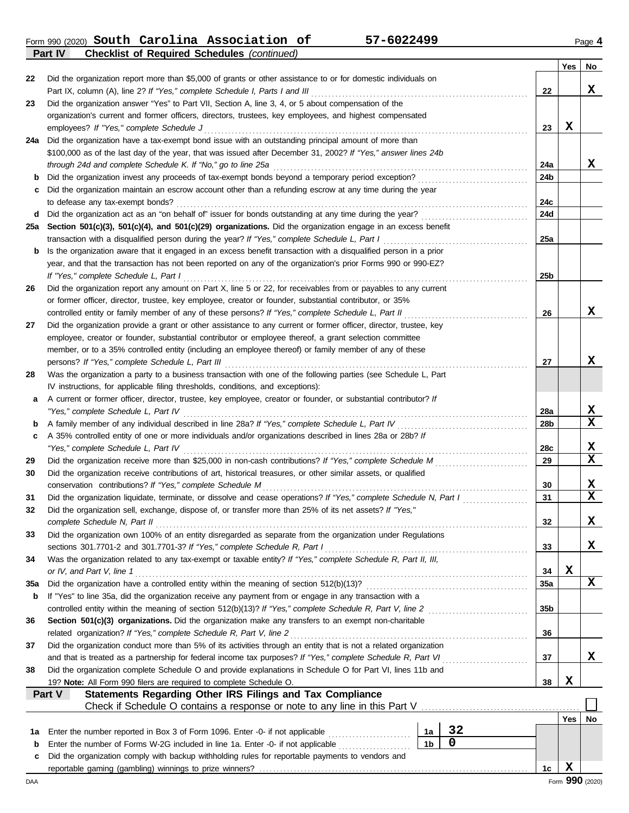Form 990 (2020) Page **4 South Carolina Association of 57-6022499 Part IV Checklist of Required Schedules** *(continued)*

|        |                                                                                                                                                                                                |                 | Yes | No               |
|--------|------------------------------------------------------------------------------------------------------------------------------------------------------------------------------------------------|-----------------|-----|------------------|
| 22     | Did the organization report more than \$5,000 of grants or other assistance to or for domestic individuals on                                                                                  |                 |     |                  |
|        |                                                                                                                                                                                                | 22              |     | x                |
| 23     | Did the organization answer "Yes" to Part VII, Section A, line 3, 4, or 5 about compensation of the                                                                                            |                 |     |                  |
|        | organization's current and former officers, directors, trustees, key employees, and highest compensated                                                                                        |                 |     |                  |
|        | employees? If "Yes," complete Schedule J                                                                                                                                                       | 23              | X   |                  |
| 24a    | Did the organization have a tax-exempt bond issue with an outstanding principal amount of more than                                                                                            |                 |     |                  |
|        | \$100,000 as of the last day of the year, that was issued after December 31, 2002? If "Yes," answer lines 24b                                                                                  |                 |     |                  |
|        | through 24d and complete Schedule K. If "No," go to line 25a                                                                                                                                   | 24a             |     | X                |
| b      | Did the organization invest any proceeds of tax-exempt bonds beyond a temporary period exception?                                                                                              | 24b             |     |                  |
| c      | Did the organization maintain an escrow account other than a refunding escrow at any time during the year                                                                                      |                 |     |                  |
|        | to defease any tax-exempt bonds?                                                                                                                                                               | 24c             |     |                  |
| d      | Did the organization act as an "on behalf of" issuer for bonds outstanding at any time during the year?                                                                                        | <b>24d</b>      |     |                  |
| 25a    | Section 501(c)(3), 501(c)(4), and 501(c)(29) organizations. Did the organization engage in an excess benefit                                                                                   |                 |     |                  |
|        | transaction with a disqualified person during the year? If "Yes," complete Schedule L, Part I                                                                                                  | 25a             |     |                  |
| b      | Is the organization aware that it engaged in an excess benefit transaction with a disqualified person in a prior                                                                               |                 |     |                  |
|        | year, and that the transaction has not been reported on any of the organization's prior Forms 990 or 990-EZ?                                                                                   |                 |     |                  |
|        | If "Yes," complete Schedule L, Part I                                                                                                                                                          | 25 <sub>b</sub> |     |                  |
| 26     | Did the organization report any amount on Part X, line 5 or 22, for receivables from or payables to any current                                                                                |                 |     |                  |
|        | or former officer, director, trustee, key employee, creator or founder, substantial contributor, or 35%                                                                                        |                 |     |                  |
|        | controlled entity or family member of any of these persons? If "Yes," complete Schedule L, Part II                                                                                             | 26              |     | x                |
| 27     | Did the organization provide a grant or other assistance to any current or former officer, director, trustee, key                                                                              |                 |     |                  |
|        | employee, creator or founder, substantial contributor or employee thereof, a grant selection committee                                                                                         |                 |     |                  |
|        | member, or to a 35% controlled entity (including an employee thereof) or family member of any of these                                                                                         |                 |     |                  |
|        | persons? If "Yes," complete Schedule L, Part III                                                                                                                                               | 27              |     | x                |
| 28     | Was the organization a party to a business transaction with one of the following parties (see Schedule L, Part                                                                                 |                 |     |                  |
|        | IV instructions, for applicable filing thresholds, conditions, and exceptions):                                                                                                                |                 |     |                  |
| a      | A current or former officer, director, trustee, key employee, creator or founder, or substantial contributor? If                                                                               |                 |     |                  |
|        | "Yes," complete Schedule L, Part IV                                                                                                                                                            | 28a             |     | X                |
| b      |                                                                                                                                                                                                | 28b             |     | $\mathbf x$      |
| c      | A 35% controlled entity of one or more individuals and/or organizations described in lines 28a or 28b? If                                                                                      |                 |     |                  |
|        |                                                                                                                                                                                                | 28c             |     | х<br>$\mathbf x$ |
| 29     |                                                                                                                                                                                                | 29              |     |                  |
| 30     | Did the organization receive contributions of art, historical treasures, or other similar assets, or qualified                                                                                 |                 |     |                  |
|        | conservation contributions? If "Yes," complete Schedule M                                                                                                                                      | 30              |     | х                |
| 31     | Did the organization liquidate, terminate, or dissolve and cease operations? If "Yes," complete Schedule N, Part I                                                                             | 31              |     | $\mathbf x$      |
| 32     | Did the organization sell, exchange, dispose of, or transfer more than 25% of its net assets? If "Yes,"                                                                                        |                 |     |                  |
|        | complete Schedule N, Part II                                                                                                                                                                   | 32              |     | x                |
| 33     | Did the organization own 100% of an entity disregarded as separate from the organization under Regulations                                                                                     |                 |     |                  |
|        | sections 301.7701-2 and 301.7701-3? If "Yes," complete Schedule R, Part I                                                                                                                      | 33              |     | X                |
| 34     | Was the organization related to any tax-exempt or taxable entity? If "Yes," complete Schedule R, Part II, III,                                                                                 |                 | X   |                  |
|        | or IV, and Part V, line 1                                                                                                                                                                      | 34              |     | x                |
| 35a    |                                                                                                                                                                                                | 35a             |     |                  |
| b      | If "Yes" to line 35a, did the organization receive any payment from or engage in any transaction with a                                                                                        |                 |     |                  |
|        |                                                                                                                                                                                                | 35b             |     |                  |
| 36     | Section 501(c)(3) organizations. Did the organization make any transfers to an exempt non-charitable<br>related organization? If "Yes," complete Schedule R, Part V, line 2                    |                 |     |                  |
|        |                                                                                                                                                                                                | 36              |     |                  |
| 37     | Did the organization conduct more than 5% of its activities through an entity that is not a related organization                                                                               |                 |     | X                |
| 38     | Did the organization complete Schedule O and provide explanations in Schedule O for Part VI, lines 11b and                                                                                     | 37              |     |                  |
|        |                                                                                                                                                                                                |                 | X   |                  |
|        | 19? Note: All Form 990 filers are required to complete Schedule O.<br>Part V                                                                                                                   | 38              |     |                  |
|        | Statements Regarding Other IRS Filings and Tax Compliance                                                                                                                                      |                 |     |                  |
|        |                                                                                                                                                                                                |                 |     |                  |
|        | 32                                                                                                                                                                                             |                 | Yes | No               |
| 1a     | Enter the number reported in Box 3 of Form 1096. Enter -0- if not applicable [<br>1a<br>0<br>1 <sub>b</sub><br>Enter the number of Forms W-2G included in line 1a. Enter -0- if not applicable |                 |     |                  |
| b<br>c | Did the organization comply with backup withholding rules for reportable payments to vendors and                                                                                               |                 |     |                  |
|        |                                                                                                                                                                                                | 1c              | X   |                  |
|        |                                                                                                                                                                                                |                 |     |                  |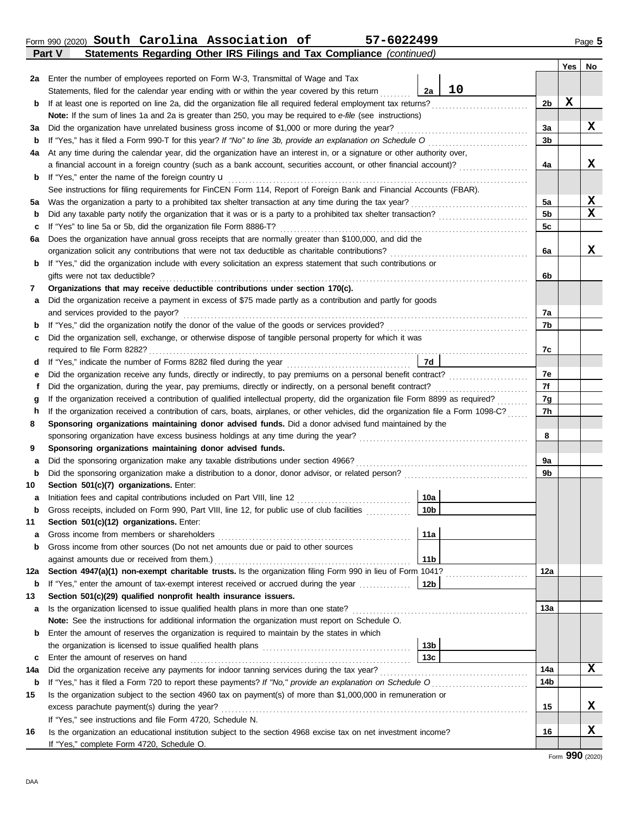DAA

|     | Form 990 (2020) South Carolina Association of<br>57-6022499<br>Statements Regarding Other IRS Filings and Tax Compliance (continued)<br>Part V |                 |    |                |             | Page 5 |
|-----|------------------------------------------------------------------------------------------------------------------------------------------------|-----------------|----|----------------|-------------|--------|
|     |                                                                                                                                                |                 |    |                | Yes         | No     |
|     | 2a Enter the number of employees reported on Form W-3, Transmittal of Wage and Tax                                                             |                 |    |                |             |        |
|     | Statements, filed for the calendar year ending with or within the year covered by this return                                                  | 2a              | 10 |                |             |        |
| b   |                                                                                                                                                |                 |    | 2 <sub>b</sub> | $\mathbf x$ |        |
|     | Note: If the sum of lines 1a and 2a is greater than 250, you may be required to e-file (see instructions)                                      |                 |    |                |             |        |
| За  |                                                                                                                                                |                 |    | 3a             |             | x      |
| b   | If "Yes," has it filed a Form 990-T for this year? If "No" to line 3b, provide an explanation on Schedule O                                    |                 |    | 3 <sub>b</sub> |             |        |
| 4a  | At any time during the calendar year, did the organization have an interest in, or a signature or other authority over,                        |                 |    |                |             |        |
|     | a financial account in a foreign country (such as a bank account, securities account, or other financial account)?                             |                 |    | 4a             |             | X      |
| b   |                                                                                                                                                |                 |    |                |             |        |
|     | See instructions for filing requirements for FinCEN Form 114, Report of Foreign Bank and Financial Accounts (FBAR).                            |                 |    |                |             |        |
| 5a  |                                                                                                                                                |                 |    | 5a             |             | X      |
| b   |                                                                                                                                                |                 |    | 5 <sub>b</sub> |             | X      |
| c   |                                                                                                                                                |                 |    | 5c             |             |        |
| 6а  | Does the organization have annual gross receipts that are normally greater than \$100,000, and did the                                         |                 |    |                |             |        |
|     |                                                                                                                                                |                 |    | 6a             |             | X      |
| b   | If "Yes," did the organization include with every solicitation an express statement that such contributions or                                 |                 |    |                |             |        |
|     | gifts were not tax deductible?                                                                                                                 |                 |    | 6b             |             |        |
| 7   | Organizations that may receive deductible contributions under section 170(c).                                                                  |                 |    |                |             |        |
| a   | Did the organization receive a payment in excess of \$75 made partly as a contribution and partly for goods                                    |                 |    |                |             |        |
| b   |                                                                                                                                                |                 |    | 7a<br>7b       |             |        |
| c   | Did the organization sell, exchange, or otherwise dispose of tangible personal property for which it was                                       |                 |    |                |             |        |
|     |                                                                                                                                                |                 |    | 7c             |             |        |
| d   |                                                                                                                                                | 7d              |    |                |             |        |
| е   |                                                                                                                                                |                 |    | 7e             |             |        |
| f   |                                                                                                                                                |                 |    | 7f             |             |        |
| g   | If the organization received a contribution of qualified intellectual property, did the organization file Form 8899 as required?               |                 |    | 7g             |             |        |
| h   | If the organization received a contribution of cars, boats, airplanes, or other vehicles, did the organization file a Form 1098-C?             |                 |    | 7h             |             |        |
| 8   | Sponsoring organizations maintaining donor advised funds. Did a donor advised fund maintained by the                                           |                 |    |                |             |        |
|     |                                                                                                                                                |                 |    | 8              |             |        |
| 9   | Sponsoring organizations maintaining donor advised funds.                                                                                      |                 |    |                |             |        |
| а   | Did the sponsoring organization make any taxable distributions under section 4966?                                                             |                 |    | 9a             |             |        |
| b   |                                                                                                                                                |                 |    | 9b             |             |        |
| 10  | Section 501(c)(7) organizations. Enter:                                                                                                        |                 |    |                |             |        |
| а   |                                                                                                                                                | 10a             |    |                |             |        |
| b   | Gross receipts, included on Form 990, Part VIII, line 12, for public use of club facilities                                                    | 10 <sub>b</sub> |    |                |             |        |
| 11  | Section 501(c)(12) organizations. Enter:                                                                                                       |                 |    |                |             |        |
| a   |                                                                                                                                                | 11a             |    |                |             |        |
| b   | Gross income from other sources (Do not net amounts due or paid to other sources                                                               |                 |    |                |             |        |
|     | against amounts due or received from them.)                                                                                                    | 11 <sub>b</sub> |    |                |             |        |
| 12a | Section 4947(a)(1) non-exempt charitable trusts. Is the organization filing Form 990 in lieu of Form 1041?                                     |                 |    | 12a            |             |        |
| b   |                                                                                                                                                |                 |    |                |             |        |
| 13  | Section 501(c)(29) qualified nonprofit health insurance issuers.                                                                               |                 |    |                |             |        |
| а   | Is the organization licensed to issue qualified health plans in more than one state?                                                           |                 |    | 13a            |             |        |
|     | Note: See the instructions for additional information the organization must report on Schedule O.                                              |                 |    |                |             |        |
| b   | Enter the amount of reserves the organization is required to maintain by the states in which                                                   |                 |    |                |             |        |
|     | the organization is licensed to issue qualified health plans [10] [138]                                                                        |                 |    |                |             |        |
| c   | Enter the amount of reserves on hand                                                                                                           | 13 <sub>c</sub> |    |                |             |        |
| 14a |                                                                                                                                                |                 |    | 14a            |             | x      |
| b   |                                                                                                                                                |                 |    | 14b            |             |        |
| 15  | Is the organization subject to the section 4960 tax on payment(s) of more than \$1,000,000 in remuneration or                                  |                 |    |                |             |        |
|     |                                                                                                                                                |                 |    | 15             |             | X      |

**16** Is the organization an educational institution subject to the section 4968 excise tax on net investment income?

If "Yes," see instructions and file Form 4720, Schedule N.

If "Yes," complete Form 4720, Schedule O.

**X**

**16**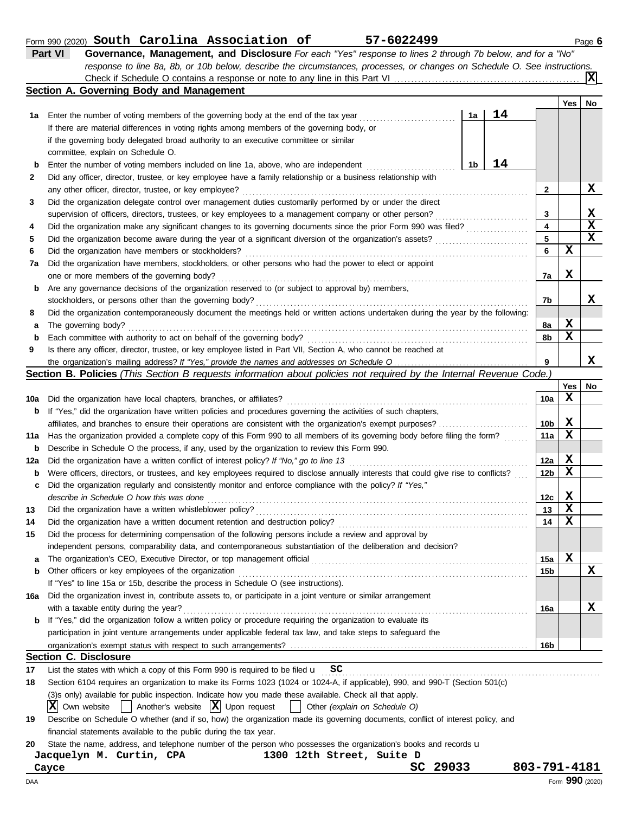|    | South Carolina Association of<br>57-6022499<br>Form 990 (2020)                                                            |    |      |       | Page 6    |
|----|---------------------------------------------------------------------------------------------------------------------------|----|------|-------|-----------|
|    | Part VI<br>Governance, Management, and Disclosure For each "Yes" response to lines 2 through 7b below, and for a "No"     |    |      |       |           |
|    | response to line 8a, 8b, or 10b below, describe the circumstances, processes, or changes on Schedule O. See instructions. |    |      |       |           |
|    |                                                                                                                           |    |      |       |           |
|    | Section A. Governing Body and Management                                                                                  |    |      |       |           |
|    |                                                                                                                           |    |      | Yes l | <b>No</b> |
| 1a | Enter the number of voting members of the governing body at the end of the tax year                                       | 1a | 14   |       |           |
|    | If there are material differences in voting rights among members of the governing body, or                                |    |      |       |           |
|    | if the governing body delegated broad authority to an executive committee or similar                                      |    |      |       |           |
|    | committee, explain on Schedule O.                                                                                         |    |      |       |           |
| b  | Enter the number of voting members included on line 1a, above, who are independent                                        | 1b | l 4. |       |           |
| 2  | Did any officer, director, trustee, or key employee have a family relationship or a business relationship with            |    |      |       |           |
|    | any other officer, director, trustee, or key employee?                                                                    |    |      |       |           |
| 3  | Did the organization delegate control over management duties customarily performed by or under the direct                 |    |      |       |           |

|      | supervision of officers, directors, trustees, or key employees to a management company or other person?                           |    |   | х |
|------|-----------------------------------------------------------------------------------------------------------------------------------|----|---|---|
| 4    | Did the organization make any significant changes to its governing documents since the prior Form 990 was filed?                  | 4  |   | х |
| 5    | Did the organization become aware during the year of a significant diversion of the organization's assets?                        | 5  |   | х |
| 6    | Did the organization have members or stockholders?                                                                                |    | х |   |
| 7a l | Did the organization have members, stockholders, or other persons who had the power to elect or appoint                           |    |   |   |
|      | one or more members of the governing body?                                                                                        | 7a | х |   |
|      | <b>b</b> Are any governance decisions of the organization reserved to (or subject to approval by) members,                        |    |   |   |
|      | stockholders, or persons other than the governing body?                                                                           | 7b |   | х |
| 8    | Did the organization contemporaneously document the meetings held or written actions undertaken during the year by the following: |    |   |   |
|      | <b>a</b> The governing body?                                                                                                      | 8а | х |   |
|      | <b>b</b> Each committee with authority to act on behalf of the governing body?                                                    | 8b | х |   |
| 9    | Is there any officer, director, trustee, or key employee listed in Part VII, Section A, who cannot be reached at                  |    |   |   |
|      |                                                                                                                                   | 9  |   | x |

the organization's mailing address? If "Yes," provide the names and addresses on Schedule O **Section B. Policies** *(This Section B requests information about policies not required by the Internal Revenue Code.)*

|     |                                                                                                                                     |                 | Yes | No          |
|-----|-------------------------------------------------------------------------------------------------------------------------------------|-----------------|-----|-------------|
| 10a | Did the organization have local chapters, branches, or affiliates?                                                                  | 10a             | x   |             |
| b   | If "Yes," did the organization have written policies and procedures governing the activities of such chapters,                      |                 |     |             |
|     | affiliates, and branches to ensure their operations are consistent with the organization's exempt purposes?                         | 10 <sub>b</sub> | х   |             |
| 11a | Has the organization provided a complete copy of this Form 990 to all members of its governing body before filing the form?         | 11a             | X   |             |
| b   | Describe in Schedule O the process, if any, used by the organization to review this Form 990.                                       |                 |     |             |
| 12a | Did the organization have a written conflict of interest policy? If "No," go to line 13                                             | 12a             | X   |             |
| b   | Were officers, directors, or trustees, and key employees required to disclose annually interests that could give rise to conflicts? | 12 <sub>b</sub> | X   |             |
| c   | Did the organization regularly and consistently monitor and enforce compliance with the policy? If "Yes,"                           |                 |     |             |
|     | describe in Schedule O how this was done                                                                                            | 12c             | X   |             |
| 13  | Did the organization have a written whistleblower policy?                                                                           | 13              | X   |             |
| 14  | Did the organization have a written document retention and destruction policy?                                                      | 14              | X   |             |
| 15  | Did the process for determining compensation of the following persons include a review and approval by                              |                 |     |             |
|     | independent persons, comparability data, and contemporaneous substantiation of the deliberation and decision?                       |                 |     |             |
| a   | The organization's CEO, Executive Director, or top management official                                                              | 15a             | x   |             |
| b   | Other officers or key employees of the organization                                                                                 | 15 <sub>b</sub> |     | $\mathbf x$ |
|     | If "Yes" to line 15a or 15b, describe the process in Schedule O (see instructions).                                                 |                 |     |             |
| 16a | Did the organization invest in, contribute assets to, or participate in a joint venture or similar arrangement                      |                 |     |             |
|     | with a taxable entity during the year?                                                                                              | 16a             |     | x           |
| b   | If "Yes," did the organization follow a written policy or procedure requiring the organization to evaluate its                      |                 |     |             |
|     | participation in joint venture arrangements under applicable federal tax law, and take steps to safeguard the                       |                 |     |             |
|     |                                                                                                                                     | 16 <sub>b</sub> |     |             |
|     | <b>Section C. Disclosure</b>                                                                                                        |                 |     |             |
| 17  | List the states with which a copy of this Form 990 is required to be filed $\mathbf{u}$ SC                                          |                 |     |             |
| 18  | Section 6104 requires an organization to make its Forms 1023 (1024 or 1024-A, if applicable), 990, and 990-T (Section 501(c)        |                 |     |             |

Section 6104 requires an organization to make its Forms 1023 (1024 or 1024-A, if applicable), 990, and 990-T (Section 501(c)

(3)s only) available for public inspection. Indicate how you made these available. Check all that apply.

 $\overline{X}$  Own website  $\begin{bmatrix} \overline{X} & \overline{X} \end{bmatrix}$  Upon request  $\begin{bmatrix} \overline{X} & \overline{X} \end{bmatrix}$  Other *(explain on Schedule O)* 

**19** Describe on Schedule O whether (and if so, how) the organization made its governing documents, conflict of interest policy, and financial statements available to the public during the tax year.

**20** State the name, address, and telephone number of the person who possesses the organization's books and records u

### **Jacquelyn M. Curtin, CPA 1300 12th Street, Suite D Cayce SC 29033 803-791-4181**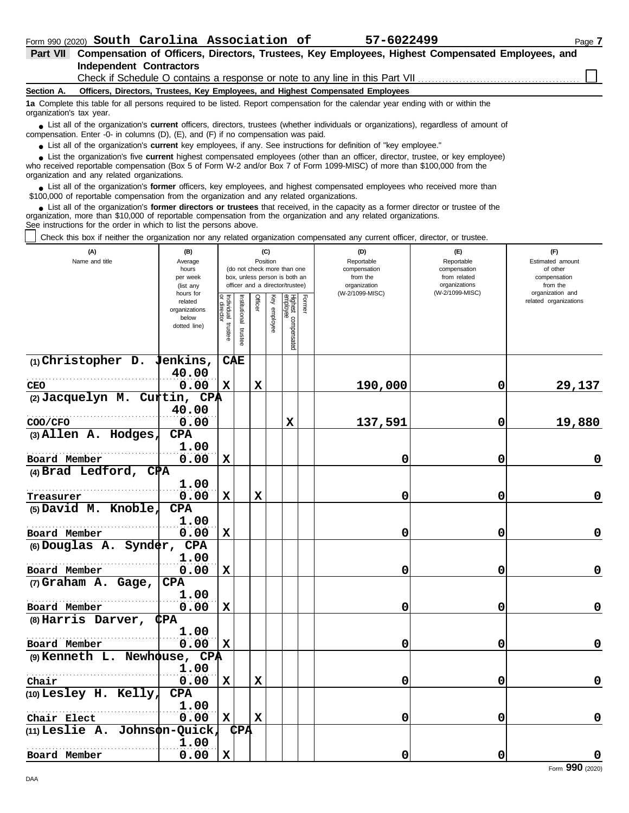| Part VII Compensation of Officers, Directors, Trustees, Key Employees, Highest Compensated Employees, and |  |
|-----------------------------------------------------------------------------------------------------------|--|
| Independent Contractors                                                                                   |  |
|                                                                                                           |  |

## Check if Schedule O contains a response or note to any line in this Part VII.

**Section A. Officers, Directors, Trustees, Key Employees, and Highest Compensated Employees**

**1a** Complete this table for all persons required to be listed. Report compensation for the calendar year ending with or within the organization's tax year.

■ List all of the organization's **current** officers, directors, trustees (whether individuals or organizations), regardless of amount of the companies of amount of compensation. Enter -0- in columns (D), (E), and (F) if no compensation was paid.

● List all of the organization's **current** key employees, if any. See instructions for definition of "key employee."

■ List the organization's five **current** highest compensated employees (other than an officer, director, trustee, or key employee)<br> **•** Preceived reportable compensation (Box 5 of Form W.2 and/or Box 7 of Form 1000 MISC)

who received reportable compensation (Box 5 of Form W-2 and/or Box 7 of Form 1099-MISC) of more than \$100,000 from the organization and any related organizations.

■ List all of the organization's **former** officers, key employees, and highest compensated employees who received more than<br> **•** 00,000 of reportable compensation from the ergonization and any related ergonizations \$100,000 of reportable compensation from the organization and any related organizations.

■ List all of the organization's **former directors or trustees** that received, in the capacity as a former director or trustee of the<br>paization, more than \$10,000 of reportable compensation from the organization and any r organization, more than \$10,000 of reportable compensation from the organization and any related organizations. See instructions for the order in which to list the persons above.

Check this box if neither the organization nor any related organization compensated any current officer, director, or trustee.

| (A)<br>Name and title                          | (B)<br>Average<br>hours<br>per week<br>(list any<br>hours for |                                      | (C)<br>Position<br>(do not check more than one<br>box, unless person is both an<br>officer and a director/trustee) |             |                 |                                 |        | (D)<br>Reportable<br>compensation<br>from the<br>organization<br>(W-2/1099-MISC) | (E)<br>Reportable<br>compensation<br>from related<br>organizations<br>(W-2/1099-MISC) | (F)<br>Estimated amount<br>of other<br>compensation<br>from the<br>organization and |  |
|------------------------------------------------|---------------------------------------------------------------|--------------------------------------|--------------------------------------------------------------------------------------------------------------------|-------------|-----------------|---------------------------------|--------|----------------------------------------------------------------------------------|---------------------------------------------------------------------------------------|-------------------------------------------------------------------------------------|--|
|                                                | related<br>organizations<br>below<br>dotted line)             | Individual<br>or director<br>trustee | Institutional<br>trustee                                                                                           | Officer     | Ķey<br>employee | Highest compensated<br>employee | Former |                                                                                  |                                                                                       | related organizations                                                               |  |
| $(1)$ Christopher D. Jenkins,                  |                                                               |                                      | <b>CAE</b>                                                                                                         |             |                 |                                 |        |                                                                                  |                                                                                       |                                                                                     |  |
| CEO                                            | 40.00<br>0.00                                                 | $\mathbf x$                          |                                                                                                                    | $\mathbf x$ |                 |                                 |        | 190,000                                                                          | 0                                                                                     | 29,137                                                                              |  |
| (2) Jacquelyn M. Curtin, CPA                   |                                                               |                                      |                                                                                                                    |             |                 |                                 |        |                                                                                  |                                                                                       |                                                                                     |  |
|                                                | 40.00                                                         |                                      |                                                                                                                    |             |                 |                                 |        |                                                                                  |                                                                                       |                                                                                     |  |
| COO/CFO<br>(3) Allen A. Hodges,                | 0.00<br><b>CPA</b>                                            |                                      |                                                                                                                    |             |                 | $\mathbf x$                     |        | 137,591                                                                          | 0                                                                                     | 19,880                                                                              |  |
| Board Member                                   | 1.00<br>0.00                                                  | X                                    |                                                                                                                    |             |                 |                                 |        | 0                                                                                | 0                                                                                     | 0                                                                                   |  |
| (4) Brad Ledford, $CPA$                        |                                                               |                                      |                                                                                                                    |             |                 |                                 |        |                                                                                  |                                                                                       |                                                                                     |  |
|                                                | 1.00                                                          |                                      |                                                                                                                    |             |                 |                                 |        |                                                                                  |                                                                                       |                                                                                     |  |
| Treasurer                                      | 0.00                                                          | $\mathbf x$                          |                                                                                                                    | x           |                 |                                 |        | 0                                                                                | 0                                                                                     | $\mathbf 0$                                                                         |  |
| (5) David M. Knoble,                           | <b>CPA</b>                                                    |                                      |                                                                                                                    |             |                 |                                 |        |                                                                                  |                                                                                       |                                                                                     |  |
| Board Member                                   | 1.00<br>0.00                                                  | $\mathbf x$                          |                                                                                                                    |             |                 |                                 |        | 0                                                                                | 0                                                                                     | 0                                                                                   |  |
| (6) Douglas A. Synder,                         | <b>CPA</b>                                                    |                                      |                                                                                                                    |             |                 |                                 |        |                                                                                  |                                                                                       |                                                                                     |  |
|                                                | 1.00                                                          |                                      |                                                                                                                    |             |                 |                                 |        |                                                                                  |                                                                                       |                                                                                     |  |
| Board Member                                   | 0.00                                                          | X                                    |                                                                                                                    |             |                 |                                 |        | 0                                                                                | 0                                                                                     | $\mathbf 0$                                                                         |  |
| (7) Graham A. Gage,                            | <b>CPA</b>                                                    |                                      |                                                                                                                    |             |                 |                                 |        |                                                                                  |                                                                                       |                                                                                     |  |
| Board Member                                   | 1.00<br>0.00                                                  | $\mathbf x$                          |                                                                                                                    |             |                 |                                 |        | 0                                                                                | 0                                                                                     | 0                                                                                   |  |
| $(8)$ Harris Darver,                           | <b>CPA</b>                                                    |                                      |                                                                                                                    |             |                 |                                 |        |                                                                                  |                                                                                       |                                                                                     |  |
|                                                | 1.00                                                          |                                      |                                                                                                                    |             |                 |                                 |        |                                                                                  |                                                                                       |                                                                                     |  |
| Board Member                                   | 0.00                                                          | $\mathbf x$                          |                                                                                                                    |             |                 |                                 |        | 0                                                                                | 0                                                                                     | $\mathbf 0$                                                                         |  |
| (9) Kenneth L. Newhouse, CPA                   |                                                               |                                      |                                                                                                                    |             |                 |                                 |        |                                                                                  |                                                                                       |                                                                                     |  |
|                                                | 1.00                                                          |                                      |                                                                                                                    |             |                 |                                 |        |                                                                                  |                                                                                       |                                                                                     |  |
| Chair                                          | 0.00                                                          | X                                    |                                                                                                                    | X           |                 |                                 |        | 0                                                                                | 0                                                                                     | $\mathbf 0$                                                                         |  |
| (10) Lesley H. Kelly,                          | <b>CPA</b>                                                    |                                      |                                                                                                                    |             |                 |                                 |        |                                                                                  |                                                                                       |                                                                                     |  |
|                                                | 1.00<br>0.00                                                  | $\mathbf x$                          |                                                                                                                    | $\mathbf x$ |                 |                                 |        | 0                                                                                |                                                                                       | $\mathbf 0$                                                                         |  |
| Chair Elect<br>$(11)$ Leslie A. Johnson-Quick, |                                                               |                                      | <b>CPA</b>                                                                                                         |             |                 |                                 |        |                                                                                  | 0                                                                                     |                                                                                     |  |
|                                                | 1.00                                                          |                                      |                                                                                                                    |             |                 |                                 |        |                                                                                  |                                                                                       |                                                                                     |  |
| Board Member                                   | 0.00                                                          | $\mathbf x$                          |                                                                                                                    |             |                 |                                 |        | 0                                                                                | 0                                                                                     | $\mathbf 0$                                                                         |  |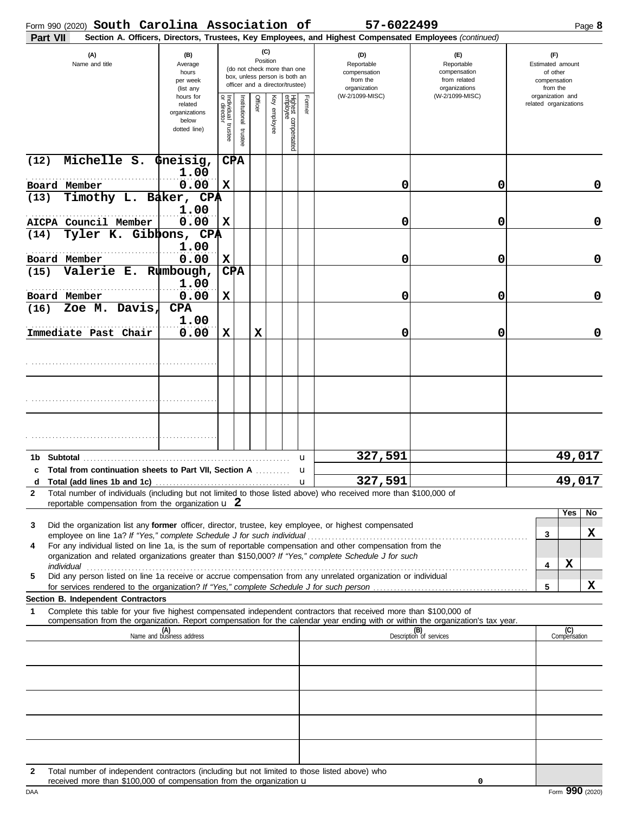| (C)<br>(A)<br>(D)<br>(E)<br>(F)<br>(B)<br>Position<br>Name and title<br>Average<br>Reportable<br>Reportable<br>Estimated amount<br>(do not check more than one<br>compensation<br>of other<br>hours<br>compensation<br>box, unless person is both an<br>from the<br>from related<br>per week<br>compensation<br>officer and a director/trustee)<br>organizations<br>organization<br>(list any<br>from the<br>(W-2/1099-MISC)<br>organization and<br>hours for<br>(W-2/1099-MISC)<br>Individual trustee<br>or director<br>Officer<br>Key employee<br>Highest compensated<br>employee<br>Former<br>Institutional trustee<br>related organizations<br>related<br>organizations<br>below<br>dotted line)<br>Michelle S.<br>C⊉A<br>(12)<br>Gneisig,<br>1.00<br>0.00<br>$\mathbf x$<br>0<br>Board Member<br>0<br>0<br>Timothy L. Baker, CPA<br>(13)<br>1.00<br>0.00<br>$\mathbf x$<br>0<br>AICPA Council Member<br>0<br>0<br>Tyler K. Gibbons, CPA<br>(14)<br>1.00<br>0.00<br>$\mathbf x$<br>0<br>Board Member<br>0<br>0<br>C⊉A<br>Valerie E.<br>Rumbough,<br>(15)<br>1.00<br>0.00<br>0<br>Board Member<br>X<br>0<br>0<br>Zoe M. Davis,<br><b>CPA</b><br>(16)<br>1.00<br>0.00<br>0<br>X<br>X<br>0<br>0<br>Immediate Past Chair<br>49,017<br>327,591<br>Subtotal<br>1b.<br>u<br>c Total from continuation sheets to Part VII, Section A<br>u<br>327,591<br>49,017<br>d Total (add lines 1b and 1c)<br>$\mathbf{u}$<br>Total number of individuals (including but not limited to those listed above) who received more than \$100,000 of<br>$\mathbf{2}$<br>reportable compensation from the organization $\mathbf{u}$ 2<br>Yes<br>No<br>Did the organization list any former officer, director, trustee, key employee, or highest compensated<br>3<br>X<br>3<br>For any individual listed on line 1a, is the sum of reportable compensation and other compensation from the<br>4<br>organization and related organizations greater than \$150,000? If "Yes," complete Schedule J for such<br>X<br>4<br>individual with a construction of the construction of the construction of the construction of the construction of the construction of the construction of the construction of the construction of the construction of the cons<br>Did any person listed on line 1a receive or accrue compensation from any unrelated organization or individual<br>5<br>X<br>5<br><b>Section B. Independent Contractors</b><br>Complete this table for your five highest compensated independent contractors that received more than \$100,000 of<br>1<br>compensation from the organization. Report compensation for the calendar year ending with or within the organization's tax year.<br>(C)<br>Compensation<br>(B)<br>Description of services<br>(A)<br>Name and business address<br>Total number of independent contractors (including but not limited to those listed above) who<br>2<br>received more than \$100,000 of compensation from the organization $\mathbf u$ | Form 990 (2020) South Carolina Association of<br>Part VII |  |  |  | 57-6022499<br>Section A. Officers, Directors, Trustees, Key Employees, and Highest Compensated Employees (continued) |  |  | Page 8 |
|-----------------------------------------------------------------------------------------------------------------------------------------------------------------------------------------------------------------------------------------------------------------------------------------------------------------------------------------------------------------------------------------------------------------------------------------------------------------------------------------------------------------------------------------------------------------------------------------------------------------------------------------------------------------------------------------------------------------------------------------------------------------------------------------------------------------------------------------------------------------------------------------------------------------------------------------------------------------------------------------------------------------------------------------------------------------------------------------------------------------------------------------------------------------------------------------------------------------------------------------------------------------------------------------------------------------------------------------------------------------------------------------------------------------------------------------------------------------------------------------------------------------------------------------------------------------------------------------------------------------------------------------------------------------------------------------------------------------------------------------------------------------------------------------------------------------------------------------------------------------------------------------------------------------------------------------------------------------------------------------------------------------------------------------------------------------------------------------------------------------------------------------------------------------------------------------------------------------------------------------------------------------------------------------------------------------------------------------------------------------------------------------------------------------------------------------------------------------------------------------------------------------------------------------------------------------------------------------------------------------------------------------------------------------------------------------------------------------------------------------------------------------------------------------------------------------------------------------------------------------------------------------------------------------------------------------------------------------|-----------------------------------------------------------|--|--|--|----------------------------------------------------------------------------------------------------------------------|--|--|--------|
|                                                                                                                                                                                                                                                                                                                                                                                                                                                                                                                                                                                                                                                                                                                                                                                                                                                                                                                                                                                                                                                                                                                                                                                                                                                                                                                                                                                                                                                                                                                                                                                                                                                                                                                                                                                                                                                                                                                                                                                                                                                                                                                                                                                                                                                                                                                                                                                                                                                                                                                                                                                                                                                                                                                                                                                                                                                                                                                                                                 |                                                           |  |  |  |                                                                                                                      |  |  |        |
|                                                                                                                                                                                                                                                                                                                                                                                                                                                                                                                                                                                                                                                                                                                                                                                                                                                                                                                                                                                                                                                                                                                                                                                                                                                                                                                                                                                                                                                                                                                                                                                                                                                                                                                                                                                                                                                                                                                                                                                                                                                                                                                                                                                                                                                                                                                                                                                                                                                                                                                                                                                                                                                                                                                                                                                                                                                                                                                                                                 |                                                           |  |  |  |                                                                                                                      |  |  |        |
|                                                                                                                                                                                                                                                                                                                                                                                                                                                                                                                                                                                                                                                                                                                                                                                                                                                                                                                                                                                                                                                                                                                                                                                                                                                                                                                                                                                                                                                                                                                                                                                                                                                                                                                                                                                                                                                                                                                                                                                                                                                                                                                                                                                                                                                                                                                                                                                                                                                                                                                                                                                                                                                                                                                                                                                                                                                                                                                                                                 |                                                           |  |  |  |                                                                                                                      |  |  |        |
|                                                                                                                                                                                                                                                                                                                                                                                                                                                                                                                                                                                                                                                                                                                                                                                                                                                                                                                                                                                                                                                                                                                                                                                                                                                                                                                                                                                                                                                                                                                                                                                                                                                                                                                                                                                                                                                                                                                                                                                                                                                                                                                                                                                                                                                                                                                                                                                                                                                                                                                                                                                                                                                                                                                                                                                                                                                                                                                                                                 |                                                           |  |  |  |                                                                                                                      |  |  |        |
|                                                                                                                                                                                                                                                                                                                                                                                                                                                                                                                                                                                                                                                                                                                                                                                                                                                                                                                                                                                                                                                                                                                                                                                                                                                                                                                                                                                                                                                                                                                                                                                                                                                                                                                                                                                                                                                                                                                                                                                                                                                                                                                                                                                                                                                                                                                                                                                                                                                                                                                                                                                                                                                                                                                                                                                                                                                                                                                                                                 |                                                           |  |  |  |                                                                                                                      |  |  |        |
|                                                                                                                                                                                                                                                                                                                                                                                                                                                                                                                                                                                                                                                                                                                                                                                                                                                                                                                                                                                                                                                                                                                                                                                                                                                                                                                                                                                                                                                                                                                                                                                                                                                                                                                                                                                                                                                                                                                                                                                                                                                                                                                                                                                                                                                                                                                                                                                                                                                                                                                                                                                                                                                                                                                                                                                                                                                                                                                                                                 |                                                           |  |  |  |                                                                                                                      |  |  |        |
|                                                                                                                                                                                                                                                                                                                                                                                                                                                                                                                                                                                                                                                                                                                                                                                                                                                                                                                                                                                                                                                                                                                                                                                                                                                                                                                                                                                                                                                                                                                                                                                                                                                                                                                                                                                                                                                                                                                                                                                                                                                                                                                                                                                                                                                                                                                                                                                                                                                                                                                                                                                                                                                                                                                                                                                                                                                                                                                                                                 |                                                           |  |  |  |                                                                                                                      |  |  |        |
|                                                                                                                                                                                                                                                                                                                                                                                                                                                                                                                                                                                                                                                                                                                                                                                                                                                                                                                                                                                                                                                                                                                                                                                                                                                                                                                                                                                                                                                                                                                                                                                                                                                                                                                                                                                                                                                                                                                                                                                                                                                                                                                                                                                                                                                                                                                                                                                                                                                                                                                                                                                                                                                                                                                                                                                                                                                                                                                                                                 |                                                           |  |  |  |                                                                                                                      |  |  |        |
|                                                                                                                                                                                                                                                                                                                                                                                                                                                                                                                                                                                                                                                                                                                                                                                                                                                                                                                                                                                                                                                                                                                                                                                                                                                                                                                                                                                                                                                                                                                                                                                                                                                                                                                                                                                                                                                                                                                                                                                                                                                                                                                                                                                                                                                                                                                                                                                                                                                                                                                                                                                                                                                                                                                                                                                                                                                                                                                                                                 |                                                           |  |  |  |                                                                                                                      |  |  |        |
|                                                                                                                                                                                                                                                                                                                                                                                                                                                                                                                                                                                                                                                                                                                                                                                                                                                                                                                                                                                                                                                                                                                                                                                                                                                                                                                                                                                                                                                                                                                                                                                                                                                                                                                                                                                                                                                                                                                                                                                                                                                                                                                                                                                                                                                                                                                                                                                                                                                                                                                                                                                                                                                                                                                                                                                                                                                                                                                                                                 |                                                           |  |  |  |                                                                                                                      |  |  |        |
|                                                                                                                                                                                                                                                                                                                                                                                                                                                                                                                                                                                                                                                                                                                                                                                                                                                                                                                                                                                                                                                                                                                                                                                                                                                                                                                                                                                                                                                                                                                                                                                                                                                                                                                                                                                                                                                                                                                                                                                                                                                                                                                                                                                                                                                                                                                                                                                                                                                                                                                                                                                                                                                                                                                                                                                                                                                                                                                                                                 |                                                           |  |  |  |                                                                                                                      |  |  |        |
|                                                                                                                                                                                                                                                                                                                                                                                                                                                                                                                                                                                                                                                                                                                                                                                                                                                                                                                                                                                                                                                                                                                                                                                                                                                                                                                                                                                                                                                                                                                                                                                                                                                                                                                                                                                                                                                                                                                                                                                                                                                                                                                                                                                                                                                                                                                                                                                                                                                                                                                                                                                                                                                                                                                                                                                                                                                                                                                                                                 |                                                           |  |  |  |                                                                                                                      |  |  |        |
|                                                                                                                                                                                                                                                                                                                                                                                                                                                                                                                                                                                                                                                                                                                                                                                                                                                                                                                                                                                                                                                                                                                                                                                                                                                                                                                                                                                                                                                                                                                                                                                                                                                                                                                                                                                                                                                                                                                                                                                                                                                                                                                                                                                                                                                                                                                                                                                                                                                                                                                                                                                                                                                                                                                                                                                                                                                                                                                                                                 |                                                           |  |  |  |                                                                                                                      |  |  |        |
|                                                                                                                                                                                                                                                                                                                                                                                                                                                                                                                                                                                                                                                                                                                                                                                                                                                                                                                                                                                                                                                                                                                                                                                                                                                                                                                                                                                                                                                                                                                                                                                                                                                                                                                                                                                                                                                                                                                                                                                                                                                                                                                                                                                                                                                                                                                                                                                                                                                                                                                                                                                                                                                                                                                                                                                                                                                                                                                                                                 |                                                           |  |  |  |                                                                                                                      |  |  |        |
|                                                                                                                                                                                                                                                                                                                                                                                                                                                                                                                                                                                                                                                                                                                                                                                                                                                                                                                                                                                                                                                                                                                                                                                                                                                                                                                                                                                                                                                                                                                                                                                                                                                                                                                                                                                                                                                                                                                                                                                                                                                                                                                                                                                                                                                                                                                                                                                                                                                                                                                                                                                                                                                                                                                                                                                                                                                                                                                                                                 |                                                           |  |  |  |                                                                                                                      |  |  |        |
|                                                                                                                                                                                                                                                                                                                                                                                                                                                                                                                                                                                                                                                                                                                                                                                                                                                                                                                                                                                                                                                                                                                                                                                                                                                                                                                                                                                                                                                                                                                                                                                                                                                                                                                                                                                                                                                                                                                                                                                                                                                                                                                                                                                                                                                                                                                                                                                                                                                                                                                                                                                                                                                                                                                                                                                                                                                                                                                                                                 |                                                           |  |  |  |                                                                                                                      |  |  |        |
|                                                                                                                                                                                                                                                                                                                                                                                                                                                                                                                                                                                                                                                                                                                                                                                                                                                                                                                                                                                                                                                                                                                                                                                                                                                                                                                                                                                                                                                                                                                                                                                                                                                                                                                                                                                                                                                                                                                                                                                                                                                                                                                                                                                                                                                                                                                                                                                                                                                                                                                                                                                                                                                                                                                                                                                                                                                                                                                                                                 |                                                           |  |  |  |                                                                                                                      |  |  |        |
|                                                                                                                                                                                                                                                                                                                                                                                                                                                                                                                                                                                                                                                                                                                                                                                                                                                                                                                                                                                                                                                                                                                                                                                                                                                                                                                                                                                                                                                                                                                                                                                                                                                                                                                                                                                                                                                                                                                                                                                                                                                                                                                                                                                                                                                                                                                                                                                                                                                                                                                                                                                                                                                                                                                                                                                                                                                                                                                                                                 |                                                           |  |  |  |                                                                                                                      |  |  |        |
|                                                                                                                                                                                                                                                                                                                                                                                                                                                                                                                                                                                                                                                                                                                                                                                                                                                                                                                                                                                                                                                                                                                                                                                                                                                                                                                                                                                                                                                                                                                                                                                                                                                                                                                                                                                                                                                                                                                                                                                                                                                                                                                                                                                                                                                                                                                                                                                                                                                                                                                                                                                                                                                                                                                                                                                                                                                                                                                                                                 |                                                           |  |  |  |                                                                                                                      |  |  |        |
|                                                                                                                                                                                                                                                                                                                                                                                                                                                                                                                                                                                                                                                                                                                                                                                                                                                                                                                                                                                                                                                                                                                                                                                                                                                                                                                                                                                                                                                                                                                                                                                                                                                                                                                                                                                                                                                                                                                                                                                                                                                                                                                                                                                                                                                                                                                                                                                                                                                                                                                                                                                                                                                                                                                                                                                                                                                                                                                                                                 |                                                           |  |  |  |                                                                                                                      |  |  |        |
|                                                                                                                                                                                                                                                                                                                                                                                                                                                                                                                                                                                                                                                                                                                                                                                                                                                                                                                                                                                                                                                                                                                                                                                                                                                                                                                                                                                                                                                                                                                                                                                                                                                                                                                                                                                                                                                                                                                                                                                                                                                                                                                                                                                                                                                                                                                                                                                                                                                                                                                                                                                                                                                                                                                                                                                                                                                                                                                                                                 |                                                           |  |  |  |                                                                                                                      |  |  |        |
|                                                                                                                                                                                                                                                                                                                                                                                                                                                                                                                                                                                                                                                                                                                                                                                                                                                                                                                                                                                                                                                                                                                                                                                                                                                                                                                                                                                                                                                                                                                                                                                                                                                                                                                                                                                                                                                                                                                                                                                                                                                                                                                                                                                                                                                                                                                                                                                                                                                                                                                                                                                                                                                                                                                                                                                                                                                                                                                                                                 |                                                           |  |  |  |                                                                                                                      |  |  |        |
|                                                                                                                                                                                                                                                                                                                                                                                                                                                                                                                                                                                                                                                                                                                                                                                                                                                                                                                                                                                                                                                                                                                                                                                                                                                                                                                                                                                                                                                                                                                                                                                                                                                                                                                                                                                                                                                                                                                                                                                                                                                                                                                                                                                                                                                                                                                                                                                                                                                                                                                                                                                                                                                                                                                                                                                                                                                                                                                                                                 |                                                           |  |  |  |                                                                                                                      |  |  |        |
|                                                                                                                                                                                                                                                                                                                                                                                                                                                                                                                                                                                                                                                                                                                                                                                                                                                                                                                                                                                                                                                                                                                                                                                                                                                                                                                                                                                                                                                                                                                                                                                                                                                                                                                                                                                                                                                                                                                                                                                                                                                                                                                                                                                                                                                                                                                                                                                                                                                                                                                                                                                                                                                                                                                                                                                                                                                                                                                                                                 |                                                           |  |  |  |                                                                                                                      |  |  |        |
|                                                                                                                                                                                                                                                                                                                                                                                                                                                                                                                                                                                                                                                                                                                                                                                                                                                                                                                                                                                                                                                                                                                                                                                                                                                                                                                                                                                                                                                                                                                                                                                                                                                                                                                                                                                                                                                                                                                                                                                                                                                                                                                                                                                                                                                                                                                                                                                                                                                                                                                                                                                                                                                                                                                                                                                                                                                                                                                                                                 |                                                           |  |  |  |                                                                                                                      |  |  |        |
|                                                                                                                                                                                                                                                                                                                                                                                                                                                                                                                                                                                                                                                                                                                                                                                                                                                                                                                                                                                                                                                                                                                                                                                                                                                                                                                                                                                                                                                                                                                                                                                                                                                                                                                                                                                                                                                                                                                                                                                                                                                                                                                                                                                                                                                                                                                                                                                                                                                                                                                                                                                                                                                                                                                                                                                                                                                                                                                                                                 |                                                           |  |  |  |                                                                                                                      |  |  |        |
|                                                                                                                                                                                                                                                                                                                                                                                                                                                                                                                                                                                                                                                                                                                                                                                                                                                                                                                                                                                                                                                                                                                                                                                                                                                                                                                                                                                                                                                                                                                                                                                                                                                                                                                                                                                                                                                                                                                                                                                                                                                                                                                                                                                                                                                                                                                                                                                                                                                                                                                                                                                                                                                                                                                                                                                                                                                                                                                                                                 |                                                           |  |  |  |                                                                                                                      |  |  |        |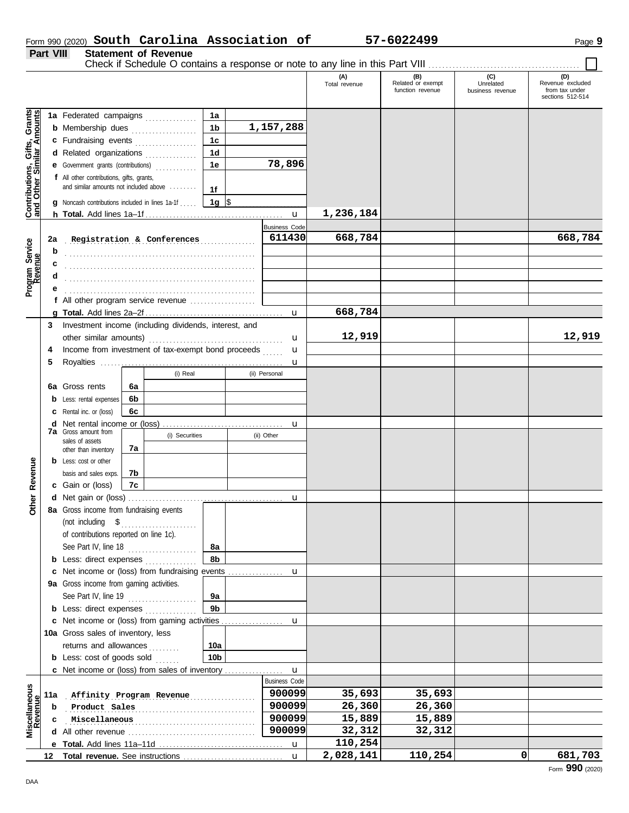|                                                           |                                  | 1a Federated campaigns                                                                                              |                | 1a              |  |                         |           |         |   |                 |
|-----------------------------------------------------------|----------------------------------|---------------------------------------------------------------------------------------------------------------------|----------------|-----------------|--|-------------------------|-----------|---------|---|-----------------|
|                                                           |                                  | <b>b</b> Membership dues <i>manufacturers</i> and <i>Membership</i> dues                                            |                | 1 <sub>b</sub>  |  | 1,157,288               |           |         |   |                 |
|                                                           |                                  | c Fundraising events                                                                                                |                | 1 <sub>c</sub>  |  |                         |           |         |   |                 |
|                                                           |                                  | d Related organizations                                                                                             |                | 1 <sub>d</sub>  |  |                         |           |         |   |                 |
|                                                           |                                  | e Government grants (contributions)                                                                                 |                | 1e              |  | 78,896                  |           |         |   |                 |
| Contributions, Gifts, Grants<br>and Other Similar Amounts |                                  | f All other contributions, gifts, grants,<br>and similar amounts not included above                                 |                |                 |  |                         |           |         |   |                 |
|                                                           |                                  |                                                                                                                     |                | 1f              |  |                         |           |         |   |                 |
|                                                           |                                  | <b>g</b> Noncash contributions included in lines 1a-1f                                                              |                | 1g $\sqrt{3}$   |  |                         | 1,236,184 |         |   |                 |
|                                                           |                                  |                                                                                                                     |                |                 |  |                         |           |         |   |                 |
|                                                           | Registration & Conferences<br>2a |                                                                                                                     |                |                 |  | Business Code<br>611430 | 668,784   |         |   | 668,784         |
|                                                           |                                  |                                                                                                                     |                |                 |  |                         |           |         |   |                 |
|                                                           | b                                | and the contract of the contract of the contract of the contract of the contract of the contract of the contract of |                |                 |  |                         |           |         |   |                 |
| Program Service<br>Revenue                                | с                                |                                                                                                                     |                |                 |  |                         |           |         |   |                 |
|                                                           | a                                |                                                                                                                     |                |                 |  |                         |           |         |   |                 |
|                                                           |                                  | f All other program service revenue                                                                                 |                |                 |  |                         |           |         |   |                 |
|                                                           |                                  |                                                                                                                     |                |                 |  | u                       | 668,784   |         |   |                 |
|                                                           |                                  | 3 Investment income (including dividends, interest, and                                                             |                |                 |  |                         |           |         |   |                 |
|                                                           |                                  |                                                                                                                     |                |                 |  | u                       | 12,919    |         |   | 12,919          |
|                                                           | 4                                | Income from investment of tax-exempt bond proceeds                                                                  |                |                 |  | u                       |           |         |   |                 |
|                                                           | 5                                |                                                                                                                     |                |                 |  | u                       |           |         |   |                 |
|                                                           |                                  |                                                                                                                     | (i) Real       |                 |  | (ii) Personal           |           |         |   |                 |
|                                                           |                                  | 6a Gross rents<br>6а                                                                                                |                |                 |  |                         |           |         |   |                 |
|                                                           |                                  | <b>b</b> Less: rental expenses<br>6b                                                                                |                |                 |  |                         |           |         |   |                 |
|                                                           |                                  | <b>c</b> Rental inc. or (loss)<br>6с                                                                                |                |                 |  |                         |           |         |   |                 |
|                                                           |                                  |                                                                                                                     |                |                 |  |                         |           |         |   |                 |
|                                                           |                                  | <b>7a</b> Gross amount from                                                                                         | (i) Securities |                 |  | (ii) Other              |           |         |   |                 |
|                                                           |                                  | sales of assets<br>7a<br>other than inventory                                                                       |                |                 |  |                         |           |         |   |                 |
|                                                           |                                  | <b>b</b> Less: cost or other                                                                                        |                |                 |  |                         |           |         |   |                 |
| Revenue                                                   |                                  | basis and sales exps.<br>7b                                                                                         |                |                 |  |                         |           |         |   |                 |
|                                                           |                                  | c Gain or (loss)<br>7c                                                                                              |                |                 |  |                         |           |         |   |                 |
|                                                           |                                  |                                                                                                                     |                |                 |  |                         |           |         |   |                 |
| <b>Other</b>                                              |                                  | 8a Gross income from fundraising events                                                                             |                |                 |  |                         |           |         |   |                 |
|                                                           |                                  |                                                                                                                     |                |                 |  |                         |           |         |   |                 |
|                                                           |                                  | of contributions reported on line 1c).                                                                              |                |                 |  |                         |           |         |   |                 |
|                                                           |                                  | See Part IV, line 18 $\ldots$                                                                                       |                | 8а              |  |                         |           |         |   |                 |
|                                                           |                                  | <b>b</b> Less: direct expenses                                                                                      |                | 8b              |  |                         |           |         |   |                 |
|                                                           |                                  |                                                                                                                     |                |                 |  |                         |           |         |   |                 |
|                                                           |                                  | 9a Gross income from gaming activities.                                                                             |                |                 |  |                         |           |         |   |                 |
|                                                           |                                  | See Part IV, line 19 $\ldots$                                                                                       |                | 9а              |  |                         |           |         |   |                 |
|                                                           |                                  | <b>b</b> Less: direct expenses <i>minimum</i>                                                                       |                | 9 <sub>b</sub>  |  |                         |           |         |   |                 |
|                                                           |                                  |                                                                                                                     |                |                 |  |                         |           |         |   |                 |
|                                                           |                                  | 10a Gross sales of inventory, less                                                                                  |                |                 |  |                         |           |         |   |                 |
|                                                           |                                  | returns and allowances                                                                                              |                | 10a             |  |                         |           |         |   |                 |
|                                                           |                                  | <b>b</b> Less: cost of goods sold                                                                                   |                | 10 <sub>b</sub> |  |                         |           |         |   |                 |
|                                                           |                                  |                                                                                                                     |                |                 |  | $\mathbf u$             |           |         |   |                 |
|                                                           |                                  |                                                                                                                     |                |                 |  | <b>Business Code</b>    |           |         |   |                 |
|                                                           | 11a                              | Affinity Program Revenue                                                                                            |                |                 |  | 900099                  | 35,693    | 35,693  |   |                 |
|                                                           | b                                | Product Sales                                                                                                       |                |                 |  | 900099                  | 26,360    | 26,360  |   |                 |
| Miscellaneous<br>Revenue                                  | c                                | Miscellaneous                                                                                                       |                |                 |  | 900099                  | 15,889    | 15,889  |   |                 |
|                                                           |                                  |                                                                                                                     |                |                 |  | 900099                  | 32,312    | 32,312  |   |                 |
|                                                           |                                  |                                                                                                                     |                |                 |  |                         | 110,254   |         |   |                 |
|                                                           |                                  |                                                                                                                     |                |                 |  | $\mathbf{u}$            | 2,028,141 | 110,254 | 0 | 681,703         |
| DAA                                                       |                                  |                                                                                                                     |                |                 |  |                         |           |         |   | Form 990 (2020) |

### Form 990 (2020) Page **9 South Carolina Association of 57-6022499 Part VIII Statement of Revenue**

Check if Schedule O contains a response or note to any line in this Part VIII . . . . . . . . . . . . . . . . . . . . . . . . . . . . . . . . . . . . . . . . . . . .

**(A) (B) (C) (D)** Total revenue Related or exempt Unrelated Revenue excluded

function revenue<br>function revenue<br>business revenue

THE CONSERVANCE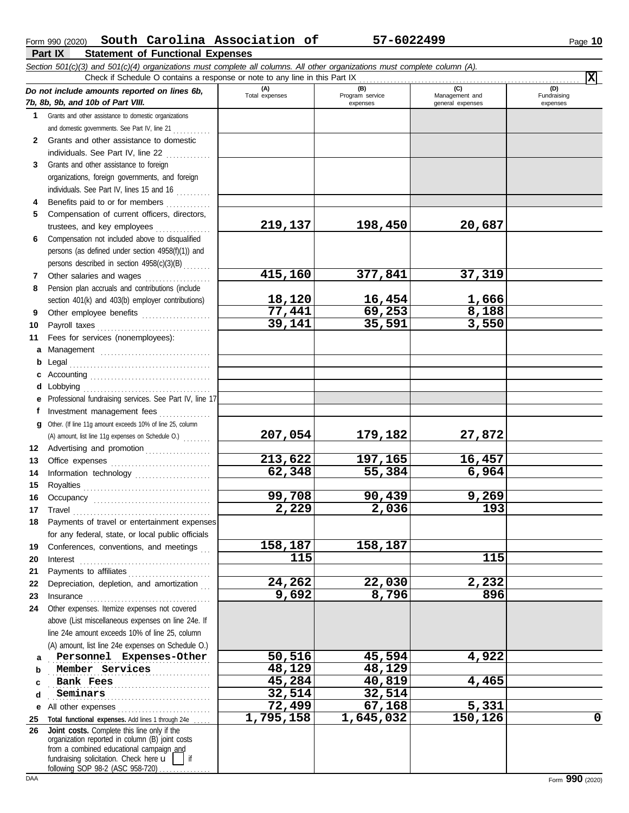|              | South Carolina Association of<br>Form 990 (2020)                                                                                                                                                                                                                                                                                                                                                                                                                                                                          |                       | 57-6022499                         |                                           | Page 10                        |
|--------------|---------------------------------------------------------------------------------------------------------------------------------------------------------------------------------------------------------------------------------------------------------------------------------------------------------------------------------------------------------------------------------------------------------------------------------------------------------------------------------------------------------------------------|-----------------------|------------------------------------|-------------------------------------------|--------------------------------|
|              | Part IX<br><b>Statement of Functional Expenses</b>                                                                                                                                                                                                                                                                                                                                                                                                                                                                        |                       |                                    |                                           |                                |
|              | Section 501(c)(3) and 501(c)(4) organizations must complete all columns. All other organizations must complete column (A).<br>Check if Schedule O contains a response or note to any line in this Part IX                                                                                                                                                                                                                                                                                                                 |                       |                                    |                                           | $\overline{\mathbf{x}}$        |
|              | Do not include amounts reported on lines 6b,<br>7b, 8b, 9b, and 10b of Part VIII.                                                                                                                                                                                                                                                                                                                                                                                                                                         | (A)<br>Total expenses | (B)<br>Program service<br>expenses | (C)<br>Management and<br>general expenses | (D)<br>Fundraising<br>expenses |
| 1.           | Grants and other assistance to domestic organizations                                                                                                                                                                                                                                                                                                                                                                                                                                                                     |                       |                                    |                                           |                                |
|              | and domestic governments. See Part IV, line 21                                                                                                                                                                                                                                                                                                                                                                                                                                                                            |                       |                                    |                                           |                                |
| $\mathbf{2}$ | Grants and other assistance to domestic                                                                                                                                                                                                                                                                                                                                                                                                                                                                                   |                       |                                    |                                           |                                |
|              | individuals. See Part IV, line 22                                                                                                                                                                                                                                                                                                                                                                                                                                                                                         |                       |                                    |                                           |                                |
| 3            | Grants and other assistance to foreign                                                                                                                                                                                                                                                                                                                                                                                                                                                                                    |                       |                                    |                                           |                                |
|              | organizations, foreign governments, and foreign                                                                                                                                                                                                                                                                                                                                                                                                                                                                           |                       |                                    |                                           |                                |
|              | individuals. See Part IV, lines 15 and 16                                                                                                                                                                                                                                                                                                                                                                                                                                                                                 |                       |                                    |                                           |                                |
| 4            | Benefits paid to or for members                                                                                                                                                                                                                                                                                                                                                                                                                                                                                           |                       |                                    |                                           |                                |
| 5            | Compensation of current officers, directors,                                                                                                                                                                                                                                                                                                                                                                                                                                                                              |                       |                                    |                                           |                                |
|              | trustees, and key employees                                                                                                                                                                                                                                                                                                                                                                                                                                                                                               | 219,137               | 198,450                            | 20,687                                    |                                |
| 6            | Compensation not included above to disqualified                                                                                                                                                                                                                                                                                                                                                                                                                                                                           |                       |                                    |                                           |                                |
|              | persons (as defined under section 4958(f)(1)) and                                                                                                                                                                                                                                                                                                                                                                                                                                                                         |                       |                                    |                                           |                                |
|              | persons described in section 4958(c)(3)(B)                                                                                                                                                                                                                                                                                                                                                                                                                                                                                |                       |                                    |                                           |                                |
| 7            | Other salaries and wages                                                                                                                                                                                                                                                                                                                                                                                                                                                                                                  | 415,160               | 377,841                            | 37,319                                    |                                |
| 8            | Pension plan accruals and contributions (include                                                                                                                                                                                                                                                                                                                                                                                                                                                                          |                       |                                    |                                           |                                |
|              | section 401(k) and 403(b) employer contributions)                                                                                                                                                                                                                                                                                                                                                                                                                                                                         | 18,120                | 16,454                             | 1,666                                     |                                |
| 9            | Other employee benefits                                                                                                                                                                                                                                                                                                                                                                                                                                                                                                   | 77,441                | 69,253                             | 8,188                                     |                                |
| 10           | Payroll taxes                                                                                                                                                                                                                                                                                                                                                                                                                                                                                                             | 39,141                | 35,591                             | 3,550                                     |                                |
| 11           | Fees for services (nonemployees):                                                                                                                                                                                                                                                                                                                                                                                                                                                                                         |                       |                                    |                                           |                                |
| a            |                                                                                                                                                                                                                                                                                                                                                                                                                                                                                                                           |                       |                                    |                                           |                                |
| b            | Legal                                                                                                                                                                                                                                                                                                                                                                                                                                                                                                                     |                       |                                    |                                           |                                |
| c            |                                                                                                                                                                                                                                                                                                                                                                                                                                                                                                                           |                       |                                    |                                           |                                |
| d            | Lobbying<br>Professional fundraising services. See Part IV, line 17                                                                                                                                                                                                                                                                                                                                                                                                                                                       |                       |                                    |                                           |                                |
| f            | Investment management fees                                                                                                                                                                                                                                                                                                                                                                                                                                                                                                |                       |                                    |                                           |                                |
| a            | Other. (If line 11g amount exceeds 10% of line 25, column                                                                                                                                                                                                                                                                                                                                                                                                                                                                 |                       |                                    |                                           |                                |
|              | (A) amount, list line 11g expenses on Schedule O.)                                                                                                                                                                                                                                                                                                                                                                                                                                                                        | 207,054               | 179,182                            | 27,872                                    |                                |
|              | 12 Advertising and promotion [1] [1] Advertising and promotion                                                                                                                                                                                                                                                                                                                                                                                                                                                            |                       |                                    |                                           |                                |
|              |                                                                                                                                                                                                                                                                                                                                                                                                                                                                                                                           | 213,622               | 197,165                            | 16,457                                    |                                |
| 14           | Information technology                                                                                                                                                                                                                                                                                                                                                                                                                                                                                                    | 62,348                | 55,384                             | 6,964                                     |                                |
| 15           | Royalties                                                                                                                                                                                                                                                                                                                                                                                                                                                                                                                 |                       |                                    |                                           |                                |
| 16           |                                                                                                                                                                                                                                                                                                                                                                                                                                                                                                                           | 99,708                | 90,439                             | 9,269                                     |                                |
| 17           | Travel                                                                                                                                                                                                                                                                                                                                                                                                                                                                                                                    | $\overline{2,229}$    | 2,036                              | 193                                       |                                |
| 18           | Payments of travel or entertainment expenses                                                                                                                                                                                                                                                                                                                                                                                                                                                                              |                       |                                    |                                           |                                |
|              | for any federal, state, or local public officials                                                                                                                                                                                                                                                                                                                                                                                                                                                                         |                       |                                    |                                           |                                |
| 19           | Conferences, conventions, and meetings                                                                                                                                                                                                                                                                                                                                                                                                                                                                                    | 158,187               | 158,187                            |                                           |                                |
| 20           | Interest                                                                                                                                                                                                                                                                                                                                                                                                                                                                                                                  | 115                   |                                    | 115                                       |                                |
| 21           | Payments to affiliates                                                                                                                                                                                                                                                                                                                                                                                                                                                                                                    |                       |                                    |                                           |                                |
| 22           | Depreciation, depletion, and amortization                                                                                                                                                                                                                                                                                                                                                                                                                                                                                 | 24,262                | 22,030                             | 2,232                                     |                                |
| 23           | $In surface \begin{tabular}{@{}l@{}} \hline \multicolumn{3}{c}{\textbf{Insurance}} \\ \hline \multicolumn{3}{c}{\textbf{Insurance}} \\ \hline \multicolumn{3}{c}{\textbf{Insurance}} \\ \hline \multicolumn{3}{c}{\textbf{Insurance}} \\ \hline \multicolumn{3}{c}{\textbf{Insurce}} \\ \hline \multicolumn{3}{c}{\textbf{Insurce}} \\ \hline \multicolumn{3}{c}{\textbf{Insurce}} \\ \hline \multicolumn{3}{c}{\textbf{Insurce}} \\ \hline \multicolumn{3}{c}{\textbf{Insurce}} \\ \hline \multicolumn{3}{c}{\textbf{In$ | 9,692                 | 8,796                              | 896                                       |                                |
| 24           | Other expenses. Itemize expenses not covered                                                                                                                                                                                                                                                                                                                                                                                                                                                                              |                       |                                    |                                           |                                |
|              | above (List miscellaneous expenses on line 24e. If                                                                                                                                                                                                                                                                                                                                                                                                                                                                        |                       |                                    |                                           |                                |
|              | line 24e amount exceeds 10% of line 25, column                                                                                                                                                                                                                                                                                                                                                                                                                                                                            |                       |                                    |                                           |                                |

**Personnel Expenses-Other 50,516** 45,594 4,922

. . . . . . . . . . . . . . . . . . . . . . . . . . . . . . . . . . . . . . . . . . . . . . . **Bank Fees 45,284 40,819 4,465**

**72,499 67,168 5,331**

**1,795,158 1,645,032 150,126 0**

**18. 129 18. 129 18. 129 18. 129 18. 129 18. 129 18. 129 18. 129 18. 129 18. 129 18. 129 18. 129 18. 129 18. 129 18. 129 18. 129 18. 129 18. 129 18. 129 18. 129 18. 129 18. 129 18. 129 18. 129 18. 129 18. 12. 12. 12. 12. 1** 

. . . . . . . . . . . . . . . . . . . . . . . . . . . . . . . . . . . . . . . . . . . . . . . **Seminars 32,514 32,514**

**a b c d**

**26**

**e** All other expenses . . . . . . . . . . . . . . . . . . . . . . . . . . . **25 Total functional expenses.** Add lines 1 through 24e . . . . .

fundraising solicitation. Check here  $\mathbf{u}$  | if organization reported in column (B) joint costs from a combined educational campaign and

**Joint costs.** Complete this line only if the

following SOP 98-2 (ASC 958-720)

(A) amount, list line 24e expenses on Schedule O.)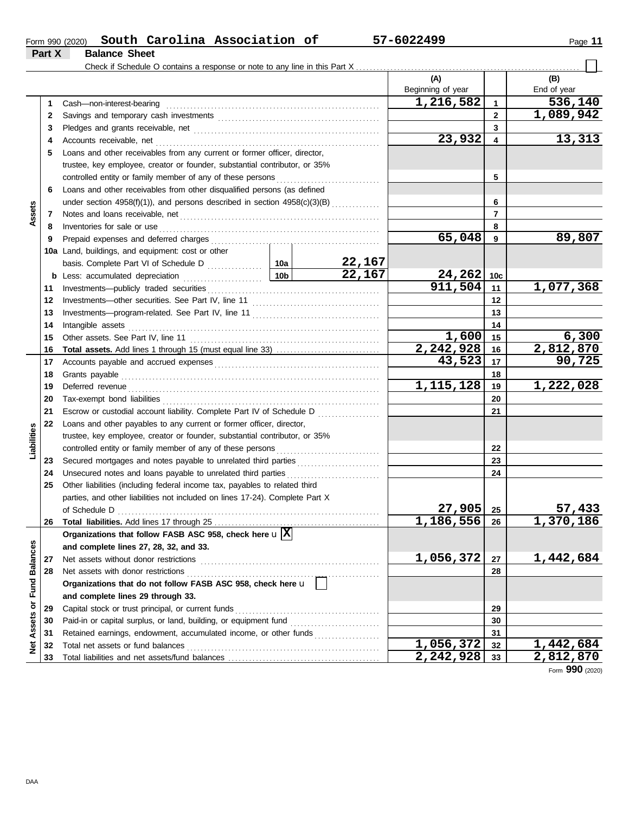| Form 990 (2020) |                      | South Carolina Association of | 57-6022499 | Page |
|-----------------|----------------------|-------------------------------|------------|------|
| Part X          | <b>Balance Sheet</b> |                               |            |      |

|                      |    |                                                                                                                                     |                 |               | (A)                                              |                | (B)                    |
|----------------------|----|-------------------------------------------------------------------------------------------------------------------------------------|-----------------|---------------|--------------------------------------------------|----------------|------------------------|
|                      |    |                                                                                                                                     |                 |               | Beginning of year                                |                | End of year            |
|                      | 1  | Cash-non-interest-bearing                                                                                                           |                 |               | 1,216,582                                        | $\mathbf{1}$   | 536,140                |
|                      | 2  |                                                                                                                                     |                 |               |                                                  | $\overline{2}$ | 1,089,942              |
|                      | 3  |                                                                                                                                     |                 |               |                                                  | 3              |                        |
|                      | 4  | Accounts receivable, net                                                                                                            |                 |               | 23,932                                           | 4              | 13,313                 |
|                      | 5  | Loans and other receivables from any current or former officer, director,                                                           |                 |               |                                                  |                |                        |
|                      |    | trustee, key employee, creator or founder, substantial contributor, or 35%                                                          |                 |               |                                                  |                |                        |
|                      |    | controlled entity or family member of any of these persons                                                                          |                 |               |                                                  | 5              |                        |
|                      | 6  | Loans and other receivables from other disqualified persons (as defined                                                             |                 |               |                                                  |                |                        |
|                      |    | under section 4958(f)(1)), and persons described in section 4958(c)(3)(B)                                                           |                 |               |                                                  | 6              |                        |
| Assets               | 7  | Notes and loans receivable, net                                                                                                     |                 |               |                                                  | 7              |                        |
|                      | 8  | Inventories for sale or use                                                                                                         |                 |               |                                                  | 8              |                        |
|                      | 9  | Prepaid expenses and deferred charges                                                                                               |                 |               | 65,048                                           | 9              | 89,807                 |
|                      |    | 10a Land, buildings, and equipment: cost or other                                                                                   |                 |               |                                                  |                |                        |
|                      |    | basis. Complete Part VI of Schedule D [102]                                                                                         |                 | <u>22,167</u> |                                                  |                |                        |
|                      | b  |                                                                                                                                     | 10 <sub>b</sub> | 22,167        | $\begin{array}{r} 24,262 \\ 911,504 \end{array}$ | 10c            |                        |
|                      | 11 |                                                                                                                                     |                 |               |                                                  | 11             | 1,077,368              |
|                      | 12 |                                                                                                                                     |                 |               |                                                  | 12             |                        |
|                      | 13 |                                                                                                                                     |                 |               |                                                  | 13             |                        |
|                      | 14 | Intangible assets                                                                                                                   |                 |               |                                                  | 14             |                        |
|                      | 15 |                                                                                                                                     |                 | 1,600         | 15                                               | 6,300          |                        |
|                      | 16 |                                                                                                                                     |                 | 2,242,928     | 16                                               | 2,812,870      |                        |
|                      | 17 |                                                                                                                                     |                 |               | 43,523                                           | 17             | 90,725                 |
|                      | 18 |                                                                                                                                     |                 | 18            |                                                  |                |                        |
|                      | 19 | Deferred revenue                                                                                                                    |                 | 1, 115, 128   | 19                                               | 1,222,028      |                        |
|                      | 20 | Tax-exempt bond liabilities                                                                                                         |                 |               |                                                  | 20             |                        |
|                      | 21 | Escrow or custodial account liability. Complete Part IV of Schedule D                                                               |                 |               |                                                  | 21             |                        |
|                      | 22 | Loans and other payables to any current or former officer, director,                                                                |                 |               |                                                  |                |                        |
| Liabilities          |    | trustee, key employee, creator or founder, substantial contributor, or 35%                                                          |                 |               |                                                  |                |                        |
|                      |    | controlled entity or family member of any of these persons                                                                          |                 |               |                                                  | 22             |                        |
|                      | 23 | Secured mortgages and notes payable to unrelated third parties [111] Secured mortgages and notes payable to unrelated third parties |                 |               |                                                  | 23             |                        |
|                      | 24 | Unsecured notes and loans payable to unrelated third parties                                                                        |                 |               |                                                  | 24             |                        |
|                      | 25 | Other liabilities (including federal income tax, payables to related third                                                          |                 |               |                                                  |                |                        |
|                      |    | parties, and other liabilities not included on lines 17-24). Complete Part X                                                        |                 |               |                                                  |                |                        |
|                      |    |                                                                                                                                     |                 |               | $27,905$ 25                                      |                | <u>57,433</u>          |
|                      | 26 |                                                                                                                                     |                 |               | 1,186,556                                        | 26             | $\overline{1,370,186}$ |
|                      |    | Organizations that follow FASB ASC 958, check here $\mathbf{u}[\overline{\mathbf{X}}]$                                              |                 |               |                                                  |                |                        |
|                      |    | and complete lines 27, 28, 32, and 33.                                                                                              |                 |               |                                                  |                |                        |
|                      | 27 | Net assets without donor restrictions                                                                                               |                 |               | 1,056,372                                        | 27             | 1,442,684              |
| <b>Fund Balances</b> | 28 | Net assets with donor restrictions                                                                                                  |                 |               |                                                  | 28             |                        |
|                      |    | Organizations that do not follow FASB ASC 958, check here u                                                                         |                 |               |                                                  |                |                        |
|                      |    | and complete lines 29 through 33.                                                                                                   |                 |               |                                                  |                |                        |
| Assets or            | 29 | Capital stock or trust principal, or current funds                                                                                  |                 |               | 29                                               |                |                        |
|                      | 30 | Paid-in or capital surplus, or land, building, or equipment fund                                                                    |                 |               |                                                  | 30             |                        |
|                      | 31 | Retained earnings, endowment, accumulated income, or other funds                                                                    |                 |               |                                                  | 31             |                        |
| ğ                    | 32 | Total net assets or fund balances                                                                                                   |                 |               | 1,056,372                                        | 32             | 1,442,684              |
|                      | 33 |                                                                                                                                     |                 |               | 2,242,928                                        | 33             | 2,812,870              |

Form **990** (2020)

#### DAA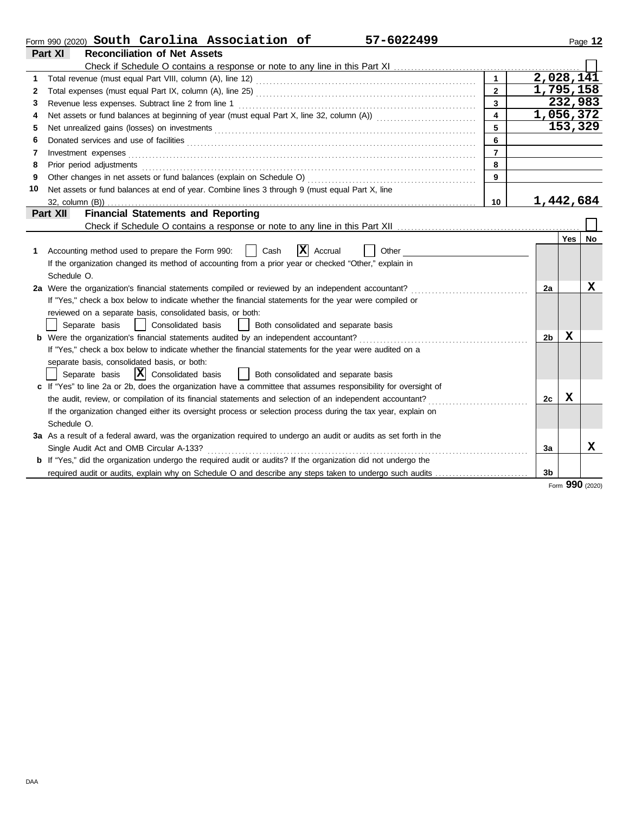|    | 57-6022499<br>Form 990 (2020) South Carolina Association of                                                                    |                |           |     | Page 12   |
|----|--------------------------------------------------------------------------------------------------------------------------------|----------------|-----------|-----|-----------|
|    | <b>Reconciliation of Net Assets</b><br>Part XI                                                                                 |                |           |     |           |
|    |                                                                                                                                |                |           |     |           |
|    | Total revenue (must equal Part VIII, column (A), line 12) [2010] [2010] [2010] [2010] [2010] [2010] [2010] [20                 | $\mathbf{1}$   | 2,028,141 |     |           |
| 2  |                                                                                                                                | $\overline{2}$ | 1,795,158 |     |           |
| 3  |                                                                                                                                | $\overline{3}$ |           |     | 232,983   |
| 4  | Net assets or fund balances at beginning of year (must equal Part X, line 32, column (A)) [[[[[[[[[[[[[[[[[[[                  |                | 1,056,372 |     |           |
| 5  |                                                                                                                                | 5              |           |     | 153,329   |
| 6  | Donated services and use of facilities <b>constructs</b> and the service of facilities <b>constructs</b> and use of facilities | 6              |           |     |           |
| 7  | Investment expenses                                                                                                            | $\overline{7}$ |           |     |           |
| 8  | Prior period adjustments                                                                                                       | 8              |           |     |           |
| 9  | Other changes in net assets or fund balances (explain on Schedule O)                                                           | $\mathbf{q}$   |           |     |           |
| 10 | Net assets or fund balances at end of year. Combine lines 3 through 9 (must equal Part X, line                                 |                |           |     |           |
|    | $32$ , column $(B)$ )                                                                                                          | 10             | 1,442,684 |     |           |
|    | <b>Financial Statements and Reporting</b><br>Part XII                                                                          |                |           |     |           |
|    |                                                                                                                                |                |           |     |           |
|    |                                                                                                                                |                |           | Yes | <b>No</b> |
| 1  | $ \mathbf{X} $ Accrual<br>Accounting method used to prepare the Form 990:<br>Cash<br>Other                                     |                |           |     |           |
|    | If the organization changed its method of accounting from a prior year or checked "Other," explain in                          |                |           |     |           |
|    | Schedule O.                                                                                                                    |                |           |     |           |
|    | 2a Were the organization's financial statements compiled or reviewed by an independent accountant?                             |                | 2a        |     | x         |
|    | If "Yes," check a box below to indicate whether the financial statements for the year were compiled or                         |                |           |     |           |
|    | reviewed on a separate basis, consolidated basis, or both:                                                                     |                |           |     |           |
|    | Separate basis<br>  Consolidated basis<br>  Both consolidated and separate basis                                               |                |           |     |           |
|    | <b>b</b> Were the organization's financial statements audited by an independent accountant?                                    |                | 2b        | x   |           |
|    | If "Yes," check a box below to indicate whether the financial statements for the year were audited on a                        |                |           |     |           |
|    | separate basis, consolidated basis, or both:                                                                                   |                |           |     |           |
|    | $ \mathbf{X} $ Consolidated basis<br>Separate basis<br>  Both consolidated and separate basis                                  |                |           |     |           |
|    | c If "Yes" to line 2a or 2b, does the organization have a committee that assumes responsibility for oversight of               |                |           |     |           |
|    | the audit, review, or compilation of its financial statements and selection of an independent accountant?                      |                | 2c        | X   |           |
|    | If the organization changed either its oversight process or selection process during the tax year, explain on                  |                |           |     |           |
|    | Schedule O.                                                                                                                    |                |           |     |           |
|    | 3a As a result of a federal award, was the organization required to undergo an audit or audits as set forth in the             |                |           |     |           |
|    | Single Audit Act and OMB Circular A-133?                                                                                       |                | 3a        |     | x         |
|    | <b>b</b> If "Yes," did the organization undergo the required audit or audits? If the organization did not undergo the          |                |           |     |           |
|    |                                                                                                                                |                |           |     |           |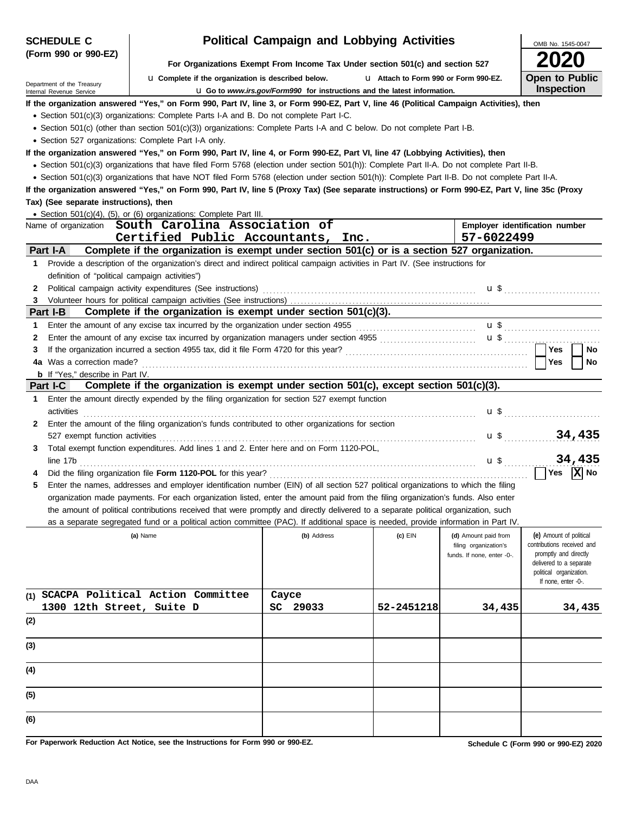| <b>SCHEDULE C</b>                                                  |                                                                                                                                                                                                                                | <b>Political Campaign and Lobbying Activities</b>                               |                                       |                                                     | OMB No. 1545-0047                                   |  |  |  |  |  |  |  |
|--------------------------------------------------------------------|--------------------------------------------------------------------------------------------------------------------------------------------------------------------------------------------------------------------------------|---------------------------------------------------------------------------------|---------------------------------------|-----------------------------------------------------|-----------------------------------------------------|--|--|--|--|--|--|--|
| (Form 990 or 990-EZ)                                               |                                                                                                                                                                                                                                |                                                                                 |                                       |                                                     | 2020                                                |  |  |  |  |  |  |  |
|                                                                    |                                                                                                                                                                                                                                | For Organizations Exempt From Income Tax Under section 501(c) and section 527   |                                       |                                                     |                                                     |  |  |  |  |  |  |  |
| Department of the Treasury                                         | <b>u</b> Complete if the organization is described below.                                                                                                                                                                      |                                                                                 | L1 Attach to Form 990 or Form 990-EZ. |                                                     | <b>Open to Public</b><br><b>Inspection</b>          |  |  |  |  |  |  |  |
| Internal Revenue Service                                           | If the organization answered "Yes," on Form 990, Part IV, line 3, or Form 990-EZ, Part V, line 46 (Political Campaign Activities), then                                                                                        | <b>u</b> Go to www.irs.gov/Form990 for instructions and the latest information. |                                       |                                                     |                                                     |  |  |  |  |  |  |  |
|                                                                    | • Section 501(c)(3) organizations: Complete Parts I-A and B. Do not complete Part I-C.                                                                                                                                         |                                                                                 |                                       |                                                     |                                                     |  |  |  |  |  |  |  |
|                                                                    | • Section 501(c) (other than section 501(c)(3)) organizations: Complete Parts I-A and C below. Do not complete Part I-B.                                                                                                       |                                                                                 |                                       |                                                     |                                                     |  |  |  |  |  |  |  |
| • Section 527 organizations: Complete Part I-A only.               |                                                                                                                                                                                                                                |                                                                                 |                                       |                                                     |                                                     |  |  |  |  |  |  |  |
|                                                                    | If the organization answered "Yes," on Form 990, Part IV, line 4, or Form 990-EZ, Part VI, line 47 (Lobbying Activities), then                                                                                                 |                                                                                 |                                       |                                                     |                                                     |  |  |  |  |  |  |  |
|                                                                    | • Section 501(c)(3) organizations that have filed Form 5768 (election under section 501(h)): Complete Part II-A. Do not complete Part II-B.                                                                                    |                                                                                 |                                       |                                                     |                                                     |  |  |  |  |  |  |  |
|                                                                    | • Section 501(c)(3) organizations that have NOT filed Form 5768 (election under section 501(h)): Complete Part II-B. Do not complete Part II-A.                                                                                |                                                                                 |                                       |                                                     |                                                     |  |  |  |  |  |  |  |
|                                                                    | If the organization answered "Yes," on Form 990, Part IV, line 5 (Proxy Tax) (See separate instructions) or Form 990-EZ, Part V, line 35c (Proxy                                                                               |                                                                                 |                                       |                                                     |                                                     |  |  |  |  |  |  |  |
| Tax) (See separate instructions), then                             |                                                                                                                                                                                                                                |                                                                                 |                                       |                                                     |                                                     |  |  |  |  |  |  |  |
| • Section 501(c)(4), (5), or (6) organizations: Complete Part III. |                                                                                                                                                                                                                                |                                                                                 |                                       |                                                     |                                                     |  |  |  |  |  |  |  |
|                                                                    | Name of organization South Carolina Association of<br>Employer identification number                                                                                                                                           |                                                                                 |                                       |                                                     |                                                     |  |  |  |  |  |  |  |
|                                                                    | Certified Public Accountants, Inc.                                                                                                                                                                                             |                                                                                 |                                       | 57-6022499                                          |                                                     |  |  |  |  |  |  |  |
| Part I-A                                                           | Complete if the organization is exempt under section 501(c) or is a section 527 organization.                                                                                                                                  |                                                                                 |                                       |                                                     |                                                     |  |  |  |  |  |  |  |
| 1.                                                                 | Provide a description of the organization's direct and indirect political campaign activities in Part IV. (See instructions for                                                                                                |                                                                                 |                                       |                                                     |                                                     |  |  |  |  |  |  |  |
| definition of "political campaign activities")                     |                                                                                                                                                                                                                                |                                                                                 |                                       |                                                     |                                                     |  |  |  |  |  |  |  |
| 2                                                                  | Political campaign activity expenditures (See instructions) [11] productions and contain the container activity expenditures (See instructions) [11] productions and container activity expenditures of the container activity |                                                                                 |                                       |                                                     |                                                     |  |  |  |  |  |  |  |
| 3                                                                  |                                                                                                                                                                                                                                |                                                                                 |                                       |                                                     |                                                     |  |  |  |  |  |  |  |
| Part I-B                                                           | Complete if the organization is exempt under section $501(c)(3)$ .                                                                                                                                                             |                                                                                 |                                       |                                                     |                                                     |  |  |  |  |  |  |  |
| 1                                                                  | Enter the amount of any excise tax incurred by the organization under section 4955                                                                                                                                             |                                                                                 |                                       |                                                     |                                                     |  |  |  |  |  |  |  |
| 2                                                                  |                                                                                                                                                                                                                                |                                                                                 |                                       |                                                     | Yes<br>No                                           |  |  |  |  |  |  |  |
| 3<br>4a Was a correction made?                                     |                                                                                                                                                                                                                                |                                                                                 |                                       |                                                     | <b>Yes</b><br>No.                                   |  |  |  |  |  |  |  |
| <b>b</b> If "Yes," describe in Part IV.                            |                                                                                                                                                                                                                                |                                                                                 |                                       |                                                     |                                                     |  |  |  |  |  |  |  |
| Part I-C                                                           | Complete if the organization is exempt under section 501(c), except section 501(c)(3).                                                                                                                                         |                                                                                 |                                       |                                                     |                                                     |  |  |  |  |  |  |  |
| 1.                                                                 | Enter the amount directly expended by the filing organization for section 527 exempt function                                                                                                                                  |                                                                                 |                                       |                                                     |                                                     |  |  |  |  |  |  |  |
| activities                                                         |                                                                                                                                                                                                                                |                                                                                 |                                       |                                                     |                                                     |  |  |  |  |  |  |  |
| 2                                                                  | Enter the amount of the filing organization's funds contributed to other organizations for section                                                                                                                             |                                                                                 |                                       |                                                     |                                                     |  |  |  |  |  |  |  |
| 527 exempt function activities                                     |                                                                                                                                                                                                                                |                                                                                 |                                       |                                                     | $u$ \$ 34,435                                       |  |  |  |  |  |  |  |
| 3                                                                  | Total exempt function expenditures. Add lines 1 and 2. Enter here and on Form 1120-POL,                                                                                                                                        |                                                                                 |                                       |                                                     |                                                     |  |  |  |  |  |  |  |
| line 17b                                                           |                                                                                                                                                                                                                                |                                                                                 |                                       | $\mathbf{u}$ \$                                     | 34,435                                              |  |  |  |  |  |  |  |
|                                                                    |                                                                                                                                                                                                                                |                                                                                 |                                       |                                                     | Yes $\boxed{\mathbf{X}}$ No                         |  |  |  |  |  |  |  |
|                                                                    | Enter the names, addresses and employer identification number (EIN) of all section 527 political organizations to which the filing                                                                                             |                                                                                 |                                       |                                                     |                                                     |  |  |  |  |  |  |  |
|                                                                    | organization made payments. For each organization listed, enter the amount paid from the filing organization's funds. Also enter                                                                                               |                                                                                 |                                       |                                                     |                                                     |  |  |  |  |  |  |  |
|                                                                    | the amount of political contributions received that were promptly and directly delivered to a separate political organization, such                                                                                            |                                                                                 |                                       |                                                     |                                                     |  |  |  |  |  |  |  |
|                                                                    | as a separate segregated fund or a political action committee (PAC). If additional space is needed, provide information in Part IV.                                                                                            |                                                                                 |                                       |                                                     |                                                     |  |  |  |  |  |  |  |
|                                                                    | (a) Name                                                                                                                                                                                                                       | (b) Address                                                                     | $(c)$ EIN                             | (d) Amount paid from                                | (e) Amount of political                             |  |  |  |  |  |  |  |
|                                                                    |                                                                                                                                                                                                                                |                                                                                 |                                       | filing organization's<br>funds. If none, enter -0-. | contributions received and<br>promptly and directly |  |  |  |  |  |  |  |
|                                                                    |                                                                                                                                                                                                                                |                                                                                 |                                       |                                                     | delivered to a separate                             |  |  |  |  |  |  |  |
|                                                                    |                                                                                                                                                                                                                                |                                                                                 |                                       |                                                     | political organization.<br>If none, enter -0-.      |  |  |  |  |  |  |  |
|                                                                    | SCACPA Political Action Committee                                                                                                                                                                                              |                                                                                 |                                       |                                                     |                                                     |  |  |  |  |  |  |  |
| (1)<br>1300 12th Street, Suite D                                   |                                                                                                                                                                                                                                | Cayce<br>SC 29033                                                               | 52-2451218                            | 34,435                                              | 34,435                                              |  |  |  |  |  |  |  |
|                                                                    |                                                                                                                                                                                                                                |                                                                                 |                                       |                                                     |                                                     |  |  |  |  |  |  |  |
| (2)                                                                |                                                                                                                                                                                                                                |                                                                                 |                                       |                                                     |                                                     |  |  |  |  |  |  |  |
| (3)                                                                |                                                                                                                                                                                                                                |                                                                                 |                                       |                                                     |                                                     |  |  |  |  |  |  |  |
|                                                                    |                                                                                                                                                                                                                                |                                                                                 |                                       |                                                     |                                                     |  |  |  |  |  |  |  |
| (4)                                                                |                                                                                                                                                                                                                                |                                                                                 |                                       |                                                     |                                                     |  |  |  |  |  |  |  |
|                                                                    |                                                                                                                                                                                                                                |                                                                                 |                                       |                                                     |                                                     |  |  |  |  |  |  |  |
| (5)                                                                |                                                                                                                                                                                                                                |                                                                                 |                                       |                                                     |                                                     |  |  |  |  |  |  |  |
|                                                                    |                                                                                                                                                                                                                                |                                                                                 |                                       |                                                     |                                                     |  |  |  |  |  |  |  |
| (6)                                                                |                                                                                                                                                                                                                                |                                                                                 |                                       |                                                     |                                                     |  |  |  |  |  |  |  |
|                                                                    |                                                                                                                                                                                                                                |                                                                                 |                                       |                                                     |                                                     |  |  |  |  |  |  |  |

**For Paperwork Reduction Act Notice, see the Instructions for Form 990 or 990-EZ.**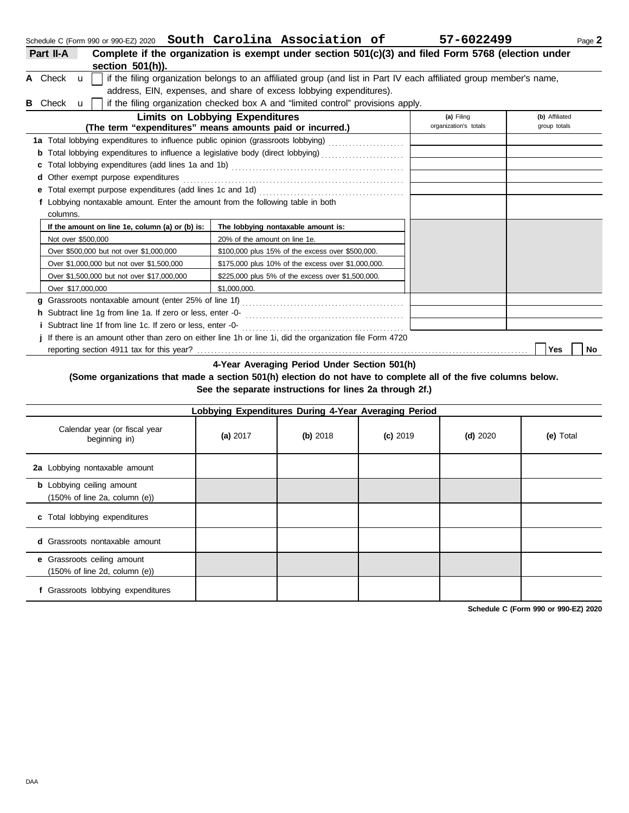Over \$1,000,000 but not over \$1,500,000 Over \$1,500,000 but not over \$17,000,000

Over \$17,000,000 \$1,000,000.

**h** Subtract line 1g from line 1a. If zero or less, enter -0 **i** Subtract line 1f from line 1c. If zero or less, enter -0-

**g** Grassroots nontaxable amount (enter 25% of line 1f) . . . . . . . . . . . . . . . . . . . . . . . . . . . . . . . . . . . . . . . . . . . . . . .

**j** If there is an amount other than zero on either line 1h or line 1i, did the organization file Form 4720

reporting section 4911 tax for this year? . . . . . . . . . . . . . . . . . . . . . . . . . . . . . . . . . . . . . . . . . . . . . . . . . . . . . . . . . . . . . . . . . . . . . . . . . . . . . . . . . . . . . . . . . . . . . . . . **Yes No**

\$175,000 plus 10% of the excess over \$1,000,000. \$225,000 plus 5% of the excess over \$1,500,000.

**4-Year Averaging Period Under Section 501(h)**

 . . . . . . . . . . . . . . . . . . . . . . . . . . . . . . . . . . . . . . . . . . . . . . . . . . . . . . . . . . . . . . . . . . . . . . . . . . . . . . . . . . . . . . . . . . . . .

### **(Some organizations that made a section 501(h) election do not have to complete all of the five columns below. See the separate instructions for lines 2a through 2f.)**

|                                                                                        | Lobbying Expenditures During 4-Year Averaging Period |          |            |            |           |
|----------------------------------------------------------------------------------------|------------------------------------------------------|----------|------------|------------|-----------|
| Calendar year (or fiscal year<br>beginning in)                                         | (a) $2017$                                           | (b) 2018 | $(c)$ 2019 | $(d)$ 2020 | (e) Total |
| 2a Lobbying nontaxable amount                                                          |                                                      |          |            |            |           |
| <b>b</b> Lobbying ceiling amount<br>$(150\% \text{ of line } 2a, \text{ column } (e))$ |                                                      |          |            |            |           |
| c Total lobbying expenditures                                                          |                                                      |          |            |            |           |
| <b>d</b> Grassroots nontaxable amount                                                  |                                                      |          |            |            |           |
| e Grassroots ceiling amount<br>$(150\% \text{ of line } 2d, \text{ column } (e))$      |                                                      |          |            |            |           |
| f Grassroots lobbying expenditures                                                     |                                                      |          |            |            |           |

| section $501(h)$ ).                                                              |                                                                                                                     |              |                |  |  |  |  |  |
|----------------------------------------------------------------------------------|---------------------------------------------------------------------------------------------------------------------|--------------|----------------|--|--|--|--|--|
| A Check $\mathbf u$                                                              | if the filing organization belongs to an affiliated group (and list in Part IV each affiliated group member's name, |              |                |  |  |  |  |  |
|                                                                                  | address, EIN, expenses, and share of excess lobbying expenditures).                                                 |              |                |  |  |  |  |  |
| <b>B</b> Check<br>$\mathbf{u}$                                                   | if the filing organization checked box A and "limited control" provisions apply.                                    |              |                |  |  |  |  |  |
|                                                                                  | <b>Limits on Lobbying Expenditures</b>                                                                              | (a) Filing   | (b) Affiliated |  |  |  |  |  |
| (The term "expenditures" means amounts paid or incurred.)                        | organization's totals                                                                                               | group totals |                |  |  |  |  |  |
| 1a Total lobbying expenditures to influence public opinion (grassroots lobbying) |                                                                                                                     |              |                |  |  |  |  |  |
|                                                                                  |                                                                                                                     |              |                |  |  |  |  |  |
|                                                                                  |                                                                                                                     |              |                |  |  |  |  |  |
| <b>d</b> Other exempt purpose expenditures                                       |                                                                                                                     |              |                |  |  |  |  |  |
| <b>e</b> Total exempt purpose expenditures (add lines 1c and 1d)                 |                                                                                                                     |              |                |  |  |  |  |  |
| f Lobbying nontaxable amount. Enter the amount from the following table in both  |                                                                                                                     |              |                |  |  |  |  |  |
| columns.                                                                         |                                                                                                                     |              |                |  |  |  |  |  |
| If the amount on line 1e, column (a) or (b) is:                                  | The lobbying nontaxable amount is:                                                                                  |              |                |  |  |  |  |  |
| Not over \$500,000                                                               | 20% of the amount on line 1e.                                                                                       |              |                |  |  |  |  |  |
| Over \$500,000 but not over \$1,000,000                                          | \$100,000 plus 15% of the excess over \$500,000.                                                                    |              |                |  |  |  |  |  |

**Part II-A Complete if the organization is exempt under section 501(c)(3) and filed Form 5768 (election under**

**Schedule C (Form 990 or 990-EZ) 2020**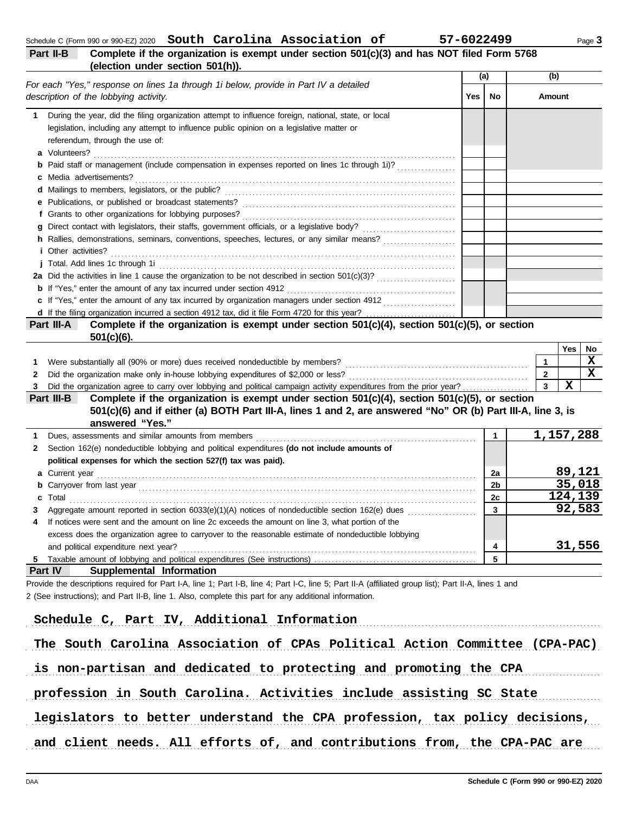|           |  | Schedule C (Form 990 or 990-EZ) 2020 South Carolina Association of | 57-6022499                                                                                 | Page 3 |
|-----------|--|--------------------------------------------------------------------|--------------------------------------------------------------------------------------------|--------|
| Part II-B |  |                                                                    | Complete if the organization is exempt under section 501(c)(3) and has NOT filed Form 5768 |        |

# **(election under section 501(h)).**

|              | 010011011 011001 00011011 001                                                                                                         | (a) |                | (b)            |               |             |             |
|--------------|---------------------------------------------------------------------------------------------------------------------------------------|-----|----------------|----------------|---------------|-------------|-------------|
|              | For each "Yes," response on lines 1a through 1i below, provide in Part IV a detailed<br>description of the lobbying activity.         | Yes | No             |                | <b>Amount</b> |             |             |
| 1.           | During the year, did the filing organization attempt to influence foreign, national, state, or local                                  |     |                |                |               |             |             |
|              | legislation, including any attempt to influence public opinion on a legislative matter or                                             |     |                |                |               |             |             |
|              | referendum, through the use of:                                                                                                       |     |                |                |               |             |             |
|              |                                                                                                                                       |     |                |                |               |             |             |
| b            | Paid staff or management (include compensation in expenses reported on lines 1c through 1i)?                                          |     |                |                |               |             |             |
| c            | Media advertisements?                                                                                                                 |     |                |                |               |             |             |
|              |                                                                                                                                       |     |                |                |               |             |             |
|              |                                                                                                                                       |     |                |                |               |             |             |
|              |                                                                                                                                       |     |                |                |               |             |             |
|              |                                                                                                                                       |     |                |                |               |             |             |
|              | <i>i</i> Other activities?                                                                                                            |     |                |                |               |             |             |
|              |                                                                                                                                       |     |                |                |               |             |             |
|              |                                                                                                                                       |     |                |                |               |             |             |
|              | <b>b</b> If "Yes," enter the amount of any tax incurred under section 4912                                                            |     |                |                |               |             |             |
|              | c If "Yes," enter the amount of any tax incurred by organization managers under section 4912<br><u> 1966 - Johann Stoff, martin a</u> |     |                |                |               |             |             |
|              |                                                                                                                                       |     |                |                |               |             |             |
|              | Complete if the organization is exempt under section 501(c)(4), section 501(c)(5), or section<br>Part III-A                           |     |                |                |               |             |             |
|              | $501(c)(6)$ .                                                                                                                         |     |                |                |               |             |             |
|              |                                                                                                                                       |     |                |                |               | Yes         | No          |
| 1.           | Were substantially all (90% or more) dues received nondeductible by members?                                                          |     |                | $\mathbf{1}$   |               |             | x           |
| 2            |                                                                                                                                       |     |                | $\overline{2}$ |               |             | $\mathbf x$ |
| 3            | Did the organization agree to carry over lobbying and political campaign activity expenditures from the prior year?                   |     |                | 3              |               | $\mathbf x$ |             |
|              | Complete if the organization is exempt under section 501(c)(4), section 501(c)(5), or section<br>Part III-B                           |     |                |                |               |             |             |
|              | 501(c)(6) and if either (a) BOTH Part III-A, lines 1 and 2, are answered "No" OR (b) Part III-A, line 3, is                           |     |                |                |               |             |             |
|              | answered "Yes."                                                                                                                       |     |                |                |               |             |             |
| 1            |                                                                                                                                       |     | 1              |                |               | 1,157,288   |             |
| $\mathbf{2}$ | Section 162(e) nondeductible lobbying and political expenditures (do not include amounts of                                           |     |                |                |               |             |             |
|              | political expenses for which the section 527(f) tax was paid).                                                                        |     |                |                |               |             |             |
| a            |                                                                                                                                       |     | 2a             |                |               | 89,121      |             |
| b            |                                                                                                                                       |     | 2 <sub>b</sub> |                |               | 35,018      |             |
| С            | Total                                                                                                                                 |     | 2c             |                |               | 124,139     |             |
| 3            |                                                                                                                                       |     | 3              |                |               | 92,583      |             |
| 4            | If notices were sent and the amount on line 2c exceeds the amount on line 3, what portion of the                                      |     |                |                |               |             |             |
|              | excess does the organization agree to carryover to the reasonable estimate of nondeductible lobbying                                  |     |                |                |               |             |             |
|              | and political expenditure next year?                                                                                                  |     | 4              |                |               | 31,556      |             |
|              |                                                                                                                                       |     | 5              |                |               |             |             |
|              | Part IV<br>Supplemental Information                                                                                                   |     |                |                |               |             |             |

Provide the descriptions required for Part I-A, line 1; Part I-B, line 4; Part I-C, line 5; Part II-A (affiliated group list); Part II-A, lines 1 and 2 (See instructions); and Part II-B, line 1. Also, complete this part for any additional information.

| Schedule C, Part IV, Additional Information                                 |
|-----------------------------------------------------------------------------|
| The South Carolina Association of CPAs Political Action Committee (CPA-PAC) |
| is non-partisan and dedicated to protecting and promoting the CPA           |
| profession in South Carolina. Activities include assisting SC State         |
| legislators to better understand the CPA profession, tax policy decisions,  |
| and client needs. All efforts of, and contributions from, the CPA-PAC are   |

| 7-6022499 |  |  |  |  |
|-----------|--|--|--|--|
|           |  |  |  |  |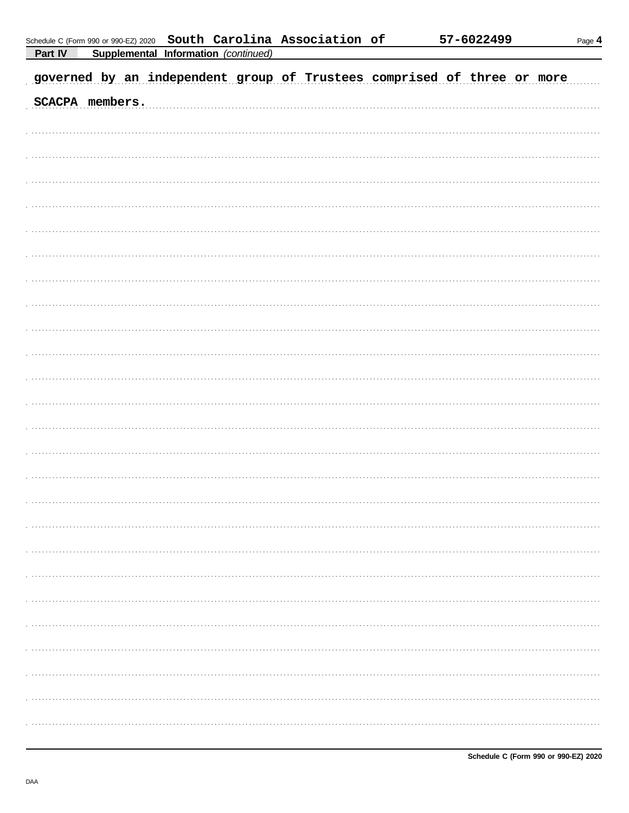|                |                                             |  | Schedule C (Form 990 or 990-EZ) 2020 South Carolina Association of |  |
|----------------|---------------------------------------------|--|--------------------------------------------------------------------|--|
| <b>Part IV</b> | <b>Supplemental Information (continued)</b> |  |                                                                    |  |

Page  $4$ 

| governed by an independent group of Trustees comprised of three or more |  |
|-------------------------------------------------------------------------|--|
| SCACPA members.                                                         |  |
|                                                                         |  |
|                                                                         |  |
|                                                                         |  |
|                                                                         |  |
|                                                                         |  |
|                                                                         |  |
|                                                                         |  |
|                                                                         |  |
|                                                                         |  |
|                                                                         |  |
|                                                                         |  |
|                                                                         |  |
|                                                                         |  |
|                                                                         |  |
|                                                                         |  |
|                                                                         |  |
|                                                                         |  |
|                                                                         |  |
|                                                                         |  |
|                                                                         |  |
|                                                                         |  |
|                                                                         |  |
|                                                                         |  |
|                                                                         |  |
|                                                                         |  |
|                                                                         |  |
|                                                                         |  |
|                                                                         |  |
|                                                                         |  |
|                                                                         |  |
|                                                                         |  |
|                                                                         |  |
|                                                                         |  |
|                                                                         |  |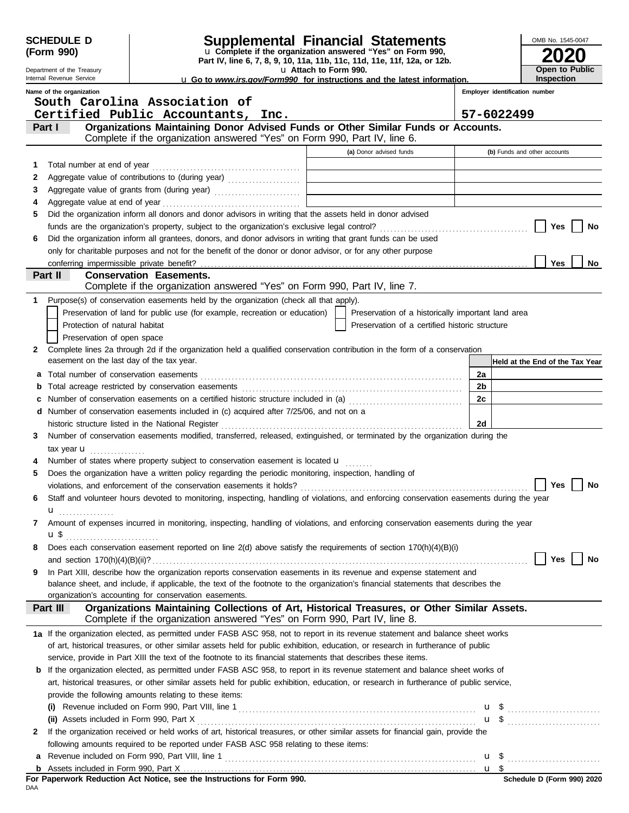|   | <b>SCHEDULE D</b><br>(Form 990)           |                                                                                                                                                                                                                                |                       | <b>Supplemental Financial Statements</b><br>u Complete if the organization answered "Yes" on Form 990, |                | OMB No. 1545-0047               |
|---|-------------------------------------------|--------------------------------------------------------------------------------------------------------------------------------------------------------------------------------------------------------------------------------|-----------------------|--------------------------------------------------------------------------------------------------------|----------------|---------------------------------|
|   | Department of the Treasury                |                                                                                                                                                                                                                                |                       | Part IV, line 6, 7, 8, 9, 10, 11a, 11b, 11c, 11d, 11e, 11f, 12a, or 12b.                               |                | Open to Public                  |
|   | Internal Revenue Service                  |                                                                                                                                                                                                                                | u Attach to Form 990. | <b>u</b> Go to www.irs.gov/Form990 for instructions and the latest information.                        |                | <b>Inspection</b>               |
|   | Name of the organization                  |                                                                                                                                                                                                                                |                       |                                                                                                        |                | Employer identification number  |
|   |                                           | South Carolina Association of                                                                                                                                                                                                  |                       |                                                                                                        |                |                                 |
|   |                                           | Certified Public Accountants, Inc.                                                                                                                                                                                             |                       |                                                                                                        |                | 57-6022499                      |
|   | Part I                                    | Organizations Maintaining Donor Advised Funds or Other Similar Funds or Accounts.<br>Complete if the organization answered "Yes" on Form 990, Part IV, line 6.                                                                 |                       |                                                                                                        |                |                                 |
|   |                                           |                                                                                                                                                                                                                                |                       | (a) Donor advised funds                                                                                |                | (b) Funds and other accounts    |
| 1 |                                           |                                                                                                                                                                                                                                |                       |                                                                                                        |                |                                 |
| 2 |                                           |                                                                                                                                                                                                                                |                       |                                                                                                        |                |                                 |
| 3 |                                           |                                                                                                                                                                                                                                |                       | the contract of the contract of the contract of the contract of the contract of                        |                |                                 |
| 4 |                                           |                                                                                                                                                                                                                                |                       |                                                                                                        |                |                                 |
| 5 |                                           | Did the organization inform all donors and donor advisors in writing that the assets held in donor advised                                                                                                                     |                       |                                                                                                        |                |                                 |
|   |                                           |                                                                                                                                                                                                                                |                       |                                                                                                        |                | Yes<br>No                       |
| 6 |                                           | Did the organization inform all grantees, donors, and donor advisors in writing that grant funds can be used                                                                                                                   |                       |                                                                                                        |                |                                 |
|   |                                           | only for charitable purposes and not for the benefit of the donor or donor advisor, or for any other purpose                                                                                                                   |                       |                                                                                                        |                |                                 |
|   | conferring impermissible private benefit? | <b>Conservation Easements.</b>                                                                                                                                                                                                 |                       |                                                                                                        |                | Yes<br>No                       |
|   | Part II                                   | Complete if the organization answered "Yes" on Form 990, Part IV, line 7.                                                                                                                                                      |                       |                                                                                                        |                |                                 |
| 1 |                                           | Purpose(s) of conservation easements held by the organization (check all that apply).                                                                                                                                          |                       |                                                                                                        |                |                                 |
|   |                                           | Preservation of land for public use (for example, recreation or education)                                                                                                                                                     |                       | Preservation of a historically important land area                                                     |                |                                 |
|   | Protection of natural habitat             |                                                                                                                                                                                                                                |                       | Preservation of a certified historic structure                                                         |                |                                 |
|   | Preservation of open space                |                                                                                                                                                                                                                                |                       |                                                                                                        |                |                                 |
| 2 |                                           | Complete lines 2a through 2d if the organization held a qualified conservation contribution in the form of a conservation                                                                                                      |                       |                                                                                                        |                |                                 |
|   | easement on the last day of the tax year. |                                                                                                                                                                                                                                |                       |                                                                                                        |                | Held at the End of the Tax Year |
| a |                                           |                                                                                                                                                                                                                                |                       |                                                                                                        | 2a             |                                 |
| b |                                           |                                                                                                                                                                                                                                |                       |                                                                                                        | 2 <sub>b</sub> |                                 |
|   |                                           | Number of conservation easements on a certified historic structure included in (a) [11] Number of conservation easements on a certified historic structure included in (a)                                                     |                       |                                                                                                        | 2c             |                                 |
|   |                                           | d Number of conservation easements included in (c) acquired after 7/25/06, and not on a                                                                                                                                        |                       |                                                                                                        |                |                                 |
|   |                                           | historic structure listed in the National Register [11, 12] And The Mathematical Analysis of the National Register [11, 12] Analysis and Mathematical Analysis and Mathematical Analysis and Mathematical Analysis and Mathema |                       |                                                                                                        | 2d             |                                 |
| 3 |                                           | Number of conservation easements modified, transferred, released, extinguished, or terminated by the organization during the                                                                                                   |                       |                                                                                                        |                |                                 |
|   | tax year $\mathbf u$                      |                                                                                                                                                                                                                                |                       |                                                                                                        |                |                                 |
| 5 |                                           | Number of states where property subject to conservation easement is located <b>u</b><br>Does the organization have a written policy regarding the periodic monitoring, inspection, handling of                                 |                       |                                                                                                        |                |                                 |
|   |                                           |                                                                                                                                                                                                                                |                       |                                                                                                        |                | Yes<br>No                       |
| 6 |                                           | Staff and volunteer hours devoted to monitoring, inspecting, handling of violations, and enforcing conservation easements during the year                                                                                      |                       |                                                                                                        |                |                                 |
|   | u <sub></sub>                             |                                                                                                                                                                                                                                |                       |                                                                                                        |                |                                 |
| 7 |                                           | Amount of expenses incurred in monitoring, inspecting, handling of violations, and enforcing conservation easements during the year                                                                                            |                       |                                                                                                        |                |                                 |
|   | u\$                                       |                                                                                                                                                                                                                                |                       |                                                                                                        |                |                                 |
| 8 |                                           | Does each conservation easement reported on line $2(d)$ above satisfy the requirements of section $170(h)(4)(B)(i)$                                                                                                            |                       |                                                                                                        |                |                                 |
|   |                                           |                                                                                                                                                                                                                                |                       |                                                                                                        |                | Yes<br>No                       |
| 9 |                                           | In Part XIII, describe how the organization reports conservation easements in its revenue and expense statement and                                                                                                            |                       |                                                                                                        |                |                                 |
|   |                                           | balance sheet, and include, if applicable, the text of the footnote to the organization's financial statements that describes the                                                                                              |                       |                                                                                                        |                |                                 |
|   |                                           | organization's accounting for conservation easements.<br>Organizations Maintaining Collections of Art, Historical Treasures, or Other Similar Assets.                                                                          |                       |                                                                                                        |                |                                 |
|   | Part III                                  | Complete if the organization answered "Yes" on Form 990, Part IV, line 8.                                                                                                                                                      |                       |                                                                                                        |                |                                 |
|   |                                           | 1a If the organization elected, as permitted under FASB ASC 958, not to report in its revenue statement and balance sheet works                                                                                                |                       |                                                                                                        |                |                                 |
|   |                                           | of art, historical treasures, or other similar assets held for public exhibition, education, or research in furtherance of public                                                                                              |                       |                                                                                                        |                |                                 |
|   |                                           | service, provide in Part XIII the text of the footnote to its financial statements that describes these items.                                                                                                                 |                       |                                                                                                        |                |                                 |
|   |                                           | <b>b</b> If the organization elected, as permitted under FASB ASC 958, to report in its revenue statement and balance sheet works of                                                                                           |                       |                                                                                                        |                |                                 |
|   |                                           | art, historical treasures, or other similar assets held for public exhibition, education, or research in furtherance of public service,                                                                                        |                       |                                                                                                        |                |                                 |
|   |                                           | provide the following amounts relating to these items:                                                                                                                                                                         |                       |                                                                                                        |                |                                 |
|   |                                           |                                                                                                                                                                                                                                |                       |                                                                                                        |                |                                 |
| 2 |                                           | If the organization received or held works of art, historical treasures, or other similar assets for financial gain, provide the                                                                                               |                       |                                                                                                        |                | $\mathbf{u}$ \$                 |
|   |                                           | following amounts required to be reported under FASB ASC 958 relating to these items:                                                                                                                                          |                       |                                                                                                        |                |                                 |
|   |                                           |                                                                                                                                                                                                                                |                       |                                                                                                        |                |                                 |
|   |                                           |                                                                                                                                                                                                                                |                       |                                                                                                        |                | $\frac{u \text{ } s}{24}$       |
|   |                                           |                                                                                                                                                                                                                                |                       |                                                                                                        |                |                                 |

| For Paperwork Reduction Act Notice, see the Instructions for Form 990. |  |  |  |
|------------------------------------------------------------------------|--|--|--|
| DAA                                                                    |  |  |  |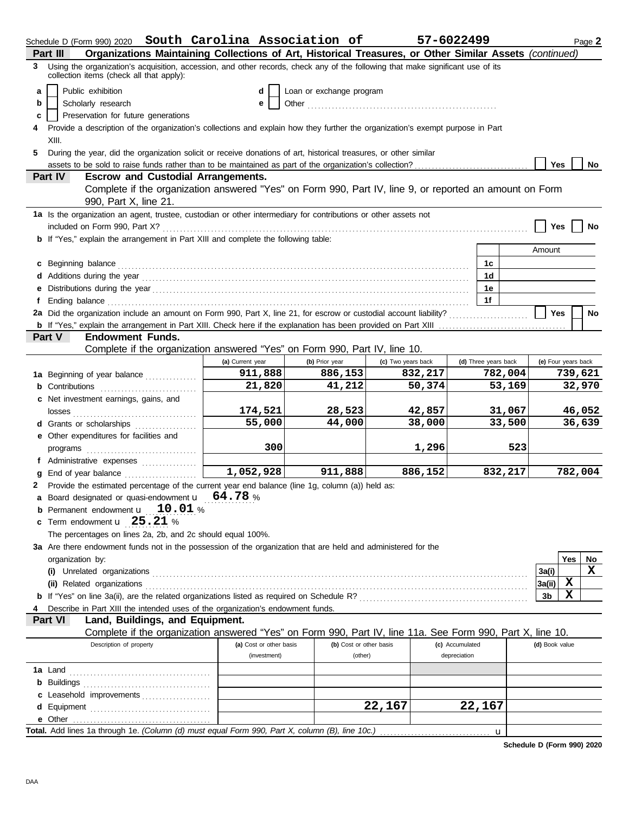| Organizations Maintaining Collections of Art, Historical Treasures, or Other Similar Assets (continued)<br>Part III<br>Using the organization's acquisition, accession, and other records, check any of the following that make significant use of its<br>3<br>collection items (check all that apply):<br>Public exhibition<br>Loan or exchange program<br>a<br>d<br>Scholarly research<br>b<br>Other<br>е<br>Preservation for future generations<br>c<br>Provide a description of the organization's collections and explain how they further the organization's exempt purpose in Part<br>4<br>XIII.<br>During the year, did the organization solicit or receive donations of art, historical treasures, or other similar<br>5.<br><b>Yes</b><br>No<br>Part IV<br><b>Escrow and Custodial Arrangements.</b><br>Complete if the organization answered "Yes" on Form 990, Part IV, line 9, or reported an amount on Form<br>990, Part X, line 21.<br>1a Is the organization an agent, trustee, custodian or other intermediary for contributions or other assets not<br>Yes<br>No<br><b>b</b> If "Yes," explain the arrangement in Part XIII and complete the following table:<br>Amount<br>c Beginning balance <b>contract to the contract of the set of the contract of the contract of the contract of the contract of the contract of the contract of the contract of the contract of the contract of the contract of th</b><br>1c<br>1d<br>1е<br>1f<br>f<br>2a Did the organization include an amount on Form 990, Part X, line 21, for escrow or custodial account liability?<br><b>Yes</b><br>No<br><b>Endowment Funds.</b><br>Part V<br>Complete if the organization answered "Yes" on Form 990, Part IV, line 10.<br>(e) Four years back<br>(a) Current year<br>(c) Two years back<br>(d) Three years back<br>(b) Prior year<br>911,888<br>782,004<br>886,153<br>832,217<br>739,621<br>1a Beginning of year balance<br>21,820<br>41,212<br>50,374<br>53,169<br>32,970<br><b>b</b> Contributions <b>contributions</b><br>c Net investment earnings, gains, and<br>174,521<br>42,857<br>31,067<br>46,052<br>28,523<br>55,000<br>44,000<br>38,000<br>36,639<br>33,500<br>d Grants or scholarships<br>e Other expenditures for facilities and<br>300<br>1,296<br>523<br>f Administrative expenses<br>1,052,928<br>911,888<br>886,152<br>832,217<br>782,004<br>Provide the estimated percentage of the current year end balance (line 1g, column (a)) held as:<br>2<br>a Board designated or quasi-endowment $\mathbf{u}$ 64.78 %<br>Permanent endowment <b>u</b> 10.01 %<br>b<br>c Term endowment $\mathbf{u}$ 25.21 %<br>The percentages on lines 2a, 2b, and 2c should equal 100%.<br>3a Are there endowment funds not in the possession of the organization that are held and administered for the<br>Yes<br>No<br>organization by:<br>x<br>3a(i)<br>х<br>3a(ii)<br>x<br>3b<br>Describe in Part XIII the intended uses of the organization's endowment funds.<br>Land, Buildings, and Equipment.<br>Part VI<br>Complete if the organization answered "Yes" on Form 990, Part IV, line 11a. See Form 990, Part X, line 10.<br>Description of property<br>(b) Cost or other basis<br>(a) Cost or other basis<br>(c) Accumulated<br>(d) Book value<br>depreciation<br>(investment)<br>(other)<br>c Leasehold improvements<br>22,167<br>22,167<br>e Other<br>Total. Add lines 1a through 1e. (Column (d) must equal Form 990, Part X, column (B), line 10c.) | Schedule D (Form 990) 2020 South Carolina Association of |  | 57-6022499 |             |  | Page 2 |
|-------------------------------------------------------------------------------------------------------------------------------------------------------------------------------------------------------------------------------------------------------------------------------------------------------------------------------------------------------------------------------------------------------------------------------------------------------------------------------------------------------------------------------------------------------------------------------------------------------------------------------------------------------------------------------------------------------------------------------------------------------------------------------------------------------------------------------------------------------------------------------------------------------------------------------------------------------------------------------------------------------------------------------------------------------------------------------------------------------------------------------------------------------------------------------------------------------------------------------------------------------------------------------------------------------------------------------------------------------------------------------------------------------------------------------------------------------------------------------------------------------------------------------------------------------------------------------------------------------------------------------------------------------------------------------------------------------------------------------------------------------------------------------------------------------------------------------------------------------------------------------------------------------------------------------------------------------------------------------------------------------------------------------------------------------------------------------------------------------------------------------------------------------------------------------------------------------------------------------------------------------------------------------------------------------------------------------------------------------------------------------------------------------------------------------------------------------------------------------------------------------------------------------------------------------------------------------------------------------------------------------------------------------------------------------------------------------------------------------------------------------------------------------------------------------------------------------------------------------------------------------------------------------------------------------------------------------------------------------------------------------------------------------------------------------------------------------------------------------------------------------------------------------------------------------------------------------------------------------------------------------------------------------------------------------------------------------------------------------------------------------------------------------------------------------------------------------------------|----------------------------------------------------------|--|------------|-------------|--|--------|
|                                                                                                                                                                                                                                                                                                                                                                                                                                                                                                                                                                                                                                                                                                                                                                                                                                                                                                                                                                                                                                                                                                                                                                                                                                                                                                                                                                                                                                                                                                                                                                                                                                                                                                                                                                                                                                                                                                                                                                                                                                                                                                                                                                                                                                                                                                                                                                                                                                                                                                                                                                                                                                                                                                                                                                                                                                                                                                                                                                                                                                                                                                                                                                                                                                                                                                                                                                                                                                                                   |                                                          |  |            |             |  |        |
|                                                                                                                                                                                                                                                                                                                                                                                                                                                                                                                                                                                                                                                                                                                                                                                                                                                                                                                                                                                                                                                                                                                                                                                                                                                                                                                                                                                                                                                                                                                                                                                                                                                                                                                                                                                                                                                                                                                                                                                                                                                                                                                                                                                                                                                                                                                                                                                                                                                                                                                                                                                                                                                                                                                                                                                                                                                                                                                                                                                                                                                                                                                                                                                                                                                                                                                                                                                                                                                                   |                                                          |  |            |             |  |        |
|                                                                                                                                                                                                                                                                                                                                                                                                                                                                                                                                                                                                                                                                                                                                                                                                                                                                                                                                                                                                                                                                                                                                                                                                                                                                                                                                                                                                                                                                                                                                                                                                                                                                                                                                                                                                                                                                                                                                                                                                                                                                                                                                                                                                                                                                                                                                                                                                                                                                                                                                                                                                                                                                                                                                                                                                                                                                                                                                                                                                                                                                                                                                                                                                                                                                                                                                                                                                                                                                   |                                                          |  |            |             |  |        |
|                                                                                                                                                                                                                                                                                                                                                                                                                                                                                                                                                                                                                                                                                                                                                                                                                                                                                                                                                                                                                                                                                                                                                                                                                                                                                                                                                                                                                                                                                                                                                                                                                                                                                                                                                                                                                                                                                                                                                                                                                                                                                                                                                                                                                                                                                                                                                                                                                                                                                                                                                                                                                                                                                                                                                                                                                                                                                                                                                                                                                                                                                                                                                                                                                                                                                                                                                                                                                                                                   |                                                          |  |            |             |  |        |
|                                                                                                                                                                                                                                                                                                                                                                                                                                                                                                                                                                                                                                                                                                                                                                                                                                                                                                                                                                                                                                                                                                                                                                                                                                                                                                                                                                                                                                                                                                                                                                                                                                                                                                                                                                                                                                                                                                                                                                                                                                                                                                                                                                                                                                                                                                                                                                                                                                                                                                                                                                                                                                                                                                                                                                                                                                                                                                                                                                                                                                                                                                                                                                                                                                                                                                                                                                                                                                                                   |                                                          |  |            |             |  |        |
|                                                                                                                                                                                                                                                                                                                                                                                                                                                                                                                                                                                                                                                                                                                                                                                                                                                                                                                                                                                                                                                                                                                                                                                                                                                                                                                                                                                                                                                                                                                                                                                                                                                                                                                                                                                                                                                                                                                                                                                                                                                                                                                                                                                                                                                                                                                                                                                                                                                                                                                                                                                                                                                                                                                                                                                                                                                                                                                                                                                                                                                                                                                                                                                                                                                                                                                                                                                                                                                                   |                                                          |  |            |             |  |        |
|                                                                                                                                                                                                                                                                                                                                                                                                                                                                                                                                                                                                                                                                                                                                                                                                                                                                                                                                                                                                                                                                                                                                                                                                                                                                                                                                                                                                                                                                                                                                                                                                                                                                                                                                                                                                                                                                                                                                                                                                                                                                                                                                                                                                                                                                                                                                                                                                                                                                                                                                                                                                                                                                                                                                                                                                                                                                                                                                                                                                                                                                                                                                                                                                                                                                                                                                                                                                                                                                   |                                                          |  |            |             |  |        |
|                                                                                                                                                                                                                                                                                                                                                                                                                                                                                                                                                                                                                                                                                                                                                                                                                                                                                                                                                                                                                                                                                                                                                                                                                                                                                                                                                                                                                                                                                                                                                                                                                                                                                                                                                                                                                                                                                                                                                                                                                                                                                                                                                                                                                                                                                                                                                                                                                                                                                                                                                                                                                                                                                                                                                                                                                                                                                                                                                                                                                                                                                                                                                                                                                                                                                                                                                                                                                                                                   |                                                          |  |            |             |  |        |
|                                                                                                                                                                                                                                                                                                                                                                                                                                                                                                                                                                                                                                                                                                                                                                                                                                                                                                                                                                                                                                                                                                                                                                                                                                                                                                                                                                                                                                                                                                                                                                                                                                                                                                                                                                                                                                                                                                                                                                                                                                                                                                                                                                                                                                                                                                                                                                                                                                                                                                                                                                                                                                                                                                                                                                                                                                                                                                                                                                                                                                                                                                                                                                                                                                                                                                                                                                                                                                                                   |                                                          |  |            |             |  |        |
|                                                                                                                                                                                                                                                                                                                                                                                                                                                                                                                                                                                                                                                                                                                                                                                                                                                                                                                                                                                                                                                                                                                                                                                                                                                                                                                                                                                                                                                                                                                                                                                                                                                                                                                                                                                                                                                                                                                                                                                                                                                                                                                                                                                                                                                                                                                                                                                                                                                                                                                                                                                                                                                                                                                                                                                                                                                                                                                                                                                                                                                                                                                                                                                                                                                                                                                                                                                                                                                                   |                                                          |  |            |             |  |        |
|                                                                                                                                                                                                                                                                                                                                                                                                                                                                                                                                                                                                                                                                                                                                                                                                                                                                                                                                                                                                                                                                                                                                                                                                                                                                                                                                                                                                                                                                                                                                                                                                                                                                                                                                                                                                                                                                                                                                                                                                                                                                                                                                                                                                                                                                                                                                                                                                                                                                                                                                                                                                                                                                                                                                                                                                                                                                                                                                                                                                                                                                                                                                                                                                                                                                                                                                                                                                                                                                   |                                                          |  |            |             |  |        |
|                                                                                                                                                                                                                                                                                                                                                                                                                                                                                                                                                                                                                                                                                                                                                                                                                                                                                                                                                                                                                                                                                                                                                                                                                                                                                                                                                                                                                                                                                                                                                                                                                                                                                                                                                                                                                                                                                                                                                                                                                                                                                                                                                                                                                                                                                                                                                                                                                                                                                                                                                                                                                                                                                                                                                                                                                                                                                                                                                                                                                                                                                                                                                                                                                                                                                                                                                                                                                                                                   |                                                          |  |            |             |  |        |
|                                                                                                                                                                                                                                                                                                                                                                                                                                                                                                                                                                                                                                                                                                                                                                                                                                                                                                                                                                                                                                                                                                                                                                                                                                                                                                                                                                                                                                                                                                                                                                                                                                                                                                                                                                                                                                                                                                                                                                                                                                                                                                                                                                                                                                                                                                                                                                                                                                                                                                                                                                                                                                                                                                                                                                                                                                                                                                                                                                                                                                                                                                                                                                                                                                                                                                                                                                                                                                                                   |                                                          |  |            |             |  |        |
|                                                                                                                                                                                                                                                                                                                                                                                                                                                                                                                                                                                                                                                                                                                                                                                                                                                                                                                                                                                                                                                                                                                                                                                                                                                                                                                                                                                                                                                                                                                                                                                                                                                                                                                                                                                                                                                                                                                                                                                                                                                                                                                                                                                                                                                                                                                                                                                                                                                                                                                                                                                                                                                                                                                                                                                                                                                                                                                                                                                                                                                                                                                                                                                                                                                                                                                                                                                                                                                                   |                                                          |  |            |             |  |        |
|                                                                                                                                                                                                                                                                                                                                                                                                                                                                                                                                                                                                                                                                                                                                                                                                                                                                                                                                                                                                                                                                                                                                                                                                                                                                                                                                                                                                                                                                                                                                                                                                                                                                                                                                                                                                                                                                                                                                                                                                                                                                                                                                                                                                                                                                                                                                                                                                                                                                                                                                                                                                                                                                                                                                                                                                                                                                                                                                                                                                                                                                                                                                                                                                                                                                                                                                                                                                                                                                   |                                                          |  |            |             |  |        |
|                                                                                                                                                                                                                                                                                                                                                                                                                                                                                                                                                                                                                                                                                                                                                                                                                                                                                                                                                                                                                                                                                                                                                                                                                                                                                                                                                                                                                                                                                                                                                                                                                                                                                                                                                                                                                                                                                                                                                                                                                                                                                                                                                                                                                                                                                                                                                                                                                                                                                                                                                                                                                                                                                                                                                                                                                                                                                                                                                                                                                                                                                                                                                                                                                                                                                                                                                                                                                                                                   |                                                          |  |            |             |  |        |
|                                                                                                                                                                                                                                                                                                                                                                                                                                                                                                                                                                                                                                                                                                                                                                                                                                                                                                                                                                                                                                                                                                                                                                                                                                                                                                                                                                                                                                                                                                                                                                                                                                                                                                                                                                                                                                                                                                                                                                                                                                                                                                                                                                                                                                                                                                                                                                                                                                                                                                                                                                                                                                                                                                                                                                                                                                                                                                                                                                                                                                                                                                                                                                                                                                                                                                                                                                                                                                                                   |                                                          |  |            |             |  |        |
|                                                                                                                                                                                                                                                                                                                                                                                                                                                                                                                                                                                                                                                                                                                                                                                                                                                                                                                                                                                                                                                                                                                                                                                                                                                                                                                                                                                                                                                                                                                                                                                                                                                                                                                                                                                                                                                                                                                                                                                                                                                                                                                                                                                                                                                                                                                                                                                                                                                                                                                                                                                                                                                                                                                                                                                                                                                                                                                                                                                                                                                                                                                                                                                                                                                                                                                                                                                                                                                                   |                                                          |  |            |             |  |        |
|                                                                                                                                                                                                                                                                                                                                                                                                                                                                                                                                                                                                                                                                                                                                                                                                                                                                                                                                                                                                                                                                                                                                                                                                                                                                                                                                                                                                                                                                                                                                                                                                                                                                                                                                                                                                                                                                                                                                                                                                                                                                                                                                                                                                                                                                                                                                                                                                                                                                                                                                                                                                                                                                                                                                                                                                                                                                                                                                                                                                                                                                                                                                                                                                                                                                                                                                                                                                                                                                   |                                                          |  |            |             |  |        |
|                                                                                                                                                                                                                                                                                                                                                                                                                                                                                                                                                                                                                                                                                                                                                                                                                                                                                                                                                                                                                                                                                                                                                                                                                                                                                                                                                                                                                                                                                                                                                                                                                                                                                                                                                                                                                                                                                                                                                                                                                                                                                                                                                                                                                                                                                                                                                                                                                                                                                                                                                                                                                                                                                                                                                                                                                                                                                                                                                                                                                                                                                                                                                                                                                                                                                                                                                                                                                                                                   |                                                          |  |            |             |  |        |
|                                                                                                                                                                                                                                                                                                                                                                                                                                                                                                                                                                                                                                                                                                                                                                                                                                                                                                                                                                                                                                                                                                                                                                                                                                                                                                                                                                                                                                                                                                                                                                                                                                                                                                                                                                                                                                                                                                                                                                                                                                                                                                                                                                                                                                                                                                                                                                                                                                                                                                                                                                                                                                                                                                                                                                                                                                                                                                                                                                                                                                                                                                                                                                                                                                                                                                                                                                                                                                                                   |                                                          |  |            |             |  |        |
|                                                                                                                                                                                                                                                                                                                                                                                                                                                                                                                                                                                                                                                                                                                                                                                                                                                                                                                                                                                                                                                                                                                                                                                                                                                                                                                                                                                                                                                                                                                                                                                                                                                                                                                                                                                                                                                                                                                                                                                                                                                                                                                                                                                                                                                                                                                                                                                                                                                                                                                                                                                                                                                                                                                                                                                                                                                                                                                                                                                                                                                                                                                                                                                                                                                                                                                                                                                                                                                                   |                                                          |  |            |             |  |        |
|                                                                                                                                                                                                                                                                                                                                                                                                                                                                                                                                                                                                                                                                                                                                                                                                                                                                                                                                                                                                                                                                                                                                                                                                                                                                                                                                                                                                                                                                                                                                                                                                                                                                                                                                                                                                                                                                                                                                                                                                                                                                                                                                                                                                                                                                                                                                                                                                                                                                                                                                                                                                                                                                                                                                                                                                                                                                                                                                                                                                                                                                                                                                                                                                                                                                                                                                                                                                                                                                   |                                                          |  |            |             |  |        |
|                                                                                                                                                                                                                                                                                                                                                                                                                                                                                                                                                                                                                                                                                                                                                                                                                                                                                                                                                                                                                                                                                                                                                                                                                                                                                                                                                                                                                                                                                                                                                                                                                                                                                                                                                                                                                                                                                                                                                                                                                                                                                                                                                                                                                                                                                                                                                                                                                                                                                                                                                                                                                                                                                                                                                                                                                                                                                                                                                                                                                                                                                                                                                                                                                                                                                                                                                                                                                                                                   |                                                          |  |            |             |  |        |
|                                                                                                                                                                                                                                                                                                                                                                                                                                                                                                                                                                                                                                                                                                                                                                                                                                                                                                                                                                                                                                                                                                                                                                                                                                                                                                                                                                                                                                                                                                                                                                                                                                                                                                                                                                                                                                                                                                                                                                                                                                                                                                                                                                                                                                                                                                                                                                                                                                                                                                                                                                                                                                                                                                                                                                                                                                                                                                                                                                                                                                                                                                                                                                                                                                                                                                                                                                                                                                                                   |                                                          |  |            |             |  |        |
|                                                                                                                                                                                                                                                                                                                                                                                                                                                                                                                                                                                                                                                                                                                                                                                                                                                                                                                                                                                                                                                                                                                                                                                                                                                                                                                                                                                                                                                                                                                                                                                                                                                                                                                                                                                                                                                                                                                                                                                                                                                                                                                                                                                                                                                                                                                                                                                                                                                                                                                                                                                                                                                                                                                                                                                                                                                                                                                                                                                                                                                                                                                                                                                                                                                                                                                                                                                                                                                                   |                                                          |  |            |             |  |        |
|                                                                                                                                                                                                                                                                                                                                                                                                                                                                                                                                                                                                                                                                                                                                                                                                                                                                                                                                                                                                                                                                                                                                                                                                                                                                                                                                                                                                                                                                                                                                                                                                                                                                                                                                                                                                                                                                                                                                                                                                                                                                                                                                                                                                                                                                                                                                                                                                                                                                                                                                                                                                                                                                                                                                                                                                                                                                                                                                                                                                                                                                                                                                                                                                                                                                                                                                                                                                                                                                   |                                                          |  |            |             |  |        |
|                                                                                                                                                                                                                                                                                                                                                                                                                                                                                                                                                                                                                                                                                                                                                                                                                                                                                                                                                                                                                                                                                                                                                                                                                                                                                                                                                                                                                                                                                                                                                                                                                                                                                                                                                                                                                                                                                                                                                                                                                                                                                                                                                                                                                                                                                                                                                                                                                                                                                                                                                                                                                                                                                                                                                                                                                                                                                                                                                                                                                                                                                                                                                                                                                                                                                                                                                                                                                                                                   |                                                          |  |            |             |  |        |
|                                                                                                                                                                                                                                                                                                                                                                                                                                                                                                                                                                                                                                                                                                                                                                                                                                                                                                                                                                                                                                                                                                                                                                                                                                                                                                                                                                                                                                                                                                                                                                                                                                                                                                                                                                                                                                                                                                                                                                                                                                                                                                                                                                                                                                                                                                                                                                                                                                                                                                                                                                                                                                                                                                                                                                                                                                                                                                                                                                                                                                                                                                                                                                                                                                                                                                                                                                                                                                                                   |                                                          |  |            |             |  |        |
|                                                                                                                                                                                                                                                                                                                                                                                                                                                                                                                                                                                                                                                                                                                                                                                                                                                                                                                                                                                                                                                                                                                                                                                                                                                                                                                                                                                                                                                                                                                                                                                                                                                                                                                                                                                                                                                                                                                                                                                                                                                                                                                                                                                                                                                                                                                                                                                                                                                                                                                                                                                                                                                                                                                                                                                                                                                                                                                                                                                                                                                                                                                                                                                                                                                                                                                                                                                                                                                                   |                                                          |  |            |             |  |        |
|                                                                                                                                                                                                                                                                                                                                                                                                                                                                                                                                                                                                                                                                                                                                                                                                                                                                                                                                                                                                                                                                                                                                                                                                                                                                                                                                                                                                                                                                                                                                                                                                                                                                                                                                                                                                                                                                                                                                                                                                                                                                                                                                                                                                                                                                                                                                                                                                                                                                                                                                                                                                                                                                                                                                                                                                                                                                                                                                                                                                                                                                                                                                                                                                                                                                                                                                                                                                                                                                   |                                                          |  |            |             |  |        |
|                                                                                                                                                                                                                                                                                                                                                                                                                                                                                                                                                                                                                                                                                                                                                                                                                                                                                                                                                                                                                                                                                                                                                                                                                                                                                                                                                                                                                                                                                                                                                                                                                                                                                                                                                                                                                                                                                                                                                                                                                                                                                                                                                                                                                                                                                                                                                                                                                                                                                                                                                                                                                                                                                                                                                                                                                                                                                                                                                                                                                                                                                                                                                                                                                                                                                                                                                                                                                                                                   |                                                          |  |            |             |  |        |
|                                                                                                                                                                                                                                                                                                                                                                                                                                                                                                                                                                                                                                                                                                                                                                                                                                                                                                                                                                                                                                                                                                                                                                                                                                                                                                                                                                                                                                                                                                                                                                                                                                                                                                                                                                                                                                                                                                                                                                                                                                                                                                                                                                                                                                                                                                                                                                                                                                                                                                                                                                                                                                                                                                                                                                                                                                                                                                                                                                                                                                                                                                                                                                                                                                                                                                                                                                                                                                                                   |                                                          |  |            |             |  |        |
|                                                                                                                                                                                                                                                                                                                                                                                                                                                                                                                                                                                                                                                                                                                                                                                                                                                                                                                                                                                                                                                                                                                                                                                                                                                                                                                                                                                                                                                                                                                                                                                                                                                                                                                                                                                                                                                                                                                                                                                                                                                                                                                                                                                                                                                                                                                                                                                                                                                                                                                                                                                                                                                                                                                                                                                                                                                                                                                                                                                                                                                                                                                                                                                                                                                                                                                                                                                                                                                                   |                                                          |  |            |             |  |        |
|                                                                                                                                                                                                                                                                                                                                                                                                                                                                                                                                                                                                                                                                                                                                                                                                                                                                                                                                                                                                                                                                                                                                                                                                                                                                                                                                                                                                                                                                                                                                                                                                                                                                                                                                                                                                                                                                                                                                                                                                                                                                                                                                                                                                                                                                                                                                                                                                                                                                                                                                                                                                                                                                                                                                                                                                                                                                                                                                                                                                                                                                                                                                                                                                                                                                                                                                                                                                                                                                   |                                                          |  |            |             |  |        |
|                                                                                                                                                                                                                                                                                                                                                                                                                                                                                                                                                                                                                                                                                                                                                                                                                                                                                                                                                                                                                                                                                                                                                                                                                                                                                                                                                                                                                                                                                                                                                                                                                                                                                                                                                                                                                                                                                                                                                                                                                                                                                                                                                                                                                                                                                                                                                                                                                                                                                                                                                                                                                                                                                                                                                                                                                                                                                                                                                                                                                                                                                                                                                                                                                                                                                                                                                                                                                                                                   |                                                          |  |            |             |  |        |
|                                                                                                                                                                                                                                                                                                                                                                                                                                                                                                                                                                                                                                                                                                                                                                                                                                                                                                                                                                                                                                                                                                                                                                                                                                                                                                                                                                                                                                                                                                                                                                                                                                                                                                                                                                                                                                                                                                                                                                                                                                                                                                                                                                                                                                                                                                                                                                                                                                                                                                                                                                                                                                                                                                                                                                                                                                                                                                                                                                                                                                                                                                                                                                                                                                                                                                                                                                                                                                                                   |                                                          |  |            |             |  |        |
|                                                                                                                                                                                                                                                                                                                                                                                                                                                                                                                                                                                                                                                                                                                                                                                                                                                                                                                                                                                                                                                                                                                                                                                                                                                                                                                                                                                                                                                                                                                                                                                                                                                                                                                                                                                                                                                                                                                                                                                                                                                                                                                                                                                                                                                                                                                                                                                                                                                                                                                                                                                                                                                                                                                                                                                                                                                                                                                                                                                                                                                                                                                                                                                                                                                                                                                                                                                                                                                                   |                                                          |  |            |             |  |        |
|                                                                                                                                                                                                                                                                                                                                                                                                                                                                                                                                                                                                                                                                                                                                                                                                                                                                                                                                                                                                                                                                                                                                                                                                                                                                                                                                                                                                                                                                                                                                                                                                                                                                                                                                                                                                                                                                                                                                                                                                                                                                                                                                                                                                                                                                                                                                                                                                                                                                                                                                                                                                                                                                                                                                                                                                                                                                                                                                                                                                                                                                                                                                                                                                                                                                                                                                                                                                                                                                   |                                                          |  |            |             |  |        |
|                                                                                                                                                                                                                                                                                                                                                                                                                                                                                                                                                                                                                                                                                                                                                                                                                                                                                                                                                                                                                                                                                                                                                                                                                                                                                                                                                                                                                                                                                                                                                                                                                                                                                                                                                                                                                                                                                                                                                                                                                                                                                                                                                                                                                                                                                                                                                                                                                                                                                                                                                                                                                                                                                                                                                                                                                                                                                                                                                                                                                                                                                                                                                                                                                                                                                                                                                                                                                                                                   |                                                          |  |            |             |  |        |
|                                                                                                                                                                                                                                                                                                                                                                                                                                                                                                                                                                                                                                                                                                                                                                                                                                                                                                                                                                                                                                                                                                                                                                                                                                                                                                                                                                                                                                                                                                                                                                                                                                                                                                                                                                                                                                                                                                                                                                                                                                                                                                                                                                                                                                                                                                                                                                                                                                                                                                                                                                                                                                                                                                                                                                                                                                                                                                                                                                                                                                                                                                                                                                                                                                                                                                                                                                                                                                                                   |                                                          |  |            |             |  |        |
|                                                                                                                                                                                                                                                                                                                                                                                                                                                                                                                                                                                                                                                                                                                                                                                                                                                                                                                                                                                                                                                                                                                                                                                                                                                                                                                                                                                                                                                                                                                                                                                                                                                                                                                                                                                                                                                                                                                                                                                                                                                                                                                                                                                                                                                                                                                                                                                                                                                                                                                                                                                                                                                                                                                                                                                                                                                                                                                                                                                                                                                                                                                                                                                                                                                                                                                                                                                                                                                                   |                                                          |  |            |             |  |        |
|                                                                                                                                                                                                                                                                                                                                                                                                                                                                                                                                                                                                                                                                                                                                                                                                                                                                                                                                                                                                                                                                                                                                                                                                                                                                                                                                                                                                                                                                                                                                                                                                                                                                                                                                                                                                                                                                                                                                                                                                                                                                                                                                                                                                                                                                                                                                                                                                                                                                                                                                                                                                                                                                                                                                                                                                                                                                                                                                                                                                                                                                                                                                                                                                                                                                                                                                                                                                                                                                   |                                                          |  |            |             |  |        |
|                                                                                                                                                                                                                                                                                                                                                                                                                                                                                                                                                                                                                                                                                                                                                                                                                                                                                                                                                                                                                                                                                                                                                                                                                                                                                                                                                                                                                                                                                                                                                                                                                                                                                                                                                                                                                                                                                                                                                                                                                                                                                                                                                                                                                                                                                                                                                                                                                                                                                                                                                                                                                                                                                                                                                                                                                                                                                                                                                                                                                                                                                                                                                                                                                                                                                                                                                                                                                                                                   |                                                          |  |            |             |  |        |
|                                                                                                                                                                                                                                                                                                                                                                                                                                                                                                                                                                                                                                                                                                                                                                                                                                                                                                                                                                                                                                                                                                                                                                                                                                                                                                                                                                                                                                                                                                                                                                                                                                                                                                                                                                                                                                                                                                                                                                                                                                                                                                                                                                                                                                                                                                                                                                                                                                                                                                                                                                                                                                                                                                                                                                                                                                                                                                                                                                                                                                                                                                                                                                                                                                                                                                                                                                                                                                                                   |                                                          |  |            |             |  |        |
|                                                                                                                                                                                                                                                                                                                                                                                                                                                                                                                                                                                                                                                                                                                                                                                                                                                                                                                                                                                                                                                                                                                                                                                                                                                                                                                                                                                                                                                                                                                                                                                                                                                                                                                                                                                                                                                                                                                                                                                                                                                                                                                                                                                                                                                                                                                                                                                                                                                                                                                                                                                                                                                                                                                                                                                                                                                                                                                                                                                                                                                                                                                                                                                                                                                                                                                                                                                                                                                                   |                                                          |  |            |             |  |        |
|                                                                                                                                                                                                                                                                                                                                                                                                                                                                                                                                                                                                                                                                                                                                                                                                                                                                                                                                                                                                                                                                                                                                                                                                                                                                                                                                                                                                                                                                                                                                                                                                                                                                                                                                                                                                                                                                                                                                                                                                                                                                                                                                                                                                                                                                                                                                                                                                                                                                                                                                                                                                                                                                                                                                                                                                                                                                                                                                                                                                                                                                                                                                                                                                                                                                                                                                                                                                                                                                   |                                                          |  |            |             |  |        |
|                                                                                                                                                                                                                                                                                                                                                                                                                                                                                                                                                                                                                                                                                                                                                                                                                                                                                                                                                                                                                                                                                                                                                                                                                                                                                                                                                                                                                                                                                                                                                                                                                                                                                                                                                                                                                                                                                                                                                                                                                                                                                                                                                                                                                                                                                                                                                                                                                                                                                                                                                                                                                                                                                                                                                                                                                                                                                                                                                                                                                                                                                                                                                                                                                                                                                                                                                                                                                                                                   |                                                          |  |            |             |  |        |
|                                                                                                                                                                                                                                                                                                                                                                                                                                                                                                                                                                                                                                                                                                                                                                                                                                                                                                                                                                                                                                                                                                                                                                                                                                                                                                                                                                                                                                                                                                                                                                                                                                                                                                                                                                                                                                                                                                                                                                                                                                                                                                                                                                                                                                                                                                                                                                                                                                                                                                                                                                                                                                                                                                                                                                                                                                                                                                                                                                                                                                                                                                                                                                                                                                                                                                                                                                                                                                                                   |                                                          |  |            |             |  |        |
|                                                                                                                                                                                                                                                                                                                                                                                                                                                                                                                                                                                                                                                                                                                                                                                                                                                                                                                                                                                                                                                                                                                                                                                                                                                                                                                                                                                                                                                                                                                                                                                                                                                                                                                                                                                                                                                                                                                                                                                                                                                                                                                                                                                                                                                                                                                                                                                                                                                                                                                                                                                                                                                                                                                                                                                                                                                                                                                                                                                                                                                                                                                                                                                                                                                                                                                                                                                                                                                                   |                                                          |  |            |             |  |        |
|                                                                                                                                                                                                                                                                                                                                                                                                                                                                                                                                                                                                                                                                                                                                                                                                                                                                                                                                                                                                                                                                                                                                                                                                                                                                                                                                                                                                                                                                                                                                                                                                                                                                                                                                                                                                                                                                                                                                                                                                                                                                                                                                                                                                                                                                                                                                                                                                                                                                                                                                                                                                                                                                                                                                                                                                                                                                                                                                                                                                                                                                                                                                                                                                                                                                                                                                                                                                                                                                   |                                                          |  |            |             |  |        |
|                                                                                                                                                                                                                                                                                                                                                                                                                                                                                                                                                                                                                                                                                                                                                                                                                                                                                                                                                                                                                                                                                                                                                                                                                                                                                                                                                                                                                                                                                                                                                                                                                                                                                                                                                                                                                                                                                                                                                                                                                                                                                                                                                                                                                                                                                                                                                                                                                                                                                                                                                                                                                                                                                                                                                                                                                                                                                                                                                                                                                                                                                                                                                                                                                                                                                                                                                                                                                                                                   |                                                          |  |            |             |  |        |
|                                                                                                                                                                                                                                                                                                                                                                                                                                                                                                                                                                                                                                                                                                                                                                                                                                                                                                                                                                                                                                                                                                                                                                                                                                                                                                                                                                                                                                                                                                                                                                                                                                                                                                                                                                                                                                                                                                                                                                                                                                                                                                                                                                                                                                                                                                                                                                                                                                                                                                                                                                                                                                                                                                                                                                                                                                                                                                                                                                                                                                                                                                                                                                                                                                                                                                                                                                                                                                                                   |                                                          |  |            |             |  |        |
|                                                                                                                                                                                                                                                                                                                                                                                                                                                                                                                                                                                                                                                                                                                                                                                                                                                                                                                                                                                                                                                                                                                                                                                                                                                                                                                                                                                                                                                                                                                                                                                                                                                                                                                                                                                                                                                                                                                                                                                                                                                                                                                                                                                                                                                                                                                                                                                                                                                                                                                                                                                                                                                                                                                                                                                                                                                                                                                                                                                                                                                                                                                                                                                                                                                                                                                                                                                                                                                                   |                                                          |  |            |             |  |        |
|                                                                                                                                                                                                                                                                                                                                                                                                                                                                                                                                                                                                                                                                                                                                                                                                                                                                                                                                                                                                                                                                                                                                                                                                                                                                                                                                                                                                                                                                                                                                                                                                                                                                                                                                                                                                                                                                                                                                                                                                                                                                                                                                                                                                                                                                                                                                                                                                                                                                                                                                                                                                                                                                                                                                                                                                                                                                                                                                                                                                                                                                                                                                                                                                                                                                                                                                                                                                                                                                   |                                                          |  |            | $\mathbf u$ |  |        |

**Schedule D (Form 990) 2020**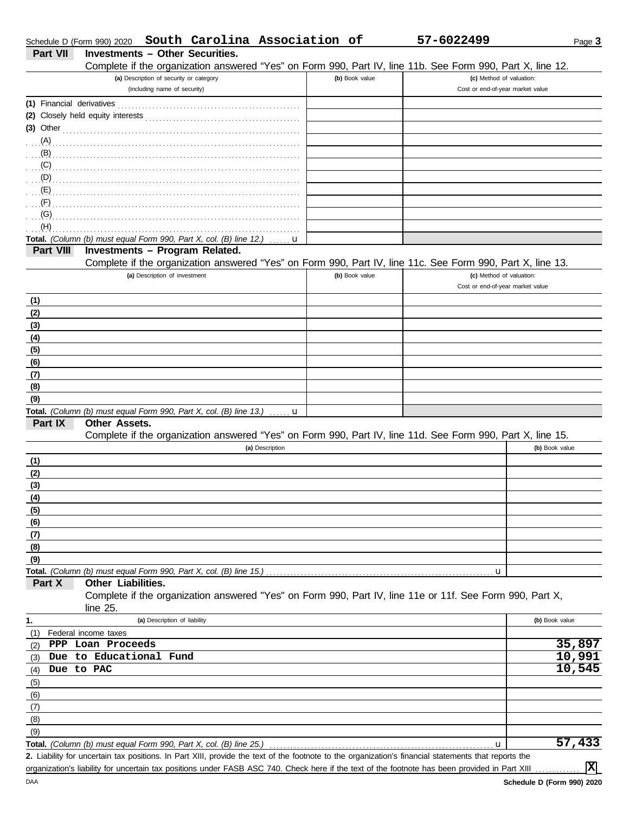| Schedule D (Form 990) 2020 | South Carolina Association of                                                                                                                        |                | 57-6022499                                                   | Page 3         |
|----------------------------|------------------------------------------------------------------------------------------------------------------------------------------------------|----------------|--------------------------------------------------------------|----------------|
| <b>Part VII</b>            | <b>Investments - Other Securities.</b>                                                                                                               |                |                                                              |                |
|                            | Complete if the organization answered "Yes" on Form 990, Part IV, line 11b. See Form 990, Part X, line 12.                                           |                |                                                              |                |
|                            | (a) Description of security or category                                                                                                              | (b) Book value | (c) Method of valuation:                                     |                |
|                            | (including name of security)                                                                                                                         |                | Cost or end-of-year market value                             |                |
| (1) Financial derivatives  |                                                                                                                                                      |                |                                                              |                |
|                            |                                                                                                                                                      |                |                                                              |                |
| $(3)$ Other                |                                                                                                                                                      |                |                                                              |                |
| (A)                        |                                                                                                                                                      |                |                                                              |                |
| (B)                        |                                                                                                                                                      |                |                                                              |                |
| (C)                        |                                                                                                                                                      |                |                                                              |                |
| (D)                        |                                                                                                                                                      |                |                                                              |                |
| (E)                        |                                                                                                                                                      |                |                                                              |                |
| (F)                        |                                                                                                                                                      |                |                                                              |                |
| (G)                        |                                                                                                                                                      |                |                                                              |                |
| (H)                        |                                                                                                                                                      |                |                                                              |                |
|                            | Total. (Column (b) must equal Form 990, Part X, col. (B) line 12.)<br>u                                                                              |                |                                                              |                |
| Part VIII                  | Investments - Program Related.                                                                                                                       |                |                                                              |                |
|                            | Complete if the organization answered "Yes" on Form 990, Part IV, line 11c. See Form 990, Part X, line 13.                                           |                |                                                              |                |
|                            | (a) Description of investment                                                                                                                        | (b) Book value | (c) Method of valuation:<br>Cost or end-of-year market value |                |
|                            |                                                                                                                                                      |                |                                                              |                |
| (1)                        |                                                                                                                                                      |                |                                                              |                |
| (2)                        |                                                                                                                                                      |                |                                                              |                |
| (3)                        |                                                                                                                                                      |                |                                                              |                |
| (4)                        |                                                                                                                                                      |                |                                                              |                |
| (5)                        |                                                                                                                                                      |                |                                                              |                |
| (6)                        |                                                                                                                                                      |                |                                                              |                |
| (7)                        |                                                                                                                                                      |                |                                                              |                |
| (8)                        |                                                                                                                                                      |                |                                                              |                |
| (9)                        |                                                                                                                                                      |                |                                                              |                |
| Part IX                    | Total. (Column (b) must equal Form 990, Part X, col. (B) line 13.)<br>. <b>. u</b><br><b>Other Assets.</b>                                           |                |                                                              |                |
|                            | Complete if the organization answered "Yes" on Form 990, Part IV, line 11d. See Form 990, Part X, line 15.                                           |                |                                                              |                |
|                            | (a) Description                                                                                                                                      |                |                                                              | (b) Book value |
| (1)                        |                                                                                                                                                      |                |                                                              |                |
| (2)                        |                                                                                                                                                      |                |                                                              |                |
| (3)                        |                                                                                                                                                      |                |                                                              |                |
| (4)                        |                                                                                                                                                      |                |                                                              |                |
| (5)                        |                                                                                                                                                      |                |                                                              |                |
| (6)                        |                                                                                                                                                      |                |                                                              |                |
| (7)                        |                                                                                                                                                      |                |                                                              |                |
| (8)                        |                                                                                                                                                      |                |                                                              |                |
| (9)                        |                                                                                                                                                      |                |                                                              |                |
|                            | Total. (Column (b) must equal Form 990, Part X, col. (B) line 15.)                                                                                   |                | u                                                            |                |
| Part X                     | Other Liabilities.                                                                                                                                   |                |                                                              |                |
|                            | Complete if the organization answered "Yes" on Form 990, Part IV, line 11e or 11f. See Form 990, Part X,                                             |                |                                                              |                |
|                            | line $25$ .                                                                                                                                          |                |                                                              |                |
| 1.                         | (a) Description of liability                                                                                                                         |                |                                                              | (b) Book value |
| (1)                        | Federal income taxes                                                                                                                                 |                |                                                              |                |
| (2)                        | PPP Loan Proceeds                                                                                                                                    |                |                                                              | 35,897         |
| (3)                        | Due to Educational Fund                                                                                                                              |                |                                                              | 10,991         |
| Due to PAC<br>(4)          |                                                                                                                                                      |                |                                                              | 10,545         |
| (5)                        |                                                                                                                                                      |                |                                                              |                |
| (6)                        |                                                                                                                                                      |                |                                                              |                |
| (7)                        |                                                                                                                                                      |                |                                                              |                |
| (8)                        |                                                                                                                                                      |                |                                                              |                |
| (9)                        |                                                                                                                                                      |                |                                                              |                |
|                            | Total. (Column (b) must equal Form 990, Part X, col. (B) line 25.)                                                                                   |                | u                                                            | 57,433         |
|                            | 2. Liability for uncertain tax positions. In Part XIII, provide the text of the footnote to the organization's financial statements that reports the |                |                                                              |                |
|                            | organization's liability for uncertain tax positions under FASB ASC 740. Check here if the text of the footnote has been provided in Part XIII       |                |                                                              | 区              |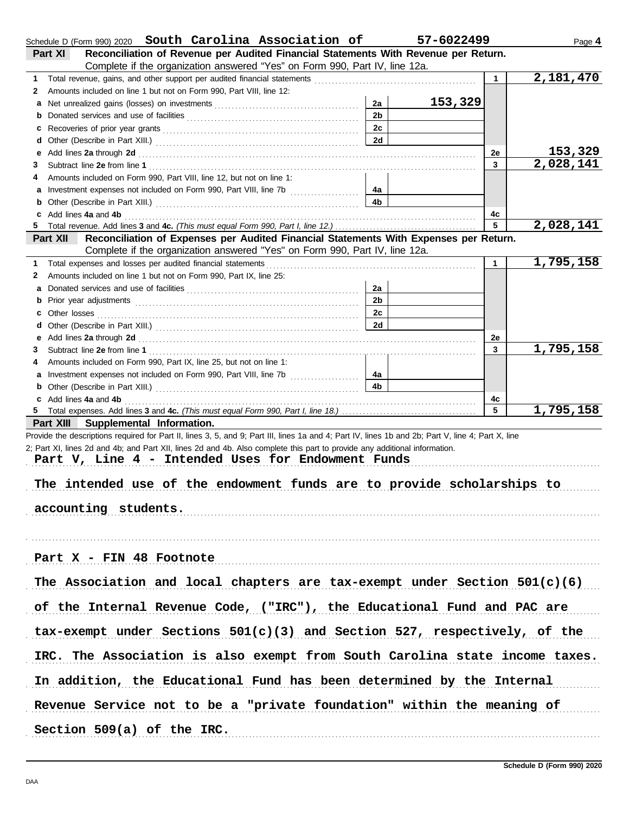| Schedule D (Form 990) 2020 South Carolina Association of                                                                                                                                                                            |                | 57-6022499 |              | Page 4                 |
|-------------------------------------------------------------------------------------------------------------------------------------------------------------------------------------------------------------------------------------|----------------|------------|--------------|------------------------|
| Part XI<br>Reconciliation of Revenue per Audited Financial Statements With Revenue per Return.                                                                                                                                      |                |            |              |                        |
| Complete if the organization answered "Yes" on Form 990, Part IV, line 12a.                                                                                                                                                         |                |            |              | $\overline{2,181,470}$ |
| 1<br>Amounts included on line 1 but not on Form 990, Part VIII, line 12:                                                                                                                                                            |                |            | $\mathbf{1}$ |                        |
| 2                                                                                                                                                                                                                                   | 2a             | 153,329    |              |                        |
|                                                                                                                                                                                                                                     | 2 <sub>b</sub> |            |              |                        |
| b                                                                                                                                                                                                                                   | 2c             |            |              |                        |
| c                                                                                                                                                                                                                                   | 2d             |            |              |                        |
|                                                                                                                                                                                                                                     |                |            |              | 153,329                |
| Add lines 2a through 2d [11] March 2014 [12] March 2014 [12] March 2014 [12] March 2014 [12] March 2014 [12] March 2014 [12] March 2014 [12] March 2014 [12] March 2014 [12] March 2014 [12] March 2014 [12] March 2014 [12] M<br>е |                |            | 2e<br>3      | 2,028,141              |
| 3<br>Amounts included on Form 990, Part VIII, line 12, but not on line 1:<br>4                                                                                                                                                      |                |            |              |                        |
| a Investment expenses not included on Form 990, Part VIII, line 7b                                                                                                                                                                  | 4a             |            |              |                        |
|                                                                                                                                                                                                                                     | 4 <sub>b</sub> |            |              |                        |
| c Add lines 4a and 4b                                                                                                                                                                                                               |                |            |              |                        |
| 5.                                                                                                                                                                                                                                  |                |            | 4c<br>5      | 2,028,141              |
| Reconciliation of Expenses per Audited Financial Statements With Expenses per Return.<br>Part XII                                                                                                                                   |                |            |              |                        |
| Complete if the organization answered "Yes" on Form 990, Part IV, line 12a.                                                                                                                                                         |                |            |              |                        |
| Total expenses and losses per audited financial statements<br>1                                                                                                                                                                     |                |            | $\mathbf{1}$ | 1,795,158              |
| Amounts included on line 1 but not on Form 990, Part IX, line 25:<br>2                                                                                                                                                              |                |            |              |                        |
|                                                                                                                                                                                                                                     | 2a             |            |              |                        |
| b                                                                                                                                                                                                                                   | 2 <sub>b</sub> |            |              |                        |
|                                                                                                                                                                                                                                     | 2c             |            |              |                        |
|                                                                                                                                                                                                                                     | 2d             |            |              |                        |
|                                                                                                                                                                                                                                     |                |            | 2e           |                        |
| 3                                                                                                                                                                                                                                   |                |            | 3            | 1,795,158              |
| Amounts included on Form 990, Part IX, line 25, but not on line 1:<br>4                                                                                                                                                             |                |            |              |                        |
| a Investment expenses not included on Form 990, Part VIII, line 7b                                                                                                                                                                  | 4a             |            |              |                        |
|                                                                                                                                                                                                                                     | 4 <sub>b</sub> |            |              |                        |
| c Add lines 4a and 4b                                                                                                                                                                                                               |                |            | 4c           |                        |
|                                                                                                                                                                                                                                     |                |            | 5            | 1,795,158              |
| Part XIII Supplemental Information.                                                                                                                                                                                                 |                |            |              |                        |
| Provide the descriptions required for Part II, lines 3, 5, and 9; Part III, lines 1a and 4; Part IV, lines 1b and 2b; Part V, line 4; Part X, line                                                                                  |                |            |              |                        |
| 2; Part XI, lines 2d and 4b; and Part XII, lines 2d and 4b. Also complete this part to provide any additional information.                                                                                                          |                |            |              |                        |
| Part V, Line 4 - Intended Uses for Endowment Funds                                                                                                                                                                                  |                |            |              |                        |
|                                                                                                                                                                                                                                     |                |            |              |                        |
| The intended use of the endowment funds are to provide scholarships to                                                                                                                                                              |                |            |              |                        |
|                                                                                                                                                                                                                                     |                |            |              |                        |
| accounting students.                                                                                                                                                                                                                |                |            |              |                        |
|                                                                                                                                                                                                                                     |                |            |              |                        |
|                                                                                                                                                                                                                                     |                |            |              |                        |
|                                                                                                                                                                                                                                     |                |            |              |                        |
| Part X - FIN 48 Footnote                                                                                                                                                                                                            |                |            |              |                        |
|                                                                                                                                                                                                                                     |                |            |              |                        |
| The Association and local chapters are tax-exempt under Section $501(c)(6)$                                                                                                                                                         |                |            |              |                        |
|                                                                                                                                                                                                                                     |                |            |              |                        |
| of the Internal Revenue Code, ("IRC"), the Educational Fund and PAC are                                                                                                                                                             |                |            |              |                        |
|                                                                                                                                                                                                                                     |                |            |              |                        |
| tax-exempt under Sections $501(c)(3)$ and Section 527, respectively, of the                                                                                                                                                         |                |            |              |                        |
| IRC. The Association is also exempt from South Carolina state income taxes.                                                                                                                                                         |                |            |              |                        |
|                                                                                                                                                                                                                                     |                |            |              |                        |
| In addition, the Educational Fund has been determined by the Internal                                                                                                                                                               |                |            |              |                        |
| Revenue Service not to be a "private foundation" within the meaning of                                                                                                                                                              |                |            |              |                        |
| Section 509(a) of the IRC.                                                                                                                                                                                                          |                |            |              |                        |
|                                                                                                                                                                                                                                     |                |            |              |                        |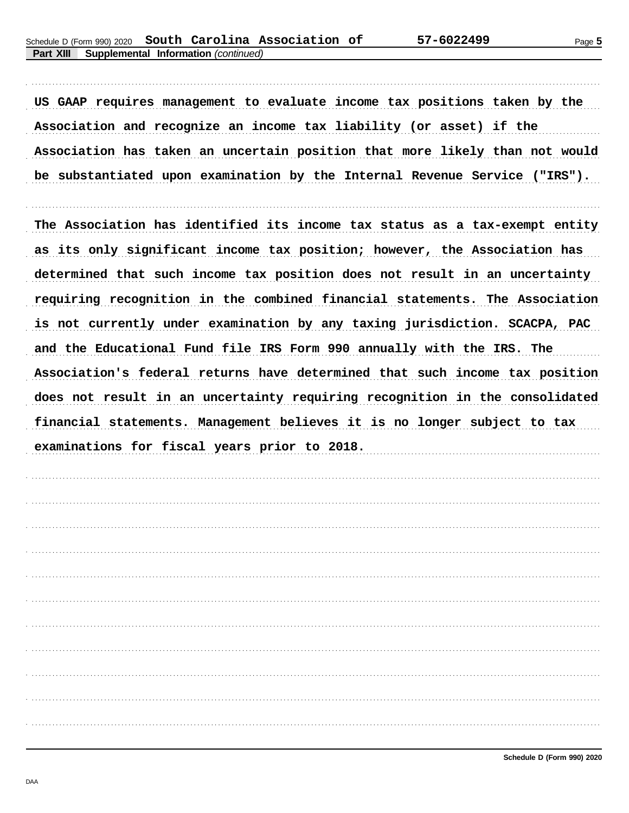US GAAP requires management to evaluate income tax positions taken by the Association and recognize an income tax liability (or asset) if the Association has taken an uncertain position that more likely than not would be substantiated upon examination by the Internal Revenue Service ("IRS").

The Association has identified its income tax status as a tax-exempt entity as its only significant income tax position; however, the Association has determined that such income tax position does not result in an uncertainty requiring recognition in the combined financial statements. The Association is not currently under examination by any taxing jurisdiction. SCACPA, PAC and the Educational Fund file IRS Form 990 annually with the IRS. The Association's federal returns have determined that such income tax position does not result in an uncertainty requiring recognition in the consolidated financial statements. Management believes it is no longer subject to tax examinations for fiscal years prior to 2018.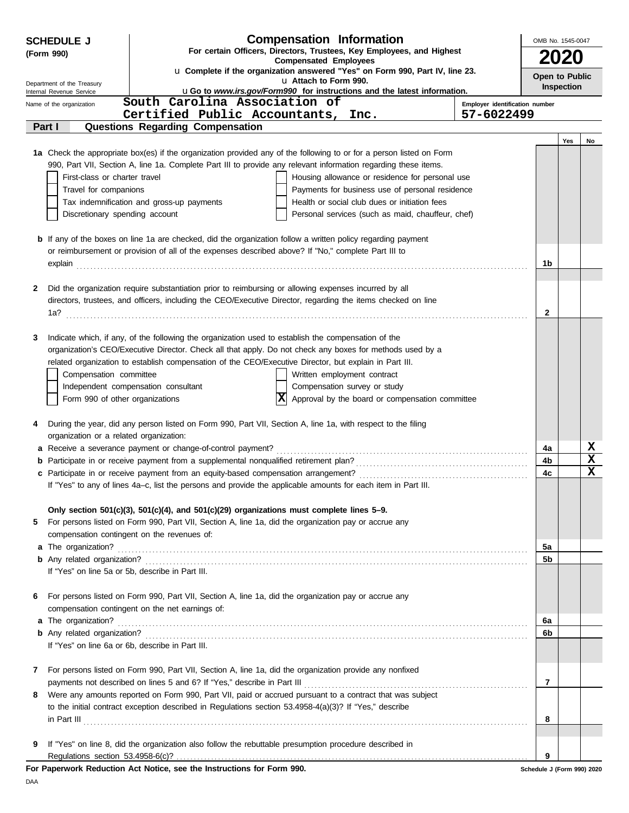| <b>SCHEDULE J</b>                                    | <b>Compensation Information</b>                                                                                                                                                                                       | OMB No. 1545-0047          |            |             |  |  |
|------------------------------------------------------|-----------------------------------------------------------------------------------------------------------------------------------------------------------------------------------------------------------------------|----------------------------|------------|-------------|--|--|
| (Form 990)                                           | For certain Officers, Directors, Trustees, Key Employees, and Highest                                                                                                                                                 | <b>2020</b>                |            |             |  |  |
|                                                      | <b>Compensated Employees</b><br>u Complete if the organization answered "Yes" on Form 990, Part IV, line 23.                                                                                                          |                            |            |             |  |  |
| Department of the Treasury                           | u Attach to Form 990.                                                                                                                                                                                                 | Open to Public             | Inspection |             |  |  |
| Internal Revenue Service<br>Name of the organization | <b>uGo to www.irs.gov/Form990 for instructions and the latest information.</b><br>South Carolina Association of<br>Employer identification number                                                                     |                            |            |             |  |  |
|                                                      | Certified Public Accountants, Inc.<br>57-6022499                                                                                                                                                                      |                            |            |             |  |  |
| Part I                                               | <b>Questions Regarding Compensation</b>                                                                                                                                                                               |                            |            |             |  |  |
|                                                      |                                                                                                                                                                                                                       |                            | Yes        | No          |  |  |
|                                                      | 1a Check the appropriate box(es) if the organization provided any of the following to or for a person listed on Form                                                                                                  |                            |            |             |  |  |
|                                                      | 990, Part VII, Section A, line 1a. Complete Part III to provide any relevant information regarding these items.                                                                                                       |                            |            |             |  |  |
| First-class or charter travel                        | Housing allowance or residence for personal use                                                                                                                                                                       |                            |            |             |  |  |
| Travel for companions                                | Payments for business use of personal residence                                                                                                                                                                       |                            |            |             |  |  |
| Discretionary spending account                       | Tax indemnification and gross-up payments<br>Health or social club dues or initiation fees<br>Personal services (such as maid, chauffeur, chef)                                                                       |                            |            |             |  |  |
|                                                      |                                                                                                                                                                                                                       |                            |            |             |  |  |
|                                                      | <b>b</b> If any of the boxes on line 1a are checked, did the organization follow a written policy regarding payment                                                                                                   |                            |            |             |  |  |
|                                                      | or reimbursement or provision of all of the expenses described above? If "No," complete Part III to                                                                                                                   |                            |            |             |  |  |
|                                                      |                                                                                                                                                                                                                       | 1b                         |            |             |  |  |
|                                                      |                                                                                                                                                                                                                       |                            |            |             |  |  |
| 2                                                    | Did the organization require substantiation prior to reimbursing or allowing expenses incurred by all<br>directors, trustees, and officers, including the CEO/Executive Director, regarding the items checked on line |                            |            |             |  |  |
| 1a?                                                  |                                                                                                                                                                                                                       | 2                          |            |             |  |  |
|                                                      |                                                                                                                                                                                                                       |                            |            |             |  |  |
| 3                                                    | Indicate which, if any, of the following the organization used to establish the compensation of the                                                                                                                   |                            |            |             |  |  |
|                                                      | organization's CEO/Executive Director. Check all that apply. Do not check any boxes for methods used by a                                                                                                             |                            |            |             |  |  |
|                                                      | related organization to establish compensation of the CEO/Executive Director, but explain in Part III.                                                                                                                |                            |            |             |  |  |
| Compensation committee                               | Written employment contract                                                                                                                                                                                           |                            |            |             |  |  |
|                                                      | Independent compensation consultant<br>Compensation survey or study                                                                                                                                                   |                            |            |             |  |  |
| Form 990 of other organizations                      | X <br>Approval by the board or compensation committee                                                                                                                                                                 |                            |            |             |  |  |
|                                                      |                                                                                                                                                                                                                       |                            |            |             |  |  |
| 4<br>organization or a related organization:         | During the year, did any person listed on Form 990, Part VII, Section A, line 1a, with respect to the filing                                                                                                          |                            |            |             |  |  |
|                                                      |                                                                                                                                                                                                                       | 4a                         |            | X           |  |  |
|                                                      |                                                                                                                                                                                                                       | 4b                         |            | $\mathbf x$ |  |  |
|                                                      |                                                                                                                                                                                                                       | 4c                         |            | $\mathbf x$ |  |  |
|                                                      | If "Yes" to any of lines 4a-c, list the persons and provide the applicable amounts for each item in Part III.                                                                                                         |                            |            |             |  |  |
|                                                      |                                                                                                                                                                                                                       |                            |            |             |  |  |
|                                                      | Only section $501(c)(3)$ , $501(c)(4)$ , and $501(c)(29)$ organizations must complete lines $5-9$ .                                                                                                                   |                            |            |             |  |  |
| 5                                                    | For persons listed on Form 990, Part VII, Section A, line 1a, did the organization pay or accrue any                                                                                                                  |                            |            |             |  |  |
|                                                      | compensation contingent on the revenues of:                                                                                                                                                                           | 5a                         |            |             |  |  |
|                                                      |                                                                                                                                                                                                                       | 5b                         |            |             |  |  |
|                                                      | If "Yes" on line 5a or 5b, describe in Part III.                                                                                                                                                                      |                            |            |             |  |  |
|                                                      |                                                                                                                                                                                                                       |                            |            |             |  |  |
| 6                                                    | For persons listed on Form 990, Part VII, Section A, line 1a, did the organization pay or accrue any                                                                                                                  |                            |            |             |  |  |
|                                                      | compensation contingent on the net earnings of:                                                                                                                                                                       |                            |            |             |  |  |
|                                                      |                                                                                                                                                                                                                       | 6a                         |            |             |  |  |
|                                                      |                                                                                                                                                                                                                       | 6b                         |            |             |  |  |
|                                                      | If "Yes" on line 6a or 6b, describe in Part III.                                                                                                                                                                      |                            |            |             |  |  |
| 7                                                    | For persons listed on Form 990, Part VII, Section A, line 1a, did the organization provide any nonfixed                                                                                                               |                            |            |             |  |  |
|                                                      |                                                                                                                                                                                                                       | 7                          |            |             |  |  |
| 8                                                    | Were any amounts reported on Form 990, Part VII, paid or accrued pursuant to a contract that was subject                                                                                                              |                            |            |             |  |  |
|                                                      | to the initial contract exception described in Regulations section 53.4958-4(a)(3)? If "Yes," describe                                                                                                                |                            |            |             |  |  |
|                                                      | $\ $ n Part III $\ $                                                                                                                                                                                                  | 8                          |            |             |  |  |
|                                                      |                                                                                                                                                                                                                       |                            |            |             |  |  |
| 9                                                    | If "Yes" on line 8, did the organization also follow the rebuttable presumption procedure described in                                                                                                                |                            |            |             |  |  |
| Regulations section 53.4958-6(c)?                    |                                                                                                                                                                                                                       | 9                          |            |             |  |  |
|                                                      | For Paperwork Reduction Act Notice, see the Instructions for Form 990.                                                                                                                                                | Schedule J (Form 990) 2020 |            |             |  |  |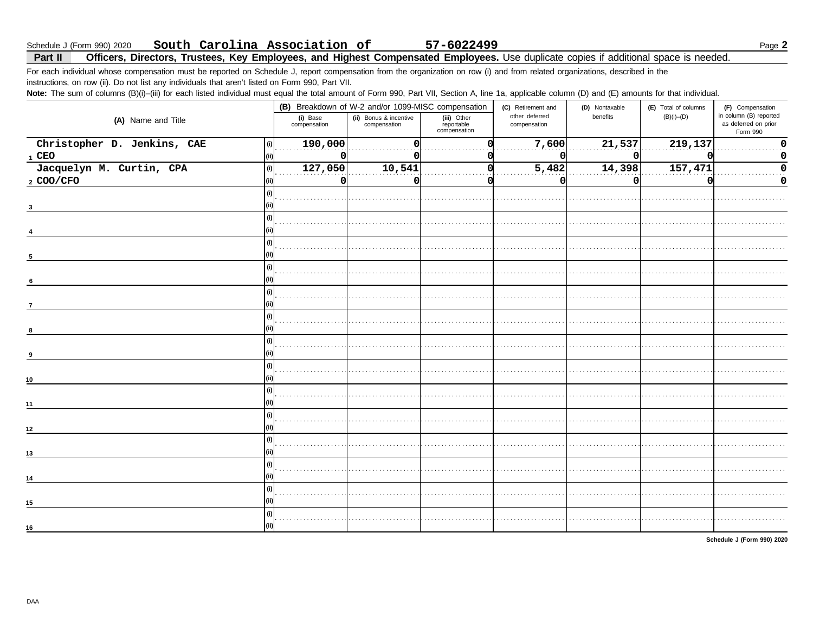#### South Carolina Association of Schedule J (Form 990) 2020

Part II Officers, Directors, Trustees, Key Employees, and Highest Compensated Employees. Use duplicate copies if additional space is needed.

For each individual whose compensation must be reported on Schedule J, report compensation from the organization on row (i) and from related organizations, described in the instructions, on row (ii). Do not list any individuals that aren't listed on Form 990, Part VII.

Note: The sum of columns (B)(i)-(iii) for each listed individual must equal the total amount of Form 990, Part VII, Section A, line 1a, applicable column (D) and (E) amounts for that individual.

| $\cdots$                    |     |                          |                                                                                              |                                           | . .                                                  |                            |                                          |                                                                                |
|-----------------------------|-----|--------------------------|----------------------------------------------------------------------------------------------|-------------------------------------------|------------------------------------------------------|----------------------------|------------------------------------------|--------------------------------------------------------------------------------|
| (A) Name and Title          |     | (i) Base<br>compensation | (B) Breakdown of W-2 and/or 1099-MISC compensation<br>(ii) Bonus & incentive<br>compensation | (iii) Other<br>reportable<br>compensation | (C) Retirement and<br>other deferred<br>compensation | (D) Nontaxable<br>benefits | (E) Total of columns<br>$(B)(i)$ - $(D)$ | (F) Compensation<br>in column (B) reported<br>as deferred on prior<br>Form 990 |
| Christopher D. Jenkins, CAE | (i) | 190,000                  |                                                                                              |                                           | 7,600                                                | 21,537                     | 219,137                                  |                                                                                |
| $1$ CEO                     |     | 0                        |                                                                                              |                                           | o                                                    | 0                          |                                          |                                                                                |
| Jacquelyn M. Curtin, CPA    | (i) | 127,050                  | 10,541                                                                                       |                                           | 5,482                                                | 14,398                     | 157,471                                  |                                                                                |
| 2 COO/CFO                   |     | 0                        |                                                                                              |                                           | o                                                    | O                          |                                          | 0                                                                              |
|                             |     |                          |                                                                                              |                                           |                                                      |                            |                                          |                                                                                |
|                             |     |                          |                                                                                              |                                           |                                                      |                            |                                          |                                                                                |
|                             |     |                          |                                                                                              |                                           |                                                      |                            |                                          |                                                                                |
|                             |     |                          |                                                                                              |                                           |                                                      |                            |                                          |                                                                                |
|                             |     |                          |                                                                                              |                                           |                                                      |                            |                                          |                                                                                |
| 5                           |     |                          |                                                                                              |                                           |                                                      |                            |                                          |                                                                                |
|                             |     |                          |                                                                                              |                                           |                                                      |                            |                                          |                                                                                |
| 6                           |     |                          |                                                                                              |                                           |                                                      |                            |                                          |                                                                                |
|                             |     |                          |                                                                                              |                                           |                                                      |                            |                                          |                                                                                |
|                             |     |                          |                                                                                              |                                           |                                                      |                            |                                          |                                                                                |
|                             |     |                          |                                                                                              |                                           |                                                      |                            |                                          |                                                                                |
|                             |     |                          |                                                                                              |                                           |                                                      |                            |                                          |                                                                                |
|                             |     |                          |                                                                                              |                                           |                                                      |                            |                                          |                                                                                |
|                             |     |                          |                                                                                              |                                           |                                                      |                            |                                          |                                                                                |
|                             |     |                          |                                                                                              |                                           |                                                      |                            |                                          |                                                                                |
| 10                          |     |                          |                                                                                              |                                           |                                                      |                            |                                          |                                                                                |
|                             |     |                          |                                                                                              |                                           |                                                      |                            |                                          |                                                                                |
| 11                          |     |                          |                                                                                              |                                           |                                                      |                            |                                          |                                                                                |
|                             |     |                          |                                                                                              |                                           |                                                      |                            |                                          |                                                                                |
| 12 <sup>2</sup>             |     |                          |                                                                                              |                                           |                                                      |                            |                                          |                                                                                |
|                             |     |                          |                                                                                              |                                           |                                                      |                            |                                          |                                                                                |
| 13                          |     |                          |                                                                                              |                                           |                                                      |                            |                                          |                                                                                |
|                             |     |                          |                                                                                              |                                           |                                                      |                            |                                          |                                                                                |
| 14                          |     |                          |                                                                                              |                                           |                                                      |                            |                                          |                                                                                |
|                             |     |                          |                                                                                              |                                           |                                                      |                            |                                          |                                                                                |
| 15                          |     |                          |                                                                                              |                                           |                                                      |                            |                                          |                                                                                |
|                             |     |                          |                                                                                              |                                           |                                                      |                            |                                          |                                                                                |
| 16                          |     |                          |                                                                                              |                                           |                                                      |                            |                                          |                                                                                |
|                             |     |                          |                                                                                              |                                           |                                                      |                            |                                          |                                                                                |

Schedule J (Form 990) 2020

57-6022499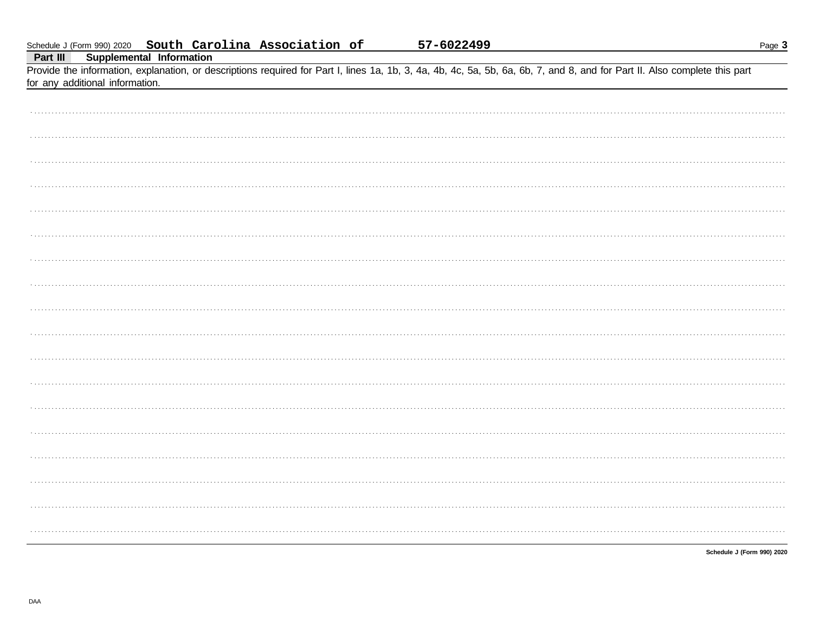| Provide the information, explanation, or descriptions required for Part I, lines 1a, 1b, 3, 4a, 4b, 4c, 5a, 5b, 6a, 6b, 7, and 8, and for Part II. Also complete this part<br>for any additional information. |
|---------------------------------------------------------------------------------------------------------------------------------------------------------------------------------------------------------------|
|                                                                                                                                                                                                               |
|                                                                                                                                                                                                               |
|                                                                                                                                                                                                               |
|                                                                                                                                                                                                               |
|                                                                                                                                                                                                               |
|                                                                                                                                                                                                               |
|                                                                                                                                                                                                               |
|                                                                                                                                                                                                               |
|                                                                                                                                                                                                               |
|                                                                                                                                                                                                               |
|                                                                                                                                                                                                               |
|                                                                                                                                                                                                               |
|                                                                                                                                                                                                               |
|                                                                                                                                                                                                               |
|                                                                                                                                                                                                               |
|                                                                                                                                                                                                               |
|                                                                                                                                                                                                               |
|                                                                                                                                                                                                               |
|                                                                                                                                                                                                               |

Schedule J (Form 990) 2020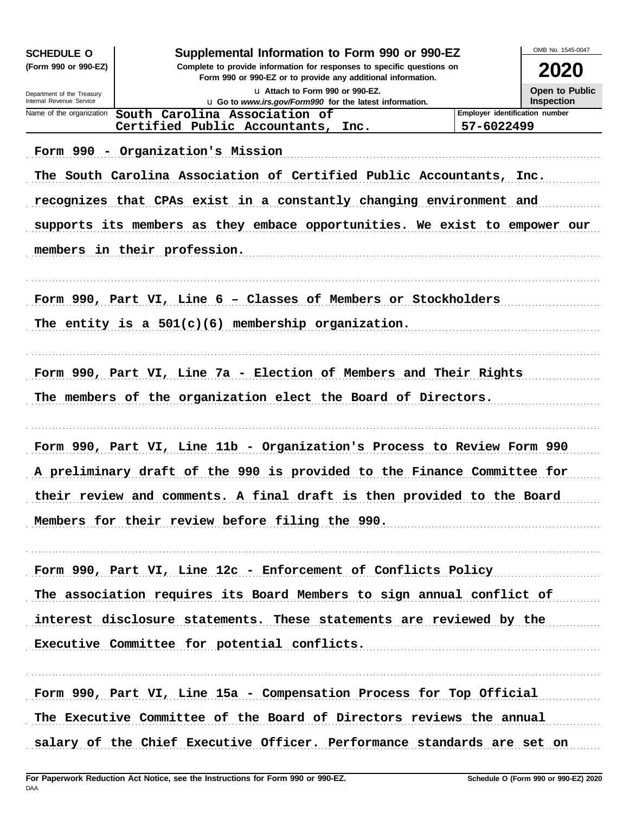| <b>SCHEDULE O</b>                                      | Supplemental Information to Form 990 or 990-EZ                                                                                         |                                | OMB No. 1545-0047 |
|--------------------------------------------------------|----------------------------------------------------------------------------------------------------------------------------------------|--------------------------------|-------------------|
| (Form 990 or 990-EZ)                                   | Complete to provide information for responses to specific questions on<br>Form 990 or 990-EZ or to provide any additional information. |                                | 2020              |
| Department of the Treasury<br>Internal Revenue Service | La Attach to Form 990 or 990-EZ.                                                                                                       |                                | Open to Public    |
| Name of the organization                               | u Go to www.irs.gov/Form990 for the latest information.<br>South Carolina Association of                                               | Employer identification number | <b>Inspection</b> |
|                                                        | Certified Public Accountants, Inc.                                                                                                     | 57-6022499                     |                   |
|                                                        | Form 990 - Organization's Mission                                                                                                      |                                |                   |
|                                                        | The South Carolina Association of Certified Public Accountants, Inc.                                                                   |                                |                   |
|                                                        | recognizes that CPAs exist in a constantly changing environment and                                                                    |                                |                   |
|                                                        | supports its members as they embace opportunities. We exist to empower our                                                             |                                |                   |
|                                                        | members in their profession.                                                                                                           |                                |                   |
|                                                        |                                                                                                                                        |                                |                   |
|                                                        | Form 990, Part VI, Line 6 - Classes of Members or Stockholders                                                                         |                                |                   |
|                                                        | The entity is a $501(c)(6)$ membership organization.                                                                                   |                                |                   |
|                                                        |                                                                                                                                        |                                |                   |
|                                                        | Form 990, Part VI, Line 7a - Election of Members and Their Rights                                                                      |                                |                   |
|                                                        |                                                                                                                                        |                                |                   |
|                                                        | The members of the organization elect the Board of Directors.                                                                          |                                |                   |
|                                                        |                                                                                                                                        |                                |                   |
|                                                        | Form 990, Part VI, Line 11b - Organization's Process to Review Form 990                                                                |                                |                   |
|                                                        | A preliminary draft of the 990 is provided to the Finance Committee for                                                                |                                |                   |
|                                                        | their review and comments. A final draft is then provided to the Board                                                                 |                                |                   |
|                                                        | Members for their review before filing the 990.                                                                                        |                                |                   |
|                                                        |                                                                                                                                        |                                |                   |
|                                                        | Form 990, Part VI, Line 12c - Enforcement of Conflicts Policy                                                                          |                                |                   |
|                                                        | The association requires its Board Members to sign annual conflict of                                                                  |                                |                   |
|                                                        | interest disclosure statements. These statements are reviewed by the                                                                   |                                |                   |
|                                                        | Executive Committee for potential conflicts.                                                                                           |                                |                   |
|                                                        |                                                                                                                                        |                                |                   |
|                                                        | Form 990, Part VI, Line 15a - Compensation Process for Top Official                                                                    |                                |                   |
|                                                        | The Executive Committee of the Board of Directors reviews the annual                                                                   |                                |                   |
|                                                        |                                                                                                                                        |                                |                   |
|                                                        | salary of the Chief Executive Officer. Performance standards are set on                                                                |                                |                   |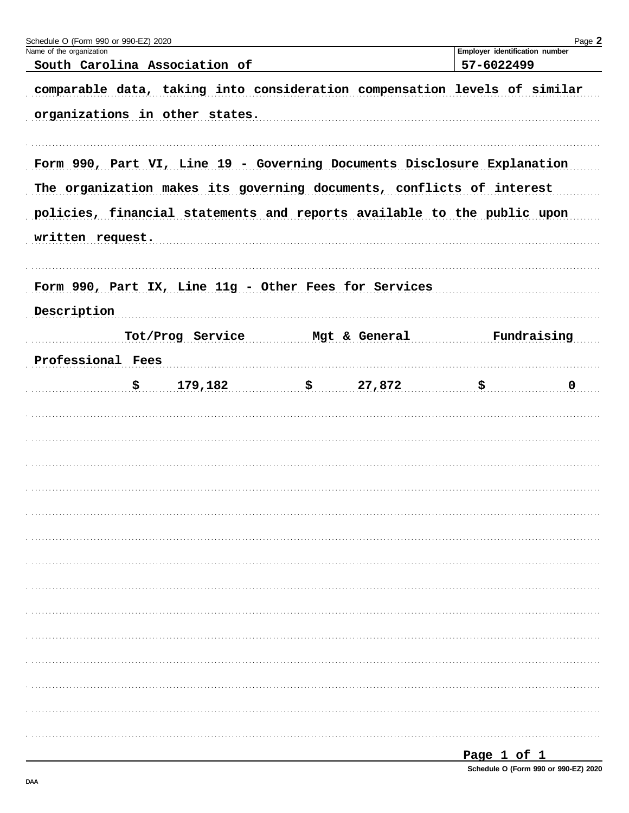| Schedule O (Form 990 or 990-EZ) 2020                                                                                                                                                                                                            |               |                                                     | Page 2      |
|-------------------------------------------------------------------------------------------------------------------------------------------------------------------------------------------------------------------------------------------------|---------------|-----------------------------------------------------|-------------|
| Name of the organization<br>South Carolina Association of                                                                                                                                                                                       |               | <b>Employer identification number</b><br>57-6022499 |             |
| comparable data, taking into consideration compensation levels of similar                                                                                                                                                                       |               |                                                     |             |
| organizations in other states.                                                                                                                                                                                                                  |               |                                                     |             |
| Form 990, Part VI, Line 19 - Governing Documents Disclosure Explanation<br>The organization makes its governing documents, conflicts of interest<br>policies, financial statements and reports available to the public upon<br>written request. |               |                                                     |             |
| Form 990, Part IX, Line 11g - Other Fees for Services                                                                                                                                                                                           |               |                                                     |             |
| Description                                                                                                                                                                                                                                     |               |                                                     |             |
| Tot/Prog Service                                                                                                                                                                                                                                | Mgt & General |                                                     | Fundraising |
| Professional Fees                                                                                                                                                                                                                               |               |                                                     |             |
| 179,182<br>\$                                                                                                                                                                                                                                   | \$27,872      | \$                                                  | $\mathbf 0$ |
|                                                                                                                                                                                                                                                 |               |                                                     |             |
|                                                                                                                                                                                                                                                 |               |                                                     |             |
|                                                                                                                                                                                                                                                 |               |                                                     |             |
|                                                                                                                                                                                                                                                 |               |                                                     |             |
|                                                                                                                                                                                                                                                 |               |                                                     |             |
|                                                                                                                                                                                                                                                 |               |                                                     |             |
|                                                                                                                                                                                                                                                 |               |                                                     |             |
|                                                                                                                                                                                                                                                 |               |                                                     |             |
|                                                                                                                                                                                                                                                 |               |                                                     |             |
|                                                                                                                                                                                                                                                 |               |                                                     |             |
|                                                                                                                                                                                                                                                 |               |                                                     |             |
|                                                                                                                                                                                                                                                 |               |                                                     |             |
|                                                                                                                                                                                                                                                 |               |                                                     |             |
|                                                                                                                                                                                                                                                 |               |                                                     |             |
|                                                                                                                                                                                                                                                 |               |                                                     |             |
|                                                                                                                                                                                                                                                 |               |                                                     |             |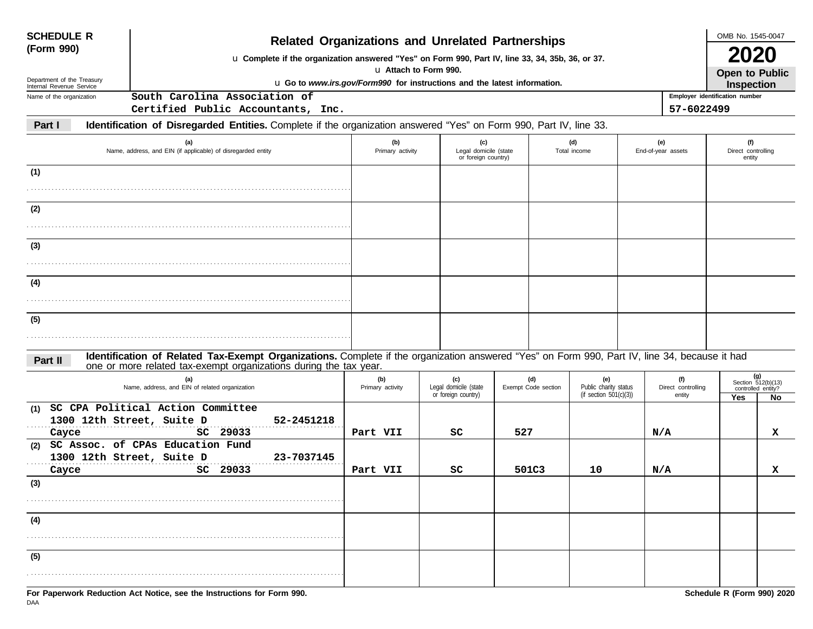| <b>SCHEDULE R</b>          |                                                                                                                                                                                                                    | <b>Related Organizations and Unrelated Partnerships</b>                                          |                                                     |                            |                                                           |                           |                                                     | OMB No. 1545-0047                   |                                                   |  |  |  |
|----------------------------|--------------------------------------------------------------------------------------------------------------------------------------------------------------------------------------------------------------------|--------------------------------------------------------------------------------------------------|-----------------------------------------------------|----------------------------|-----------------------------------------------------------|---------------------------|-----------------------------------------------------|-------------------------------------|---------------------------------------------------|--|--|--|
| (Form 990)                 |                                                                                                                                                                                                                    | u Complete if the organization answered "Yes" on Form 990, Part IV, line 33, 34, 35b, 36, or 37. |                                                     |                            |                                                           |                           |                                                     |                                     |                                                   |  |  |  |
| Department of the Treasury |                                                                                                                                                                                                                    |                                                                                                  | u Attach to Form 990.                               |                            | <b>Open to Public</b>                                     |                           |                                                     |                                     |                                                   |  |  |  |
| Internal Revenue Service   |                                                                                                                                                                                                                    | u Go to www.irs.gov/Form990 for instructions and the latest information.                         |                                                     |                            |                                                           |                           | <b>Inspection</b><br>Employer identification number |                                     |                                                   |  |  |  |
| Name of the organization   | South Carolina Association of<br>Certified Public Accountants, Inc.                                                                                                                                                |                                                                                                  |                                                     |                            |                                                           |                           | 57-6022499                                          |                                     |                                                   |  |  |  |
| Part I                     | Identification of Disregarded Entities. Complete if the organization answered "Yes" on Form 990, Part IV, line 33.                                                                                                 |                                                                                                  |                                                     |                            |                                                           |                           |                                                     |                                     |                                                   |  |  |  |
|                            |                                                                                                                                                                                                                    |                                                                                                  |                                                     |                            |                                                           |                           |                                                     |                                     |                                                   |  |  |  |
|                            | (a)<br>Name, address, and EIN (if applicable) of disregarded entity                                                                                                                                                | (b)<br>Primary activity                                                                          | (c)<br>Legal domicile (state<br>or foreign country) |                            | (d)<br>Total income                                       | (e)<br>End-of-year assets |                                                     | (f)<br>Direct controlling<br>entity |                                                   |  |  |  |
| (1)                        |                                                                                                                                                                                                                    |                                                                                                  |                                                     |                            |                                                           |                           |                                                     |                                     |                                                   |  |  |  |
|                            |                                                                                                                                                                                                                    |                                                                                                  |                                                     |                            |                                                           |                           |                                                     |                                     |                                                   |  |  |  |
| (2)                        |                                                                                                                                                                                                                    |                                                                                                  |                                                     |                            |                                                           |                           |                                                     |                                     |                                                   |  |  |  |
|                            |                                                                                                                                                                                                                    |                                                                                                  |                                                     |                            |                                                           |                           |                                                     |                                     |                                                   |  |  |  |
| (3)                        |                                                                                                                                                                                                                    |                                                                                                  |                                                     |                            |                                                           |                           |                                                     |                                     |                                                   |  |  |  |
|                            |                                                                                                                                                                                                                    |                                                                                                  |                                                     |                            |                                                           |                           |                                                     |                                     |                                                   |  |  |  |
| (4)                        |                                                                                                                                                                                                                    |                                                                                                  |                                                     |                            |                                                           |                           |                                                     |                                     |                                                   |  |  |  |
|                            |                                                                                                                                                                                                                    |                                                                                                  |                                                     |                            |                                                           |                           |                                                     |                                     |                                                   |  |  |  |
| (5)                        |                                                                                                                                                                                                                    |                                                                                                  |                                                     |                            |                                                           |                           |                                                     |                                     |                                                   |  |  |  |
|                            |                                                                                                                                                                                                                    |                                                                                                  |                                                     |                            |                                                           |                           |                                                     |                                     |                                                   |  |  |  |
| Part II                    | Identification of Related Tax-Exempt Organizations. Complete if the organization answered "Yes" on Form 990, Part IV, line 34, because it had<br>one or more related tax-exempt organizations during the tax year. |                                                                                                  |                                                     |                            |                                                           |                           |                                                     |                                     |                                                   |  |  |  |
|                            | (a)<br>Name, address, and EIN of related organization                                                                                                                                                              | (b)<br>Primary activity                                                                          | (c)<br>Legal domicile (state<br>or foreign country) | (d)<br>Exempt Code section | (e)<br>Public charity status<br>(if section $501(c)(3)$ ) |                           | (f)<br>Direct controlling<br>entity                 |                                     | $(g)$<br>Section 512(b)(13)<br>controlled entity? |  |  |  |
| (1)                        | SC CPA Political Action Committee                                                                                                                                                                                  |                                                                                                  |                                                     |                            |                                                           |                           |                                                     | Yes                                 | No                                                |  |  |  |
|                            | 1300 12th Street, Suite D<br>52-2451218                                                                                                                                                                            |                                                                                                  |                                                     |                            |                                                           |                           |                                                     |                                     |                                                   |  |  |  |
| Cayce                      | SC 29033                                                                                                                                                                                                           | Part VII                                                                                         | sc                                                  | 527                        |                                                           | N/A                       |                                                     |                                     | x                                                 |  |  |  |
| (2)                        | SC Assoc. of CPAs Education Fund<br>23-7037145<br>1300 12th Street, Suite D                                                                                                                                        |                                                                                                  |                                                     |                            |                                                           |                           |                                                     |                                     |                                                   |  |  |  |
| Cayce                      | SC 29033                                                                                                                                                                                                           | Part VII                                                                                         | sc                                                  | 501C3                      | 10                                                        | N/A                       |                                                     |                                     | x                                                 |  |  |  |
| (3)                        |                                                                                                                                                                                                                    |                                                                                                  |                                                     |                            |                                                           |                           |                                                     |                                     |                                                   |  |  |  |
|                            |                                                                                                                                                                                                                    |                                                                                                  |                                                     |                            |                                                           |                           |                                                     |                                     |                                                   |  |  |  |
| (4)                        |                                                                                                                                                                                                                    |                                                                                                  |                                                     |                            |                                                           |                           |                                                     |                                     |                                                   |  |  |  |
|                            |                                                                                                                                                                                                                    |                                                                                                  |                                                     |                            |                                                           |                           |                                                     |                                     |                                                   |  |  |  |
| (5)                        |                                                                                                                                                                                                                    |                                                                                                  |                                                     |                            |                                                           |                           |                                                     |                                     |                                                   |  |  |  |
|                            |                                                                                                                                                                                                                    |                                                                                                  |                                                     |                            |                                                           |                           |                                                     |                                     |                                                   |  |  |  |
|                            | For Paperwork Reduction Act Notice, see the Instructions for Form 990.                                                                                                                                             |                                                                                                  |                                                     |                            |                                                           |                           |                                                     | Schedule R (Form 990) 2020          |                                                   |  |  |  |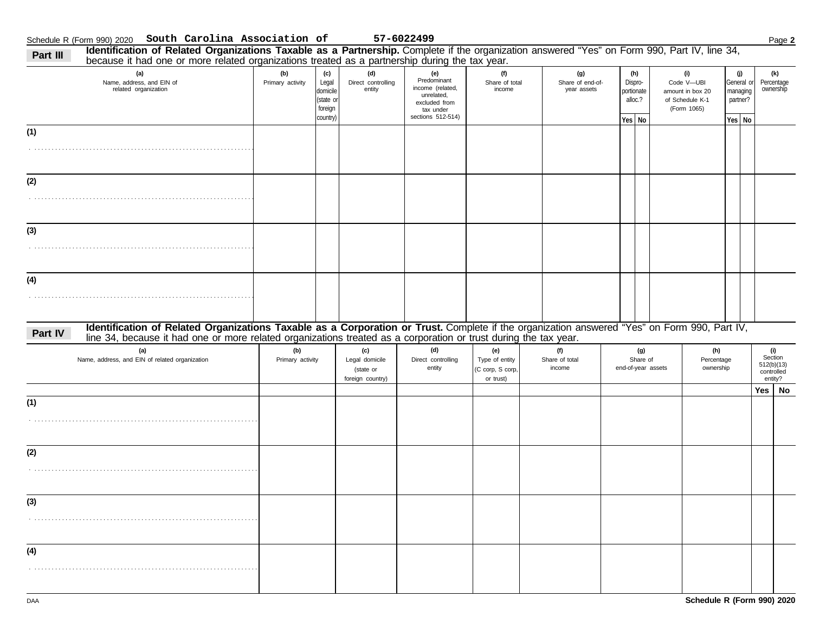| Identification of Related Organizations Taxable as a Partnership. Complete if the organization answered "Yes" on Form 990, Part IV, line 34,<br>Part III<br>because it had one or more related organizations treated as a partnership during the tax year.                  |                         |                                                              |                                                        |                                                                                                         |                                                        |                                        |                                                   |                                                                         |                                                       |                                                       |
|-----------------------------------------------------------------------------------------------------------------------------------------------------------------------------------------------------------------------------------------------------------------------------|-------------------------|--------------------------------------------------------------|--------------------------------------------------------|---------------------------------------------------------------------------------------------------------|--------------------------------------------------------|----------------------------------------|---------------------------------------------------|-------------------------------------------------------------------------|-------------------------------------------------------|-------------------------------------------------------|
| (a)<br>Name, address, and EIN of<br>related organization                                                                                                                                                                                                                    | (b)<br>Primary activity | (c)<br>Legal<br>domicile<br>(state or<br>foreign<br>country) | (d)<br>Direct controlling<br>entity                    | (e)<br>Predominant<br>income (related,<br>unrelated,<br>excluded from<br>tax under<br>sections 512-514) | (f)<br>Share of total<br>income                        | (g)<br>Share of end-of-<br>year assets | (h)<br>Dispro-<br>portionate<br>alloc.?<br>Yes No | (i)<br>Code V-UBI<br>amount in box 20<br>of Schedule K-1<br>(Form 1065) | (j)<br>General or<br>managing<br>partner?<br>$Yes$ No | (k)<br>Percentage<br>ownership                        |
| (1)                                                                                                                                                                                                                                                                         |                         |                                                              |                                                        |                                                                                                         |                                                        |                                        |                                                   |                                                                         |                                                       |                                                       |
|                                                                                                                                                                                                                                                                             |                         |                                                              |                                                        |                                                                                                         |                                                        |                                        |                                                   |                                                                         |                                                       |                                                       |
| (2)                                                                                                                                                                                                                                                                         |                         |                                                              |                                                        |                                                                                                         |                                                        |                                        |                                                   |                                                                         |                                                       |                                                       |
|                                                                                                                                                                                                                                                                             |                         |                                                              |                                                        |                                                                                                         |                                                        |                                        |                                                   |                                                                         |                                                       |                                                       |
| (3)                                                                                                                                                                                                                                                                         |                         |                                                              |                                                        |                                                                                                         |                                                        |                                        |                                                   |                                                                         |                                                       |                                                       |
|                                                                                                                                                                                                                                                                             |                         |                                                              |                                                        |                                                                                                         |                                                        |                                        |                                                   |                                                                         |                                                       |                                                       |
| (4)                                                                                                                                                                                                                                                                         |                         |                                                              |                                                        |                                                                                                         |                                                        |                                        |                                                   |                                                                         |                                                       |                                                       |
|                                                                                                                                                                                                                                                                             |                         |                                                              |                                                        |                                                                                                         |                                                        |                                        |                                                   |                                                                         |                                                       |                                                       |
| Identification of Related Organizations Taxable as a Corporation or Trust. Complete if the organization answered "Yes" on Form 990, Part IV,<br>Part IV<br>line 34, because it had one or more related organizations treated as a corporation or trust during the tax year. |                         |                                                              |                                                        |                                                                                                         |                                                        |                                        |                                                   |                                                                         |                                                       |                                                       |
| (a)<br>Name, address, and EIN of related organization                                                                                                                                                                                                                       | (b)<br>Primary activity |                                                              | (c)<br>Legal domicile<br>(state or<br>foreign country) | (d)<br>Direct controlling<br>entity                                                                     | (e)<br>Type of entity<br>(C corp, S corp,<br>or trust) | (f)<br>Share of total<br>income        | (g)<br>Share of<br>end-of-year assets             | (h)<br>Percentage<br>ownership                                          |                                                       | (i)<br>Section<br>512(b)(13)<br>controlled<br>entity? |
| (1)                                                                                                                                                                                                                                                                         |                         |                                                              |                                                        |                                                                                                         |                                                        |                                        |                                                   |                                                                         |                                                       | $Yes \mid No$                                         |
|                                                                                                                                                                                                                                                                             |                         |                                                              |                                                        |                                                                                                         |                                                        |                                        |                                                   |                                                                         |                                                       |                                                       |
| (2)                                                                                                                                                                                                                                                                         |                         |                                                              |                                                        |                                                                                                         |                                                        |                                        |                                                   |                                                                         |                                                       |                                                       |
|                                                                                                                                                                                                                                                                             |                         |                                                              |                                                        |                                                                                                         |                                                        |                                        |                                                   |                                                                         |                                                       |                                                       |
| (3)                                                                                                                                                                                                                                                                         |                         |                                                              |                                                        |                                                                                                         |                                                        |                                        |                                                   |                                                                         |                                                       |                                                       |
|                                                                                                                                                                                                                                                                             |                         |                                                              |                                                        |                                                                                                         |                                                        |                                        |                                                   |                                                                         |                                                       |                                                       |
| (4)                                                                                                                                                                                                                                                                         |                         |                                                              |                                                        |                                                                                                         |                                                        |                                        |                                                   |                                                                         |                                                       |                                                       |
|                                                                                                                                                                                                                                                                             |                         |                                                              |                                                        |                                                                                                         |                                                        |                                        |                                                   |                                                                         |                                                       |                                                       |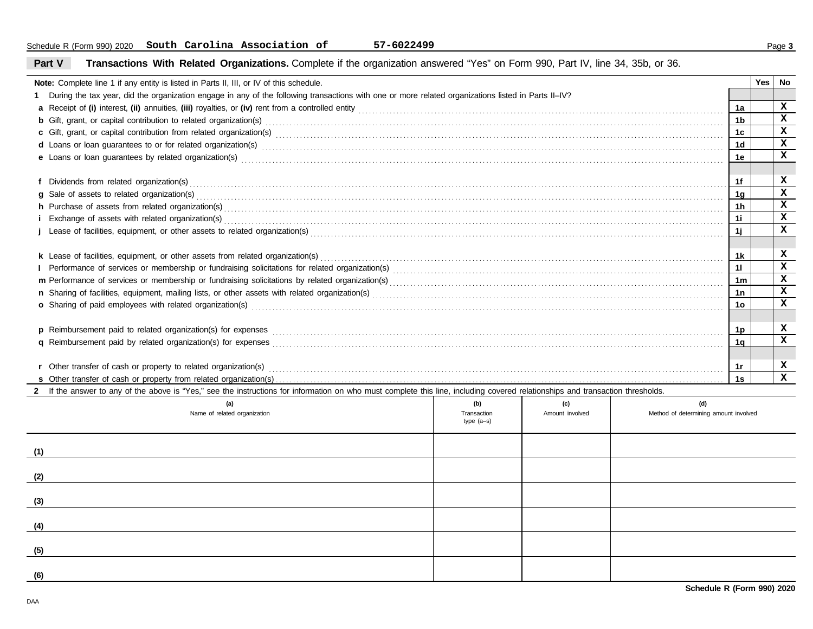#### **Note:** Complete line 1 if any entity is listed in Parts II, III, or IV of this schedule. **1** During the tax year, did the organization engage in any of the following transactions with one or more related organizations listed in Parts II–IV? **a** Receipt of **(i)** interest, **(ii)** annuities, **(iii)** royalties, or **(iv)** rent from a controlled entity . . . . . . . . . . . . . . . . . . . . . . . . . . . . . . . . . . . . . . . . . . . . . . . . . . . . . . . . . . . . . . . . . . . . . . . . . . . . . . . . . . . . . . . . . . . . . . . . . . . . . . . . . . **b** Gift, grant, or capital contribution to related organization(s)  $\textbf{c}$  Gift, grant, or capital contribution from related organization(s) with the contract contract control control of the contribution from related organization(s) with the control control control of control control of d Loans or loan guarantees to or for related organization(s) www.community.com/www.community.com/www.community.com/www.community.com/www.community.com/www.community.com/www.community.com/www.community.com/www.community.com  $\bullet$  Loans or loan guarantees by related organization(s) with an example construction and construction of the constraint of the constraint  $\bullet$ **f** Dividends from related organization(s) . . . . . . . . . . . . . . . . . . . . . . . . . . . . . . . . . . . . . . . . . . . . . . . . . . . . . . . . . . . . . . . . . . . . . . . . . . . . . . . . . . . . . . . . . . . . . . . . . . . . . . . . . . . . . . . . . . . . . . . . . . . . . . . . . . . . . . . . . . . . . . . . . . . . . . . . . . . . **g h** Purchase of assets from related organization(s) . . . . . . . . . . . . . . . . . . . . . . . . . . . . . . . . . . . . . . . . . . . . . . . . . . . . . . . . . . . . . . . . . . . . . . . . . . . . . . . . . . . . . . . . . . . . . . . . . . . . . . . . . . . . . . . . . . . . . . . . . . . . . . . . . . . . . . . . . . . . . . . . . **i** Exchange of assets with related organization(s) . . . . . . . . . . . . . . . . . . . . . . . . . . . . . . . . . . . . . . . . . . . . . . . . . . . . . . . . . . . . . . . . . . . . . . . . . . . . . . . . . . . . . . . . . . . . . . . . . . . . . . . . . . . . . . . . . . . . . . . . . . . . . . . . . . . . . . . . . . . . . . . . . **j** Lease of facilities, equipment, or other assets to related organization(s) . . . . . . . . . . . . . . . . . . . . . . . . . . . . . . . . . . . . . . . . . . . . . . . . . . . . . . . . . . . . . . . . . . . . . . . . . . . . . . . . . . . . . . . . . . . . . . . . . . . . . . . . . . . . . . . . . . . . . . . . **k** Lease of facilities, equipment, or other assets from related organization(s) . . . . . . . . . . . . . . . . . . . . . . . . . . . . . . . . . . . . . . . . . . . . . . . . . . . . . . . . . . . . . . . . . . . . . . . . . . . . . . . . . . . . . . . . . . . . . . . . . . . . . . . . . . . . . . . . . . . . . **l** Performance of services or membership or fundraising solicitations for related organization(s) . . . . . . . . . . . . . . . . . . . . . . . . . . . . . . . . . . . . . . . . . . . . . . . . . . . . . . . . . . . . . . . . . . . . . . . . . . . . . . . . . . . . . . . . . . . . . . . . **m** Performance of services or membership or fundraising solicitations by related organization(s) . . . . . . . . . . . . . . . . . . . . . . . . . . . . . . . . . . . . . . . . . . . . . . . . . . . . . . . . . . . . . . . . . . . . . . . . . . . . . . . . . . . . . . . . . . . . . . . . . **n** Sharing of facilities, equipment, mailing lists, or other assets with related organization(s) . . . . . . . . . . . . . . . . . . . . . . . . . . . . . . . . . . . . . . . . . . . . . . . . . . . . . . . . . . . . . . . . . . . . . . . . . . . . . . . . . . . . . . . . . . . . . . . . . . . . . . **o** Sharing of paid employees with related organization(s) . . . . . . . . . . . . . . . . . . . . . . . . . . . . . . . . . . . . . . . . . . . . . . . . . . . . . . . . . . . . . . . . . . . . . . . . . . . . . . . . . . . . . . . . . . . . . . . . . . . . . . . . . . . . . . . . . . . . . . . . . . . . . . . . . . . . . . . . .  $\, {\bf p} \,$  Reimbursement paid to related organization(s) for expenses  $\, \, \ldots \, \, \ldots \, \, \ldots \, \, \ldots \, \, \ldots \, \, \ldots \, \, \ldots \, \, \ldots \, \, \ldots \, \, \ldots \, \, \ldots \, \, \ldots \, \, \ldots \, \, \ldots \, \, \ldots \, \, \ldots \, \, \ldots \, \, \ldots \, \, \ldots \, \, \ldots \, \, \ldots \, \$ **q** Reimbursement paid by related organization(s) for expenses . . . . . . . . . . . . . . . . . . . . . . . . . . . . . . . . . . . . . . . . . . . . . . . . . . . . . . . . . . . . . . . . . . . . . . . . . . . . . . . . . . . . . . . . . . . . . . . . . . . . . . . . . . . . . . . . . . . . . . . . . . . . . . . . . . . **s** Other transfer of cash or property from related organization(s) . . . . . . . . . . . . . . . . . . . . . . . . . . . . . . . . . . . . . . . . . . . . . . . . . . . . . . . . . . . . . . . . . . . . . . . . . . . . . . . . . . . . . . . . . . . . . . . . . . . . . . . . . . . . . . . . . . . . . . . . . . . . . . . . . . . . . . . . . . . . . . . . . . . . . . . . . . . . . . . . . . . . . . . . . . . . . . . . . . . . . . . . . . . . . . . . . . . . . . . . . . . . . . . . . . . . . . . . . . . . . . . . . . . . . . . . . . . . . . . . . . . . . . . . . . . . . . . . . . . . . . . Sale of assets to related organization(s) . . . . . . . . . . . . . . . . . . . . . . . . . . . . . . . . . . . . . . . . . . . . . . . . . . . . . . . . . . . . . . . . . . . . . . . . . . . . . . . . . . . . . . . . . . . . . . . . . . . . . . . . . . . . . . . . . . . . . . . . . . . . . . . . . . . . . . . . . . . . . . . . . . . . . . . . . r Other transfer of cash or property to related organization(s) with the content of the content of the content of the content of the content of the content of the content of the content of the content of the content of the **1a 1b 1c 1d 1e 1f 1g 1h 1i 1j 1k 1l 1m 1n 1o 1p 1q 1s Yes No 2** If the answer to any of the above is "Yes," see the instructions for information on who must complete this line, including covered relationships and transaction thresholds. Name of related organization **Transaction** Transaction **Transaction** Transaction type (a–s) Amount involved **(a) (b) (c) (1) (d)** Method of determining amount involved **X X X X X X X X X X X X X X X X X X X**

#### **Part V Transactions With Related Organizations.** Complete if the organization answered "Yes" on Form 990, Part IV, line 34, 35b, or 36.

| (a)<br>Name of related organization | (b)<br>Transaction<br>type (a-s) | (c)<br>Amount involved | (d)<br>Method of determining amount involved |
|-------------------------------------|----------------------------------|------------------------|----------------------------------------------|
| (1)                                 |                                  |                        |                                              |
| (2)                                 |                                  |                        |                                              |
| (3)                                 |                                  |                        |                                              |
| (4)                                 |                                  |                        |                                              |
| (5)                                 |                                  |                        |                                              |
| (6)                                 |                                  |                        |                                              |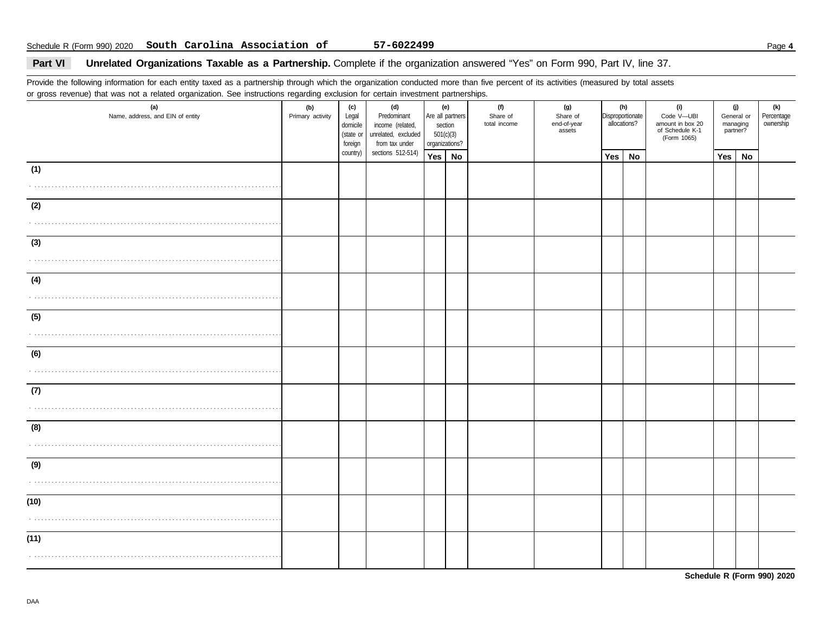### Part VI Unrelated Organizations Taxable as a Partnership. Complete if the organization answered "Yes" on Form 990, Part IV, line 37.

Provide the following information for each entity taxed as a partnership through which the organization conducted more than five percent of its activities (measured by total assets or gross revenue) that was not a related organization. See instructions regarding exclusion for certain investment partnerships.

| $9.000$ . $0.000$ . $0.000$ . $0.000$ . $0.000$<br>(a)<br>Name, address, and EIN of entity | (b)<br>Primary activity | <br>(c)<br>Legal<br>domicile<br>(state or<br>foreign | (d)<br>Predominant<br>income (related,<br>unrelated, excluded<br>from tax under | section<br>501(c)(3)<br>organizations? | (e)<br>Are all partners | (f)<br>Share of<br>total income | (g)<br>Share of<br>end-of-year<br>assets |     | (h)<br>Disproportionate<br>allocations? | (i)<br>Code V-UBI<br>amount in box 20<br>of Schedule K-1<br>(Form 1065) | (j)<br>managing<br>partner? | General or | (k)<br>Percentage<br>ownership |
|--------------------------------------------------------------------------------------------|-------------------------|------------------------------------------------------|---------------------------------------------------------------------------------|----------------------------------------|-------------------------|---------------------------------|------------------------------------------|-----|-----------------------------------------|-------------------------------------------------------------------------|-----------------------------|------------|--------------------------------|
|                                                                                            |                         | country)                                             | sections 512-514)                                                               | Yes   No                               |                         |                                 |                                          | Yes | No                                      |                                                                         | Yes                         | No         |                                |
| (1)                                                                                        |                         |                                                      |                                                                                 |                                        |                         |                                 |                                          |     |                                         |                                                                         |                             |            |                                |
| (2)<br>.                                                                                   |                         |                                                      |                                                                                 |                                        |                         |                                 |                                          |     |                                         |                                                                         |                             |            |                                |
| (3)<br>.                                                                                   |                         |                                                      |                                                                                 |                                        |                         |                                 |                                          |     |                                         |                                                                         |                             |            |                                |
| (4)                                                                                        |                         |                                                      |                                                                                 |                                        |                         |                                 |                                          |     |                                         |                                                                         |                             |            |                                |
| (5)                                                                                        |                         |                                                      |                                                                                 |                                        |                         |                                 |                                          |     |                                         |                                                                         |                             |            |                                |
| (6)                                                                                        |                         |                                                      |                                                                                 |                                        |                         |                                 |                                          |     |                                         |                                                                         |                             |            |                                |
| (7)                                                                                        |                         |                                                      |                                                                                 |                                        |                         |                                 |                                          |     |                                         |                                                                         |                             |            |                                |
| (8)                                                                                        |                         |                                                      |                                                                                 |                                        |                         |                                 |                                          |     |                                         |                                                                         |                             |            |                                |
| (9)                                                                                        |                         |                                                      |                                                                                 |                                        |                         |                                 |                                          |     |                                         |                                                                         |                             |            |                                |
| (10)                                                                                       |                         |                                                      |                                                                                 |                                        |                         |                                 |                                          |     |                                         |                                                                         |                             |            |                                |
| (11)                                                                                       |                         |                                                      |                                                                                 |                                        |                         |                                 |                                          |     |                                         |                                                                         |                             |            |                                |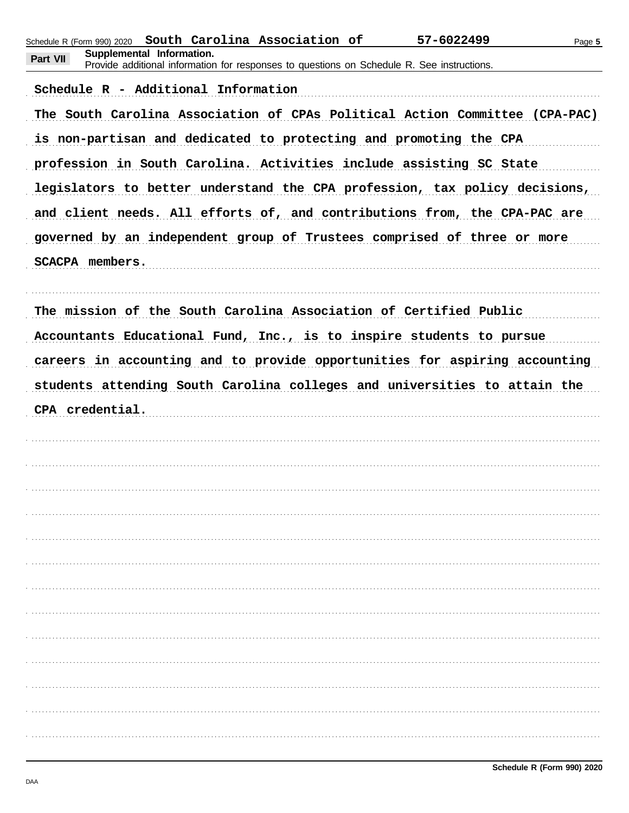|          | Schedule R (Form 990) 2020          | South Carolina Association of                                                              | 57-6022499                                                                  | Page 5 |
|----------|-------------------------------------|--------------------------------------------------------------------------------------------|-----------------------------------------------------------------------------|--------|
| Part VII | Supplemental Information.           | Provide additional information for responses to questions on Schedule R. See instructions. |                                                                             |        |
|          | Schedule R - Additional Information |                                                                                            |                                                                             |        |
|          |                                     |                                                                                            | The South Carolina Association of CPAs Political Action Committee (CPA-PAC) |        |
|          |                                     |                                                                                            | is non-partisan and dedicated to protecting and promoting the CPA           |        |
|          |                                     |                                                                                            | profession in South Carolina. Activities include assisting SC State         |        |
|          |                                     |                                                                                            | legislators to better understand the CPA profession, tax policy decisions,  |        |
|          |                                     |                                                                                            | and client needs. All efforts of, and contributions from, the CPA-PAC are   |        |
|          |                                     |                                                                                            | governed by an independent group of Trustees comprised of three or more     |        |
|          | <b>SCACPA members.</b>              |                                                                                            |                                                                             |        |
|          |                                     |                                                                                            |                                                                             |        |
|          |                                     |                                                                                            | The mission of the South Carolina Association of Certified Public           |        |
|          |                                     |                                                                                            | Accountants Educational Fund, Inc., is to inspire students to pursue        |        |
|          |                                     |                                                                                            | careers in accounting and to provide opportunities for aspiring accounting  |        |
|          |                                     |                                                                                            | students attending South Carolina colleges and universities to attain the   |        |
|          | CPA credential.                     |                                                                                            |                                                                             |        |
|          |                                     |                                                                                            |                                                                             |        |
|          |                                     |                                                                                            |                                                                             |        |
|          |                                     |                                                                                            |                                                                             |        |
|          |                                     |                                                                                            |                                                                             |        |
|          |                                     |                                                                                            |                                                                             |        |
|          |                                     |                                                                                            |                                                                             |        |
|          |                                     |                                                                                            |                                                                             |        |
|          |                                     |                                                                                            |                                                                             |        |
|          |                                     |                                                                                            |                                                                             |        |
|          |                                     |                                                                                            |                                                                             |        |
|          |                                     |                                                                                            |                                                                             |        |
|          |                                     |                                                                                            |                                                                             |        |
|          |                                     |                                                                                            |                                                                             |        |